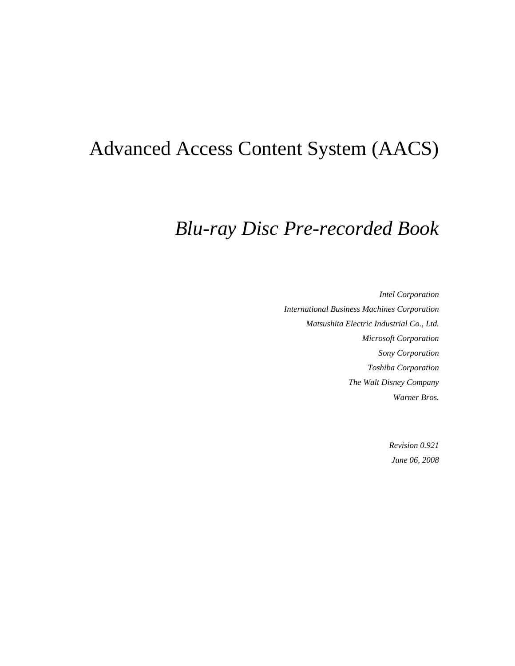# Advanced Access Content System (AACS)

# *Blu-ray Disc Pre-recorded Book*

*Intel Corporation International Business Machines Corporation Matsushita Electric Industrial Co., Ltd. Microsoft Corporation Sony Corporation Toshiba Corporation The Walt Disney Company Warner Bros.* 

> *Revision 0.921 June 06, 2008*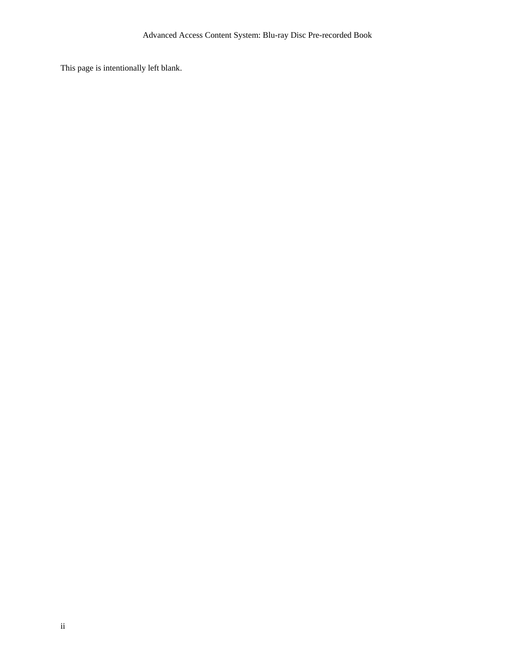This page is intentionally left blank.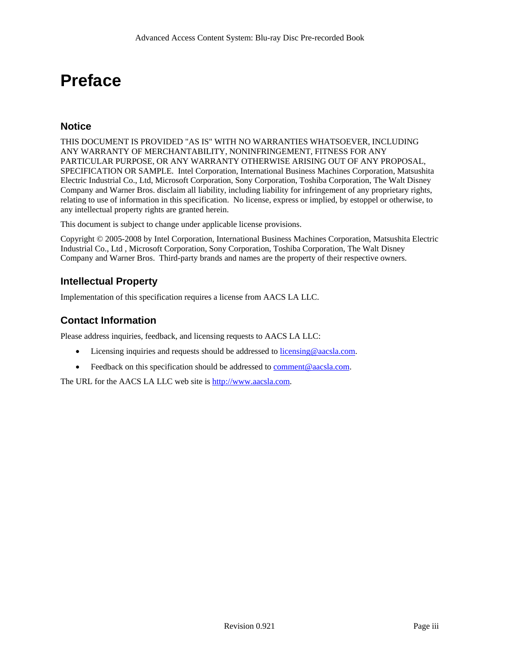# <span id="page-2-0"></span>**Preface**

#### **Notice**

THIS DOCUMENT IS PROVIDED "AS IS" WITH NO WARRANTIES WHATSOEVER, INCLUDING ANY WARRANTY OF MERCHANTABILITY, NONINFRINGEMENT, FITNESS FOR ANY PARTICULAR PURPOSE, OR ANY WARRANTY OTHERWISE ARISING OUT OF ANY PROPOSAL, SPECIFICATION OR SAMPLE. Intel Corporation, International Business Machines Corporation, Matsushita Electric Industrial Co., Ltd, Microsoft Corporation, Sony Corporation, Toshiba Corporation, The Walt Disney Company and Warner Bros. disclaim all liability, including liability for infringement of any proprietary rights, relating to use of information in this specification. No license, express or implied, by estoppel or otherwise, to any intellectual property rights are granted herein.

This document is subject to change under applicable license provisions.

Copyright © 2005-2008 by Intel Corporation, International Business Machines Corporation, Matsushita Electric Industrial Co., Ltd , Microsoft Corporation, Sony Corporation, Toshiba Corporation, The Walt Disney Company and Warner Bros. Third-party brands and names are the property of their respective owners.

## **Intellectual Property**

Implementation of this specification requires a license from AACS LA LLC.

## **Contact Information**

Please address inquiries, feedback, and licensing requests to AACS LA LLC:

- Licensing inquiries and requests should be addressed to [licensing@aacsla.com.](mailto:licensing@aacsla.com)
- Feedback on this specification should be addressed to [comment@aacsla.com.](mailto:comment@aacsla.com)

The URL for the AACS LA LLC web site is [http://www.aacsla.com.](http://www.aacsla.com/)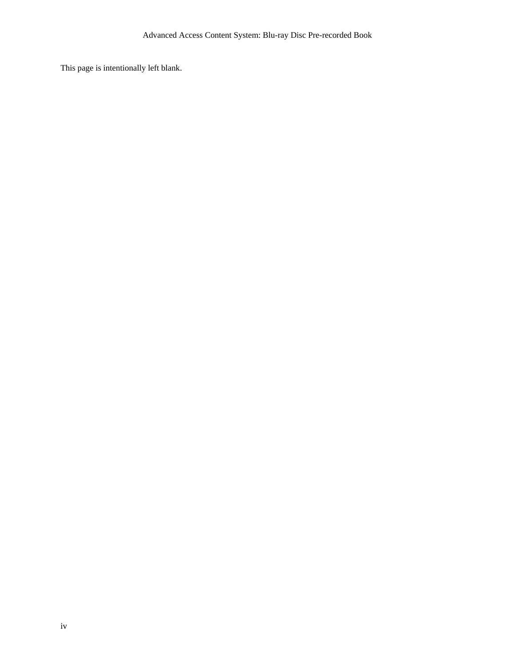This page is intentionally left blank.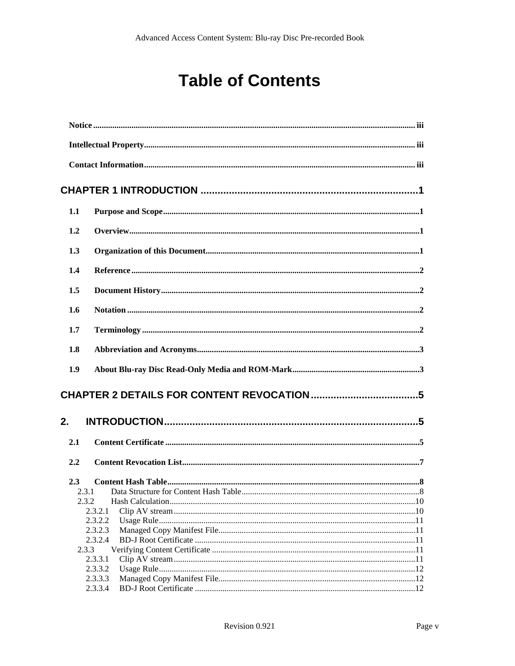# **Table of Contents**

| 1.1 |         |  |
|-----|---------|--|
| 1.2 |         |  |
| 1.3 |         |  |
| 1.4 |         |  |
| 1.5 |         |  |
| 1.6 |         |  |
| 1.7 |         |  |
| 1.8 |         |  |
| 1.9 |         |  |
|     |         |  |
|     |         |  |
| 2.  |         |  |
| 2.1 |         |  |
| 2.2 |         |  |
| 2.3 |         |  |
|     | 2.3.1   |  |
|     | 2.3.2   |  |
|     | 2.3.2.1 |  |
|     | 2.3.2.2 |  |
|     | 2.3.2.3 |  |
|     | 2.3.2.4 |  |
|     | 2.3.3   |  |
|     | 2.3.3.1 |  |
|     | 2.3.3.2 |  |
|     | 2.3.3.3 |  |
|     | 2.3.3.4 |  |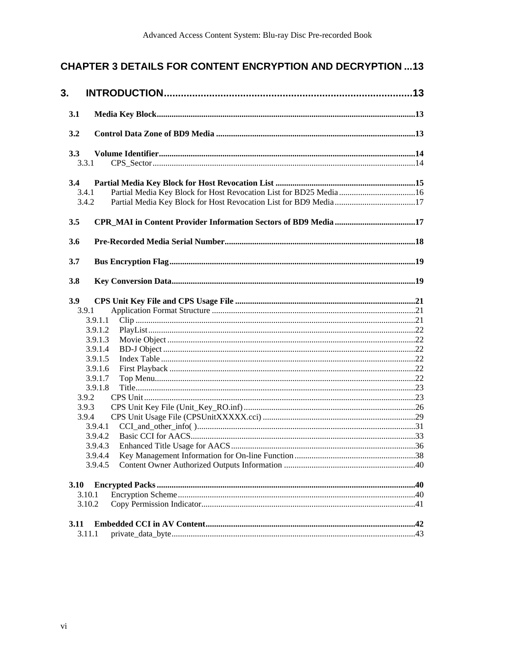# **CHAPTER 3 DETAILS FOR CONTENT ENCRYPTION AND DECRYPTION ...13**

| 3.                                                                                                                                                        |  |
|-----------------------------------------------------------------------------------------------------------------------------------------------------------|--|
| 3.1                                                                                                                                                       |  |
| 3.2                                                                                                                                                       |  |
| 3.3                                                                                                                                                       |  |
| 3.3.1                                                                                                                                                     |  |
| 3.4                                                                                                                                                       |  |
| Partial Media Key Block for Host Revocation List for BD25 Media 16<br>3.4.1<br>3.4.2<br>Partial Media Key Block for Host Revocation List for BD9 Media 17 |  |
| 3.5                                                                                                                                                       |  |
|                                                                                                                                                           |  |
| 3.6                                                                                                                                                       |  |
| 3.7                                                                                                                                                       |  |
| 3.8                                                                                                                                                       |  |
| 3.9                                                                                                                                                       |  |
| 3.9.1                                                                                                                                                     |  |
| 3.9.1.1                                                                                                                                                   |  |
| 3.9.1.2<br>3.9.1.3                                                                                                                                        |  |
| 3.9.1.4                                                                                                                                                   |  |
| 3.9.1.5                                                                                                                                                   |  |
| 3.9.1.6                                                                                                                                                   |  |
| 3.9.1.7                                                                                                                                                   |  |
| 3.9.1.8                                                                                                                                                   |  |
| 3.9.2                                                                                                                                                     |  |
| 3.9.3                                                                                                                                                     |  |
| 3.9.4                                                                                                                                                     |  |
| 3.9.4.1                                                                                                                                                   |  |
| 3.9.4.2                                                                                                                                                   |  |
| 3.9.4.3<br>3.9.4.4                                                                                                                                        |  |
| 3.9.4.5                                                                                                                                                   |  |
| 3.10                                                                                                                                                      |  |
| 3.10.1                                                                                                                                                    |  |
| 3.10.2                                                                                                                                                    |  |
| 3.11                                                                                                                                                      |  |
| 3.11.1                                                                                                                                                    |  |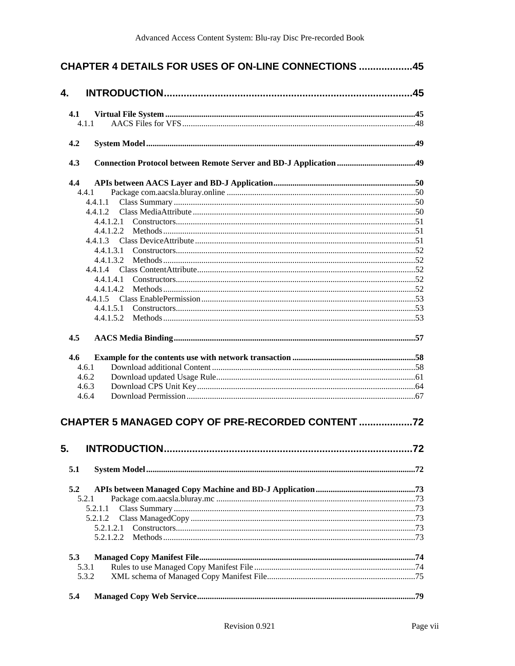| 4.                                                     |     |
|--------------------------------------------------------|-----|
|                                                        |     |
| 4.1                                                    |     |
| 4.1.1                                                  |     |
| 4.2                                                    |     |
| 4.3                                                    |     |
| 4.4                                                    |     |
| 4.4.1                                                  |     |
| 4.4.1.1                                                |     |
| 4.4.1.2                                                |     |
|                                                        |     |
|                                                        |     |
| 4.4.1.3                                                |     |
| 4.4.1.3.1                                              |     |
| 4.4.1.3.2                                              |     |
| 4.4.1.4                                                |     |
|                                                        |     |
|                                                        |     |
|                                                        |     |
| 4.4.1.5.1                                              |     |
| 4.4.1.5.2                                              |     |
| 4.5                                                    |     |
| 4.6                                                    |     |
| 4.6.1                                                  |     |
| 4.6.2                                                  |     |
| 4.6.3                                                  |     |
| 4.6.4                                                  |     |
| <b>CHAPTER 5 MANAGED COPY OF PRE-RECORDED CONTENT </b> |     |
| 5.                                                     | .72 |
| 5.1                                                    |     |
|                                                        |     |
| 5.2                                                    |     |
| 5.2.1                                                  |     |
| 5.2.1.1                                                |     |
| 5.2.1.2                                                |     |
| 5.2.1.2.1                                              |     |
|                                                        |     |
| 5.2.1.2.2                                              |     |
| 5.3                                                    |     |
| 5.3.1                                                  |     |
| 5.3.2                                                  |     |
| 5.4                                                    |     |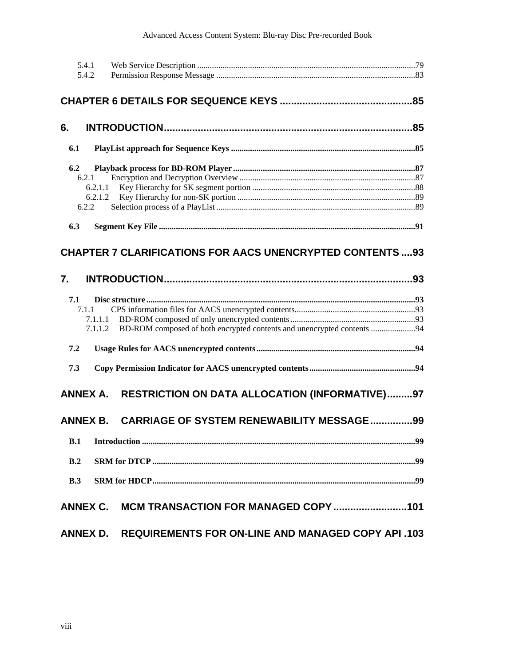| 5.4.1<br>5.4.2  |                                                                                   |  |
|-----------------|-----------------------------------------------------------------------------------|--|
|                 |                                                                                   |  |
|                 |                                                                                   |  |
| 6.              |                                                                                   |  |
| 6.1             |                                                                                   |  |
| 6.2             |                                                                                   |  |
| 6.2.1           |                                                                                   |  |
|                 | 6.2.1.1                                                                           |  |
| 6.2.2           | 6.2.1.2                                                                           |  |
|                 |                                                                                   |  |
| 6.3             |                                                                                   |  |
|                 | <b>CHAPTER 7 CLARIFICATIONS FOR AACS UNENCRYPTED CONTENTS 93</b>                  |  |
| 7.              |                                                                                   |  |
|                 |                                                                                   |  |
| 7.1<br>7.1.1    |                                                                                   |  |
|                 | 7.1.1.1                                                                           |  |
|                 | BD-ROM composed of both encrypted contents and unencrypted contents 94<br>7.1.1.2 |  |
| 7.2             |                                                                                   |  |
| 7.3             |                                                                                   |  |
| <b>ANNEX A.</b> | <b>RESTRICTION ON DATA ALLOCATION (INFORMATIVE)97</b>                             |  |
| <b>ANNEX B.</b> | <b>CARRIAGE OF SYSTEM RENEWABILITY MESSAGE99</b>                                  |  |
| B.1             |                                                                                   |  |
| B.2             |                                                                                   |  |
| B.3             |                                                                                   |  |
|                 | ANNEX C. MCM TRANSACTION FOR MANAGED COPY 101                                     |  |
|                 | ANNEX D. REQUIREMENTS FOR ON-LINE AND MANAGED COPY API .103                       |  |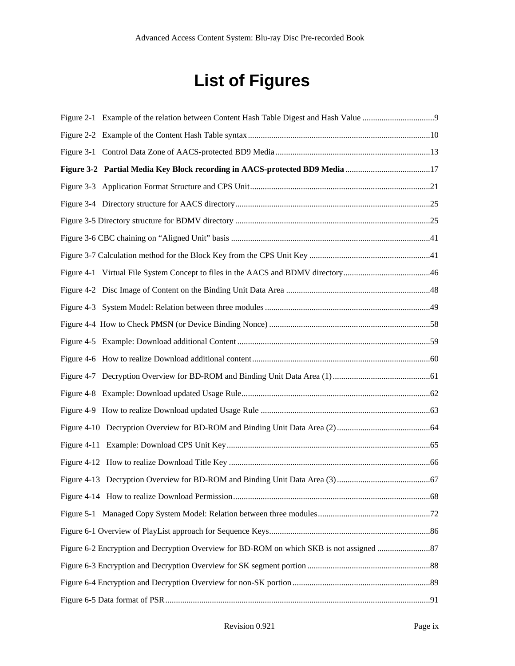# **List of Figures**

| Figure 3-2 Partial Media Key Block recording in AACS-protected BD9 Media 17 |  |
|-----------------------------------------------------------------------------|--|
|                                                                             |  |
|                                                                             |  |
|                                                                             |  |
|                                                                             |  |
|                                                                             |  |
|                                                                             |  |
|                                                                             |  |
|                                                                             |  |
|                                                                             |  |
|                                                                             |  |
|                                                                             |  |
|                                                                             |  |
|                                                                             |  |
|                                                                             |  |
|                                                                             |  |
|                                                                             |  |
|                                                                             |  |
|                                                                             |  |
|                                                                             |  |
|                                                                             |  |
|                                                                             |  |
|                                                                             |  |
|                                                                             |  |
|                                                                             |  |
|                                                                             |  |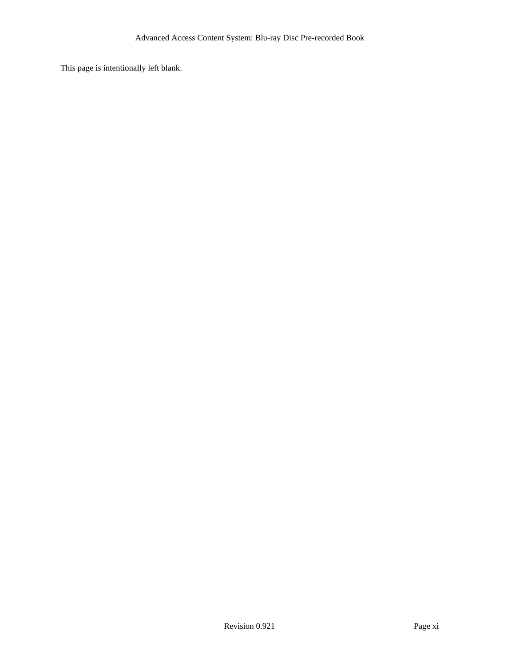This page is intentionally left blank.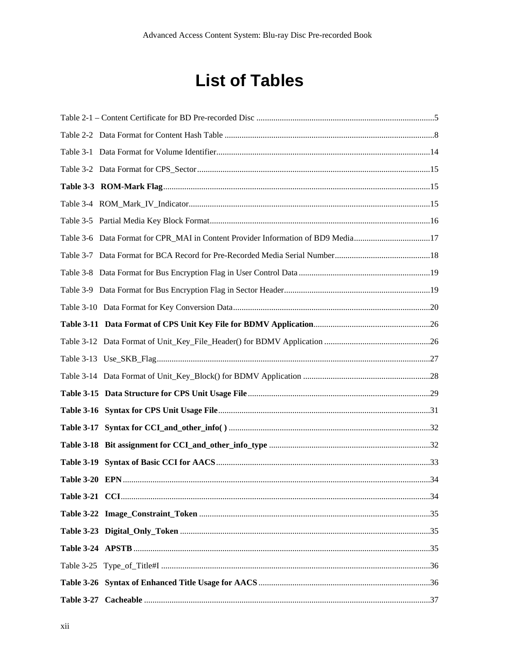# **List of Tables**

| Table 3-6 Data Format for CPR_MAI in Content Provider Information of BD9 Media17 |  |
|----------------------------------------------------------------------------------|--|
|                                                                                  |  |
|                                                                                  |  |
|                                                                                  |  |
|                                                                                  |  |
|                                                                                  |  |
|                                                                                  |  |
|                                                                                  |  |
|                                                                                  |  |
|                                                                                  |  |
|                                                                                  |  |
|                                                                                  |  |
|                                                                                  |  |
|                                                                                  |  |
|                                                                                  |  |
|                                                                                  |  |
|                                                                                  |  |
|                                                                                  |  |
|                                                                                  |  |
|                                                                                  |  |
|                                                                                  |  |
|                                                                                  |  |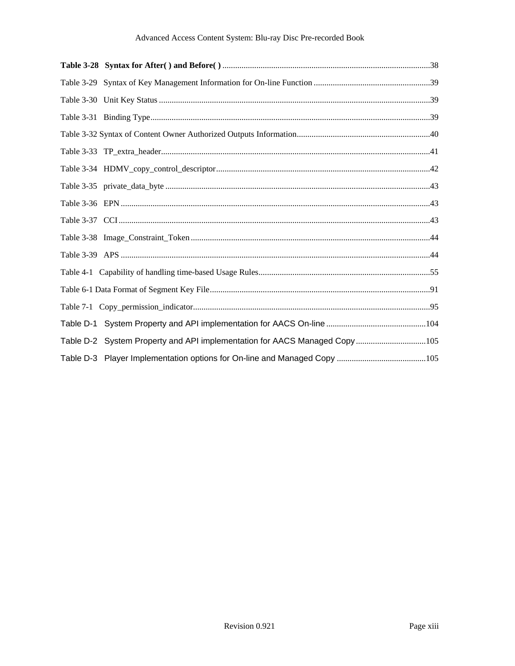#### Advanced Access Content System: Blu-ray Disc Pre-recorded Book

| Table D-2 System Property and API implementation for AACS Managed Copy105 |
|---------------------------------------------------------------------------|
|                                                                           |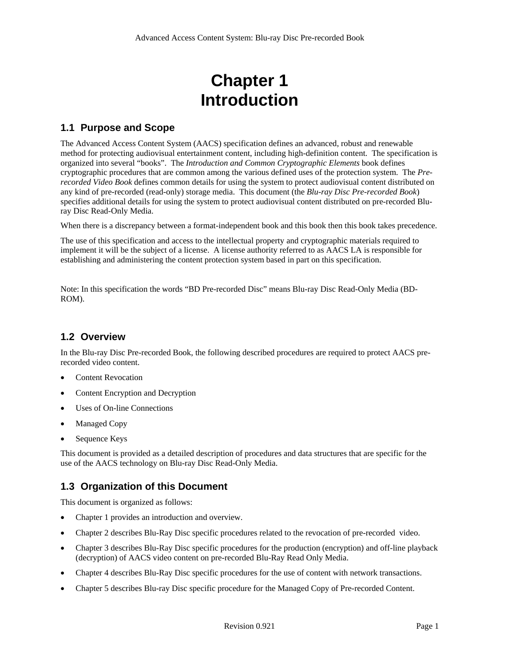# **Chapter 1 Introduction**

## <span id="page-14-0"></span>**1.1 Purpose and Scope**

The Advanced Access Content System (AACS) specification defines an advanced, robust and renewable method for protecting audiovisual entertainment content, including high-definition content. The specification is organized into several "books". The *Introduction and Common Cryptographic Elements* book defines cryptographic procedures that are common among the various defined uses of the protection system. The *Prerecorded Video Book* defines common details for using the system to protect audiovisual content distributed on any kind of pre-recorded (read-only) storage media. This document (the *Blu-ray Disc Pre-recorded Book*) specifies additional details for using the system to protect audiovisual content distributed on pre-recorded Bluray Disc Read-Only Media.

When there is a discrepancy between a format-independent book and this book then this book takes precedence.

The use of this specification and access to the intellectual property and cryptographic materials required to implement it will be the subject of a license. A license authority referred to as AACS LA is responsible for establishing and administering the content protection system based in part on this specification.

Note: In this specification the words "BD Pre-recorded Disc" means Blu-ray Disc Read-Only Media (BD-ROM).

#### **1.2 Overview**

In the Blu-ray Disc Pre-recorded Book, the following described procedures are required to protect AACS prerecorded video content.

- **Content Revocation**
- Content Encryption and Decryption
- Uses of On-line Connections
- Managed Copy
- Sequence Keys

This document is provided as a detailed description of procedures and data structures that are specific for the use of the AACS technology on Blu-ray Disc Read-Only Media.

#### **1.3 Organization of this Document**

This document is organized as follows:

- Chapter 1 provides an introduction and overview.
- Chapter 2 describes Blu-Ray Disc specific procedures related to the revocation of pre-recorded video.
- Chapter 3 describes Blu-Ray Disc specific procedures for the production (encryption) and off-line playback (decryption) of AACS video content on pre-recorded Blu-Ray Read Only Media.
- Chapter 4 describes Blu-Ray Disc specific procedures for the use of content with network transactions.
- Chapter 5 describes Blu-ray Disc specific procedure for the Managed Copy of Pre-recorded Content.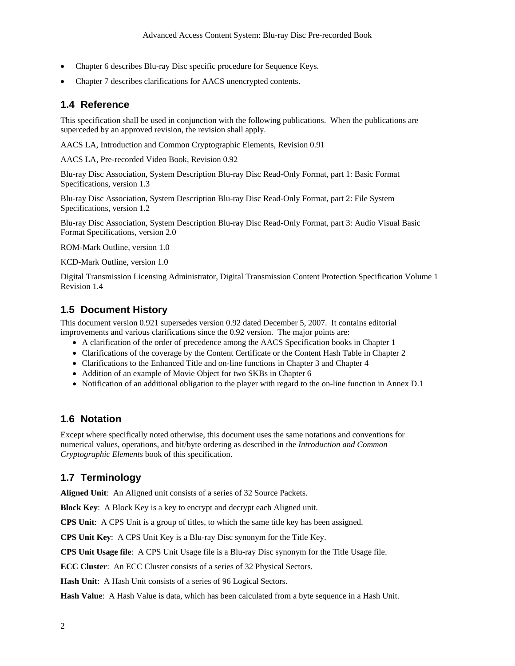- <span id="page-15-0"></span>• Chapter 6 describes Blu-ray Disc specific procedure for Sequence Keys.
- Chapter 7 describes clarifications for AACS unencrypted contents.

#### **1.4 Reference**

This specification shall be used in conjunction with the following publications. When the publications are superceded by an approved revision, the revision shall apply.

AACS LA, Introduction and Common Cryptographic Elements, Revision 0.91

AACS LA, Pre-recorded Video Book, Revision 0.92

Blu-ray Disc Association, System Description Blu-ray Disc Read-Only Format, part 1: Basic Format Specifications, version 1.3

Blu-ray Disc Association, System Description Blu-ray Disc Read-Only Format, part 2: File System Specifications, version 1.2

Blu-ray Disc Association, System Description Blu-ray Disc Read-Only Format, part 3: Audio Visual Basic Format Specifications, version 2.0

ROM-Mark Outline, version 1.0

KCD-Mark Outline, version 1.0

Digital Transmission Licensing Administrator, Digital Transmission Content Protection Specification Volume 1 Revision 1.4

## **1.5 Document History**

This document version 0.921 supersedes version 0.92 dated December 5, 2007. It contains editorial improvements and various clarifications since the 0.92 version. The major points are:

- A clarification of the order of precedence among the AACS Specification books in Chapter 1
- Clarifications of the coverage by the Content Certificate or the Content Hash Table in Chapter 2
- Clarifications to the Enhanced Title and on-line functions in Chapter 3 and Chapter 4
- Addition of an example of Movie Object for two SKBs in Chapter 6
- Notification of an additional obligation to the player with regard to the on-line function in Annex D.1

#### **1.6 Notation**

Except where specifically noted otherwise, this document uses the same notations and conventions for numerical values, operations, and bit/byte ordering as described in the *Introduction and Common Cryptographic Elements* book of this specification.

## **1.7 Terminology**

**Aligned Unit**: An Aligned unit consists of a series of 32 Source Packets.

**Block Key**: A Block Key is a key to encrypt and decrypt each Aligned unit.

**CPS Unit**: A CPS Unit is a group of titles, to which the same title key has been assigned.

**CPS Unit Key**: A CPS Unit Key is a Blu-ray Disc synonym for the Title Key.

**CPS Unit Usage file**: A CPS Unit Usage file is a Blu-ray Disc synonym for the Title Usage file.

**ECC Cluster**: An ECC Cluster consists of a series of 32 Physical Sectors.

**Hash Unit**: A Hash Unit consists of a series of 96 Logical Sectors.

**Hash Value**: A Hash Value is data, which has been calculated from a byte sequence in a Hash Unit.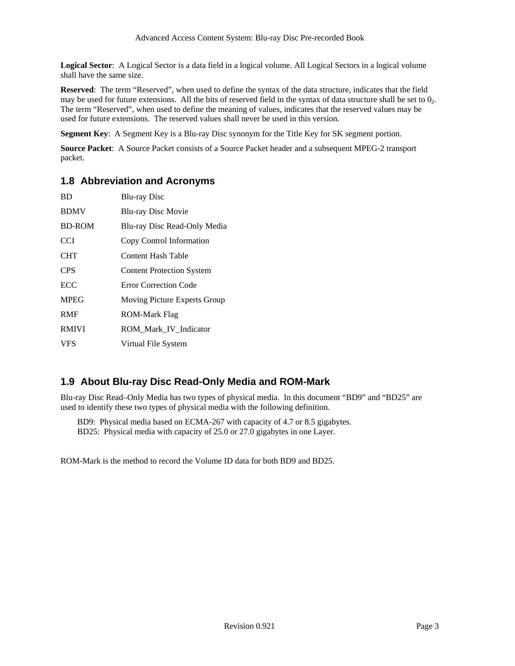<span id="page-16-0"></span>**Logical Sector**: A Logical Sector is a data field in a logical volume. All Logical Sectors in a logical volume shall have the same size.

**Reserved**: The term "Reserved", when used to define the syntax of the data structure, indicates that the field may be used for future extensions. All the bits of reserved field in the syntax of data structure shall be set to  $0<sub>2</sub>$ . The term "Reserved", when used to define the meaning of values, indicates that the reserved values may be used for future extensions. The reserved values shall never be used in this version.

**Segment Key**: A Segment Key is a Blu-ray Disc synonym for the Title Key for SK segment portion.

**Source Packet**: A Source Packet consists of a Source Packet header and a subsequent MPEG-2 transport packet.

#### **1.8 Abbreviation and Acronyms**

| <b>BD</b>     | <b>Blu-ray Disc</b>              |
|---------------|----------------------------------|
| <b>BDMV</b>   | <b>Blu-ray Disc Movie</b>        |
| <b>BD-ROM</b> | Blu-ray Disc Read-Only Media     |
| <b>CCI</b>    | Copy Control Information         |
| <b>CHT</b>    | Content Hash Table               |
| <b>CPS</b>    | <b>Content Protection System</b> |
| ECC           | Error Correction Code            |
| <b>MPEG</b>   | Moving Picture Experts Group     |
| <b>RMF</b>    | ROM-Mark Flag                    |
| <b>RMIVI</b>  | ROM_Mark_IV_Indicator            |
| VFS           | Virtual File System              |

# **1.9 About Blu-ray Disc Read-Only Media and ROM-Mark**

Blu-ray Disc Read–Only Media has two types of physical media. In this document "BD9" and "BD25" are used to identify these two types of physical media with the following definition.

BD9: Physical media based on ECMA-267 with capacity of 4.7 or 8.5 gigabytes. BD25: Physical media with capacity of 25.0 or 27.0 gigabytes in one Layer.

ROM-Mark is the method to record the Volume ID data for both BD9 and BD25.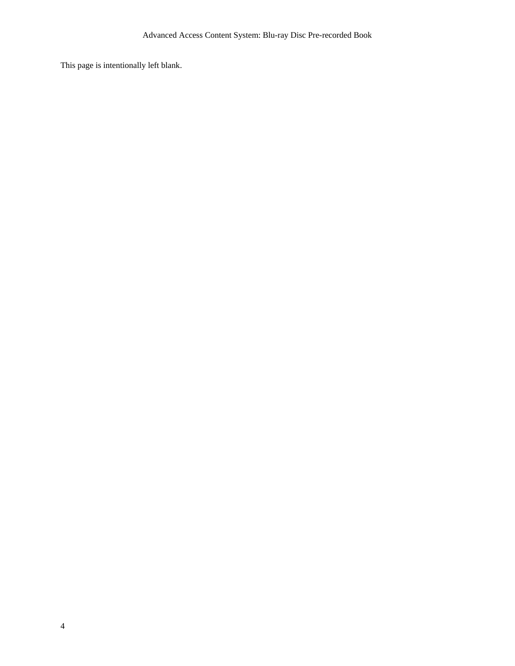This page is intentionally left blank.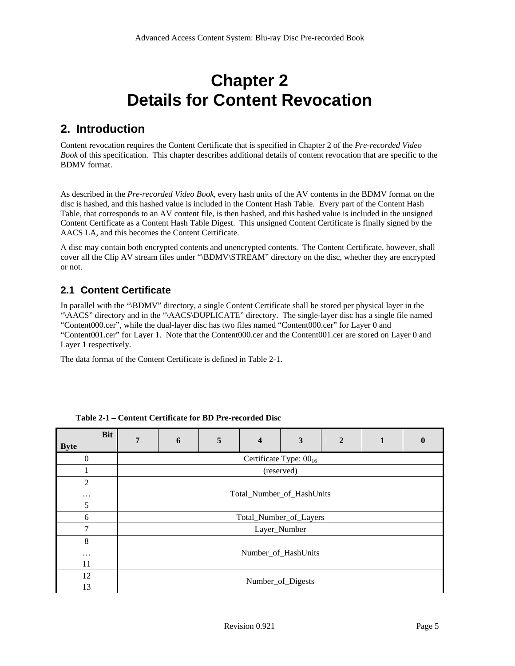# **Chapter 2 Details for Content Revocation**

# <span id="page-18-0"></span>**2. Introduction**

Content revocation requires the Content Certificate that is specified in Chapter 2 of the *Pre-recorded Video Book* of this specification. This chapter describes additional details of content revocation that are specific to the BDMV format.

As described in the *Pre-recorded Video Book*, every hash units of the AV contents in the BDMV format on the disc is hashed, and this hashed value is included in the Content Hash Table. Every part of the Content Hash Table, that corresponds to an AV content file, is then hashed, and this hashed value is included in the unsigned Content Certificate as a Content Hash Table Digest. This unsigned Content Certificate is finally signed by the AACS LA, and this becomes the Content Certificate.

A disc may contain both encrypted contents and unencrypted contents. The Content Certificate, however, shall cover all the Clip AV stream files under "\BDMV\STREAM" directory on the disc, whether they are encrypted or not.

# **2.1 Content Certificate**

In parallel with the "\BDMV" directory, a single Content Certificate shall be stored per physical layer in the "\AACS" directory and in the "\AACS\DUPLICATE" directory. The single-layer disc has a single file named "Content000.cer", while the dual-layer disc has two files named "Content000.cer" for Layer 0 and "Content001.cer" for Layer 1. Note that the Content000.cer and the Content001.cer are stored on Layer 0 and Layer 1 respectively.

The data format of the Content Certificate is defined in [Table 2-1](#page-18-1).

<span id="page-18-1"></span>

| <b>Bit</b>     | 7                   | 6                         | 5 | $\boldsymbol{4}$            | 3 | $\overline{2}$ |  | $\bf{0}$ |  |
|----------------|---------------------|---------------------------|---|-----------------------------|---|----------------|--|----------|--|
| <b>Byte</b>    |                     |                           |   |                             |   |                |  |          |  |
| 0              |                     |                           |   | Certificate Type: $00_{16}$ |   |                |  |          |  |
|                |                     | (reserved)                |   |                             |   |                |  |          |  |
| $\overline{2}$ |                     |                           |   |                             |   |                |  |          |  |
| $\ddotsc$      |                     | Total_Number_of_HashUnits |   |                             |   |                |  |          |  |
| 5              |                     |                           |   |                             |   |                |  |          |  |
| 6              |                     | Total_Number_of_Layers    |   |                             |   |                |  |          |  |
| 7              | Layer_Number        |                           |   |                             |   |                |  |          |  |
| 8              |                     |                           |   |                             |   |                |  |          |  |
| $\cdots$       | Number_of_HashUnits |                           |   |                             |   |                |  |          |  |
| 11             |                     |                           |   |                             |   |                |  |          |  |
| 12             |                     |                           |   |                             |   |                |  |          |  |
| 13             |                     | Number_of_Digests         |   |                             |   |                |  |          |  |

#### **Table 2-1 – Content Certificate for BD Pre-recorded Disc**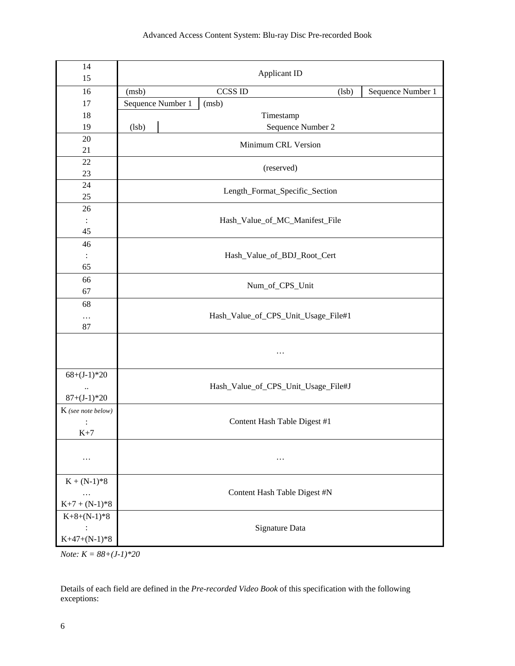| 14<br>15             | Applicant ID                 |                                     |                            |  |  |  |
|----------------------|------------------------------|-------------------------------------|----------------------------|--|--|--|
| 16                   | (msb)                        | CCSS ID                             | (lsb)<br>Sequence Number 1 |  |  |  |
| 17                   | Sequence Number 1            | (msb)                               |                            |  |  |  |
| 18                   |                              | Timestamp                           |                            |  |  |  |
| 19                   | (lsb)                        | Sequence Number 2                   |                            |  |  |  |
| 20                   |                              | Minimum CRL Version                 |                            |  |  |  |
| 21                   |                              |                                     |                            |  |  |  |
| 22                   |                              | (reserved)                          |                            |  |  |  |
| 23                   |                              |                                     |                            |  |  |  |
| 24                   |                              | Length_Format_Specific_Section      |                            |  |  |  |
| 25                   |                              |                                     |                            |  |  |  |
| 26                   |                              |                                     |                            |  |  |  |
| $\ddot{\cdot}$       |                              | Hash_Value_of_MC_Manifest_File      |                            |  |  |  |
| 45                   |                              |                                     |                            |  |  |  |
| 46                   |                              | Hash_Value_of_BDJ_Root_Cert         |                            |  |  |  |
| 65                   |                              |                                     |                            |  |  |  |
| 66                   |                              |                                     |                            |  |  |  |
| 67                   |                              | Num_of_CPS_Unit                     |                            |  |  |  |
| 68                   |                              |                                     |                            |  |  |  |
| $\cdots$             |                              | Hash_Value_of_CPS_Unit_Usage_File#1 |                            |  |  |  |
| 87                   |                              |                                     |                            |  |  |  |
|                      |                              |                                     |                            |  |  |  |
|                      |                              | .                                   |                            |  |  |  |
| $68+(J-1)*20$        |                              |                                     |                            |  |  |  |
|                      |                              | Hash_Value_of_CPS_Unit_Usage_File#J |                            |  |  |  |
| $87+(J-1)*20$        |                              |                                     |                            |  |  |  |
| $K$ (see note below) |                              |                                     |                            |  |  |  |
|                      | Content Hash Table Digest #1 |                                     |                            |  |  |  |
| $K+7$                |                              |                                     |                            |  |  |  |
|                      |                              |                                     |                            |  |  |  |
| $\cdots$             |                              | $\cdots$                            |                            |  |  |  |
| $K + (N-1)*8$        |                              |                                     |                            |  |  |  |
|                      | Content Hash Table Digest #N |                                     |                            |  |  |  |
| $K+7 + (N-1)*8$      |                              |                                     |                            |  |  |  |
| $K+8+(N-1)*8$        |                              |                                     |                            |  |  |  |
|                      |                              | Signature Data                      |                            |  |  |  |
| $K+47+(N-1)*8$       |                              |                                     |                            |  |  |  |

*Note: K = 88+(J-1)\*20* 

Details of each field are defined in the *Pre-recorded Video Book* of this specification with the following exceptions: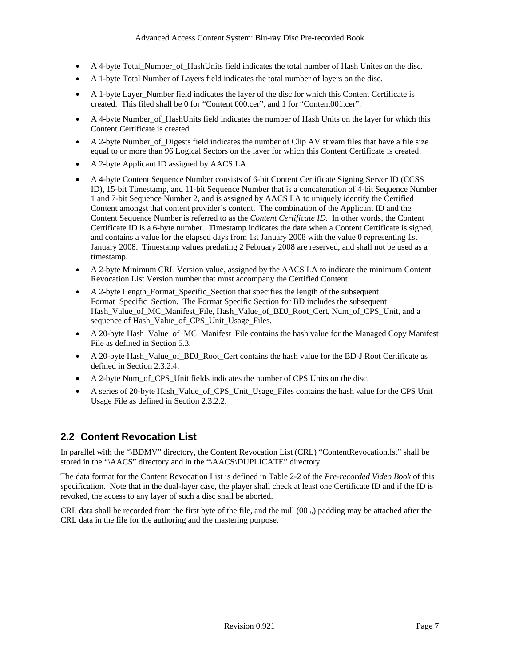- <span id="page-20-0"></span>A 4-byte Total Number of HashUnits field indicates the total number of Hash Unites on the disc.
- A 1-byte Total Number of Layers field indicates the total number of layers on the disc.
- A 1-byte Layer. Number field indicates the layer of the disc for which this Content Certificate is created. This filed shall be 0 for "Content 000.cer", and 1 for "Content001.cer".
- A 4-byte Number\_of\_HashUnits field indicates the number of Hash Units on the layer for which this Content Certificate is created.
- A 2-byte Number of Digests field indicates the number of Clip AV stream files that have a file size equal to or more than 96 Logical Sectors on the layer for which this Content Certificate is created.
- A 2-byte Applicant ID assigned by AACS LA.
- A 4-byte Content Sequence Number consists of 6-bit Content Certificate Signing Server ID (CCSS ID), 15-bit Timestamp, and 11-bit Sequence Number that is a concatenation of 4-bit Sequence Number 1 and 7-bit Sequence Number 2, and is assigned by AACS LA to uniquely identify the Certified Content amongst that content provider's content. The combination of the Applicant ID and the Content Sequence Number is referred to as the *Content Certificate ID.* In other words, the Content Certificate ID is a 6-byte number. Timestamp indicates the date when a Content Certificate is signed, and contains a value for the elapsed days from 1st January 2008 with the value 0 representing 1st January 2008. Timestamp values predating 2 February 2008 are reserved, and shall not be used as a timestamp.
- A 2-byte Minimum CRL Version value, assigned by the AACS LA to indicate the minimum Content Revocation List Version number that must accompany the Certified Content.
- A 2-byte Length\_Format\_Specific\_Section that specifies the length of the subsequent Format\_Specific\_Section. The Format Specific Section for BD includes the subsequent Hash\_Value\_of\_MC\_Manifest\_File, Hash\_Value\_of\_BDJ\_Root\_Cert, Num\_of\_CPS\_Unit, and a sequence of Hash\_Value\_of\_CPS\_Unit\_Usage\_Files.
- A 20-byte Hash\_Value\_of\_MC\_Manifest\_File contains the hash value for the Managed Copy Manifest File as defined in Section [5.3.](#page-96-1)
- A 20-byte Hash\_Value\_of\_BDJ\_Root\_Cert contains the hash value for the BD-J Root Certificate as defined in Section [2.3.2.4.](#page-24-1)
- A 2-byte Num\_of\_CPS\_Unit fields indicates the number of CPS Units on the disc.
- A series of 20-byte Hash\_Value\_of\_CPS\_Unit\_Usage\_Files contains the hash value for the CPS Unit Usage File as defined in Section [2.3.2.2](#page-24-2).

## **2.2 Content Revocation List**

In parallel with the "\BDMV" directory, the Content Revocation List (CRL) "ContentRevocation.lst" shall be stored in the "\AACS" directory and in the "\AACS\DUPLICATE" directory.

The data format for the Content Revocation List is defined in Table 2-2 of the *Pre-recorded Video Book* of this specification. Note that in the dual-layer case, the player shall check at least one Certificate ID and if the ID is revoked, the access to any layer of such a disc shall be aborted.

CRL data shall be recorded from the first byte of the file, and the null  $(00<sub>16</sub>)$  padding may be attached after the CRL data in the file for the authoring and the mastering purpose.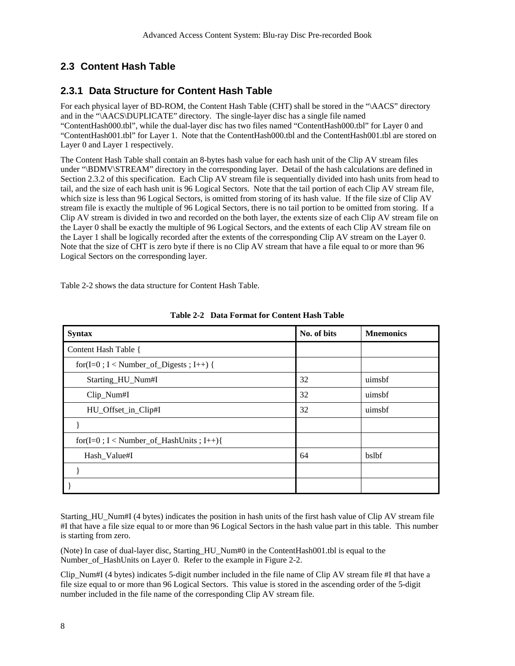# <span id="page-21-0"></span>**2.3 Content Hash Table**

## **2.3.1 Data Structure for Content Hash Table**

For each physical layer of BD-ROM, the Content Hash Table (CHT) shall be stored in the "\AACS" directory and in the "\AACS\DUPLICATE" directory. The single-layer disc has a single file named "ContentHash000.tbl", while the dual-layer disc has two files named "ContentHash000.tbl" for Layer 0 and "ContentHash001.tbl" for Layer 1. Note that the ContentHash000.tbl and the ContentHash001.tbl are stored on Layer 0 and Layer 1 respectively.

The Content Hash Table shall contain an 8-bytes hash value for each hash unit of the Clip AV stream files under "\BDMV\STREAM" directory in the corresponding layer. Detail of the hash calculations are defined in Section [2.3.2](#page-23-1) of this specification. Each Clip AV stream file is sequentially divided into hash units from head to tail, and the size of each hash unit is 96 Logical Sectors. Note that the tail portion of each Clip AV stream file, which size is less than 96 Logical Sectors, is omitted from storing of its hash value. If the file size of Clip AV stream file is exactly the multiple of 96 Logical Sectors, there is no tail portion to be omitted from storing. If a Clip AV stream is divided in two and recorded on the both layer, the extents size of each Clip AV stream file on the Layer 0 shall be exactly the multiple of 96 Logical Sectors, and the extents of each Clip AV stream file on the Layer 1 shall be logically recorded after the extents of the corresponding Clip AV stream on the Layer 0. Note that the size of CHT is zero byte if there is no Clip AV stream that have a file equal to or more than 96 Logical Sectors on the corresponding layer.

[Table 2-2](#page-21-1) shows the data structure for Content Hash Table.

<span id="page-21-1"></span>

| <b>Syntax</b>                              | No. of bits | <b>Mnemonics</b> |
|--------------------------------------------|-------------|------------------|
| Content Hash Table {                       |             |                  |
| $for(I=0; I < Number_of_Digests ; I++)$ {  |             |                  |
| Starting_HU_Num#I                          | 32          | uimsbf           |
| Clip_Num#I                                 | 32          | uimsbf           |
| HU_Offset_in_Clip#I                        | 32          | uimsbf           |
|                                            |             |                  |
| $for(I=0; I <$ Number_of_HashUnits ; I++){ |             |                  |
| Hash_Value#I                               | 64          | bslbf            |
|                                            |             |                  |
|                                            |             |                  |

**Table 2-2 Data Format for Content Hash Table** 

Starting HU\_Num#I (4 bytes) indicates the position in hash units of the first hash value of Clip AV stream file #I that have a file size equal to or more than 96 Logical Sectors in the hash value part in this table. This number is starting from zero.

(Note) In case of dual-layer disc, Starting\_HU\_Num#0 in the ContentHash001.tbl is equal to the Number\_of\_HashUnits on Layer 0. Refer to the example in [Figure 2-2.](#page-23-2)

Clip Num#I (4 bytes) indicates 5-digit number included in the file name of Clip AV stream file #I that have a file size equal to or more than 96 Logical Sectors. This value is stored in the ascending order of the 5-digit number included in the file name of the corresponding Clip AV stream file.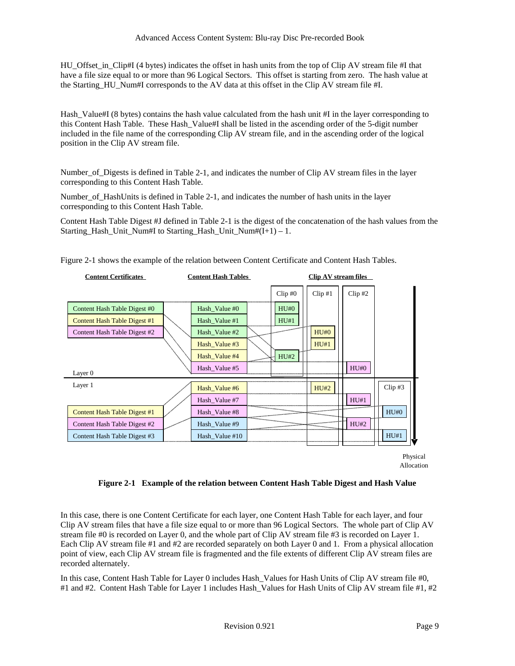<span id="page-22-0"></span>HU\_Offset\_in\_Clip#I (4 bytes) indicates the offset in hash units from the top of Clip AV stream file #I that have a file size equal to or more than 96 Logical Sectors. This offset is starting from zero. The hash value at the Starting HU\_Num#I corresponds to the AV data at this offset in the Clip AV stream file #I.

Hash\_Value#I (8 bytes) contains the hash value calculated from the hash unit #I in the layer corresponding to this Content Hash Table. These Hash\_Value#I shall be listed in the ascending order of the 5-digit number included in the file name of the corresponding Clip AV stream file, and in the ascending order of the logical position in the Clip AV stream file.

Number of Digests is defined in [Table 2-1](#page-18-1), and indicates the number of Clip AV stream files in the layer corresponding to this Content Hash Table.

Number\_of\_HashUnits is defined in [Table 2-1](#page-18-1), and indicates the number of hash units in the layer corresponding to this Content Hash Table.

Content Hash Table Digest #J defined in [Table 2-1](#page-18-1) is the digest of the concatenation of the hash values from the Starting\_Hash\_Unit\_Num#I to Starting\_Hash\_Unit\_Num# $(I+1) - 1$ .



[Figure 2-1](#page-22-1) shows the example of the relation between Content Certificate and Content Hash Tables.

#### **Figure 2-1 Example of the relation between Content Hash Table Digest and Hash Value**

<span id="page-22-1"></span>In this case, there is one Content Certificate for each layer, one Content Hash Table for each layer, and four Clip AV stream files that have a file size equal to or more than 96 Logical Sectors. The whole part of Clip AV stream file #0 is recorded on Layer 0, and the whole part of Clip AV stream file #3 is recorded on Layer 1. Each Clip AV stream file #1 and #2 are recorded separately on both Layer 0 and 1. From a physical allocation point of view, each Clip AV stream file is fragmented and the file extents of different Clip AV stream files are recorded alternately.

In this case, Content Hash Table for Layer 0 includes Hash\_Values for Hash Units of Clip AV stream file #0, #1 and #2. Content Hash Table for Layer 1 includes Hash\_Values for Hash Units of Clip AV stream file #1, #2

Physical Allocation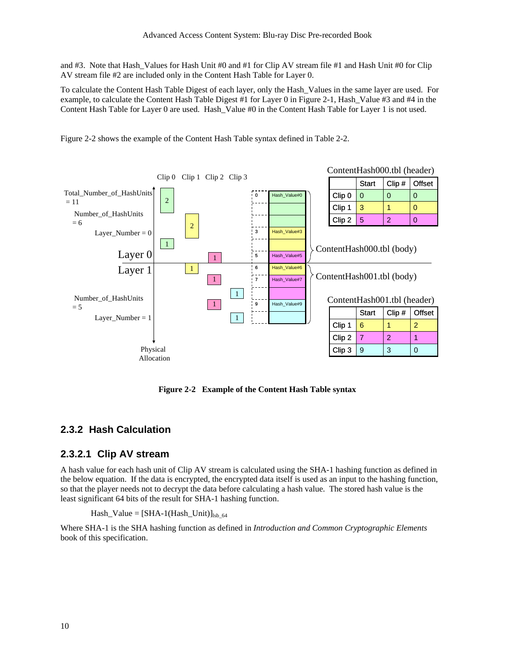<span id="page-23-0"></span>and #3. Note that Hash\_Values for Hash Unit #0 and #1 for Clip AV stream file #1 and Hash Unit #0 for Clip AV stream file #2 are included only in the Content Hash Table for Layer 0.

To calculate the Content Hash Table Digest of each layer, only the Hash\_Values in the same layer are used. For example, to calculate the Content Hash Table Digest #1 for Layer 0 in [Figure 2-1](#page-22-1), Hash\_Value #3 and #4 in the Content Hash Table for Layer 0 are used. Hash\_Value #0 in the Content Hash Table for Layer 1 is not used.





**Figure 2-2 Example of the Content Hash Table syntax** 

# <span id="page-23-2"></span><span id="page-23-1"></span>**2.3.2 Hash Calculation**

## **2.3.2.1 Clip AV stream**

A hash value for each hash unit of Clip AV stream is calculated using the SHA-1 hashing function as defined in the below equation. If the data is encrypted, the encrypted data itself is used as an input to the hashing function, so that the player needs not to decrypt the data before calculating a hash value. The stored hash value is the least significant 64 bits of the result for SHA-1 hashing function.

Hash\_Value =  $[SHA-1(Hash_U)_{lsb-64}]$ 

Where SHA-1 is the SHA hashing function as defined in *Introduction and Common Cryptographic Elements* book of this specification.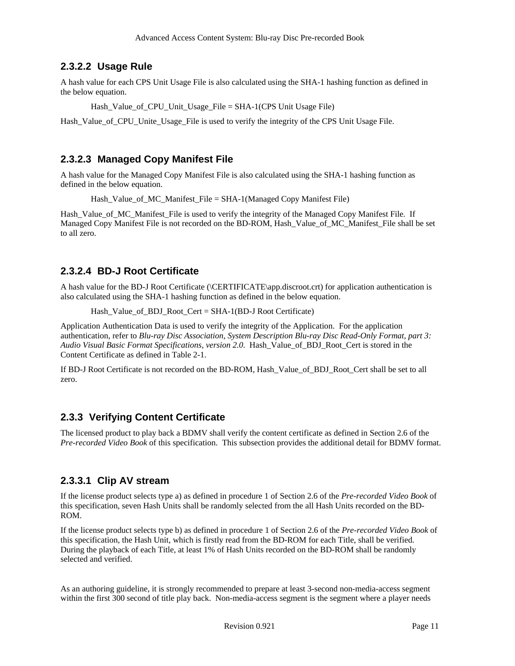#### <span id="page-24-2"></span><span id="page-24-0"></span>**2.3.2.2 Usage Rule**

A hash value for each CPS Unit Usage File is also calculated using the SHA-1 hashing function as defined in the below equation.

Hash\_Value\_of\_CPU\_Unit\_Usage\_File = SHA-1(CPS Unit Usage File)

Hash\_Value\_of\_CPU\_Unite\_Usage\_File is used to verify the integrity of the CPS Unit Usage File.

## **2.3.2.3 Managed Copy Manifest File**

A hash value for the Managed Copy Manifest File is also calculated using the SHA-1 hashing function as defined in the below equation.

Hash\_Value\_of\_MC\_Manifest\_File = SHA-1(Managed Copy Manifest File)

Hash\_Value\_of\_MC\_Manifest\_File is used to verify the integrity of the Managed Copy Manifest File. If Managed Copy Manifest File is not recorded on the BD-ROM, Hash Value of MC Manifest File shall be set to all zero.

## <span id="page-24-1"></span>**2.3.2.4 BD-J Root Certificate**

A hash value for the BD-J Root Certificate (\CERTIFICATE\app.discroot.crt) for application authentication is also calculated using the SHA-1 hashing function as defined in the below equation.

Hash Value of BDJ Root Cert =  $SHA-1(BD-J Root$  Certificate)

Application Authentication Data is used to verify the integrity of the Application. For the application authentication, refer to *Blu-ray Disc Association, System Description Blu-ray Disc Read-Only Format, part 3: Audio Visual Basic Format Specifications, version 2.0*. Hash\_Value\_of\_BDJ\_Root\_Cert is stored in the Content Certificate as defined in [Table 2-1](#page-18-1).

If BD-J Root Certificate is not recorded on the BD-ROM, Hash\_Value\_of\_BDJ\_Root\_Cert shall be set to all zero.

#### **2.3.3 Verifying Content Certificate**

The licensed product to play back a BDMV shall verify the content certificate as defined in Section 2.6 of the *Pre-recorded Video Book* of this specification. This subsection provides the additional detail for BDMV format.

## **2.3.3.1 Clip AV stream**

If the license product selects type a) as defined in procedure 1 of Section 2.6 of the *Pre-recorded Video Book* of this specification, seven Hash Units shall be randomly selected from the all Hash Units recorded on the BD-ROM.

If the license product selects type b) as defined in procedure 1 of Section 2.6 of the *Pre-recorded Video Book* of this specification, the Hash Unit, which is firstly read from the BD-ROM for each Title, shall be verified. During the playback of each Title, at least 1% of Hash Units recorded on the BD-ROM shall be randomly selected and verified.

As an authoring guideline, it is strongly recommended to prepare at least 3-second non-media-access segment within the first 300 second of title play back. Non-media-access segment is the segment where a player needs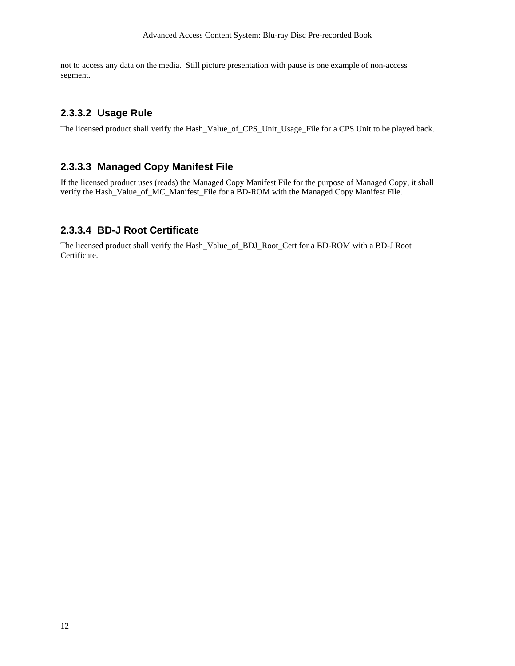<span id="page-25-0"></span>not to access any data on the media. Still picture presentation with pause is one example of non-access segment.

## **2.3.3.2 Usage Rule**

The licensed product shall verify the Hash\_Value\_of\_CPS\_Unit\_Usage\_File for a CPS Unit to be played back.

#### **2.3.3.3 Managed Copy Manifest File**

If the licensed product uses (reads) the Managed Copy Manifest File for the purpose of Managed Copy, it shall verify the Hash\_Value\_of\_MC\_Manifest\_File for a BD-ROM with the Managed Copy Manifest File.

#### **2.3.3.4 BD-J Root Certificate**

The licensed product shall verify the Hash\_Value\_of\_BDJ\_Root\_Cert for a BD-ROM with a BD-J Root Certificate.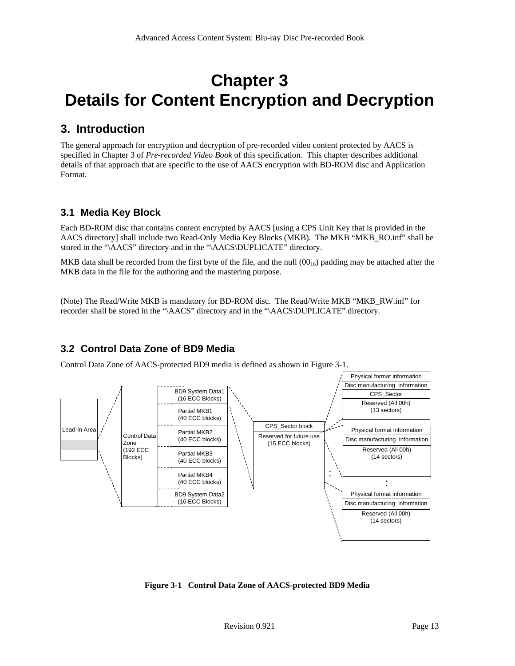# <span id="page-26-0"></span>**Chapter 3 Details for Content Encryption and Decryption**

# **3. Introduction**

The general approach for encryption and decryption of pre-recorded video content protected by AACS is specified in Chapter 3 of *Pre-recorded Video Book* of this specification. This chapter describes additional details of that approach that are specific to the use of AACS encryption with BD-ROM disc and Application Format.

## **3.1 Media Key Block**

Each BD-ROM disc that contains content encrypted by AACS [using a CPS Unit Key that is provided in the AACS directory] shall include two Read-Only Media Key Blocks (MKB). The MKB "MKB\_RO.inf" shall be stored in the "\AACS" directory and in the "\AACS\DUPLICATE" directory.

MKB data shall be recorded from the first byte of the file, and the null  $(00<sub>16</sub>)$  padding may be attached after the MKB data in the file for the authoring and the mastering purpose.

(Note) The Read/Write MKB is mandatory for BD-ROM disc. The Read/Write MKB "MKB\_RW.inf" for recorder shall be stored in the "\AACS" directory and in the "\AACS\DUPLICATE" directory.

# **3.2 Control Data Zone of BD9 Media**

Control Data Zone of AACS-protected BD9 media is defined as shown in Figure 3-1.

<span id="page-26-1"></span>

**Figure 3-1 Control Data Zone of AACS-protected BD9 Media**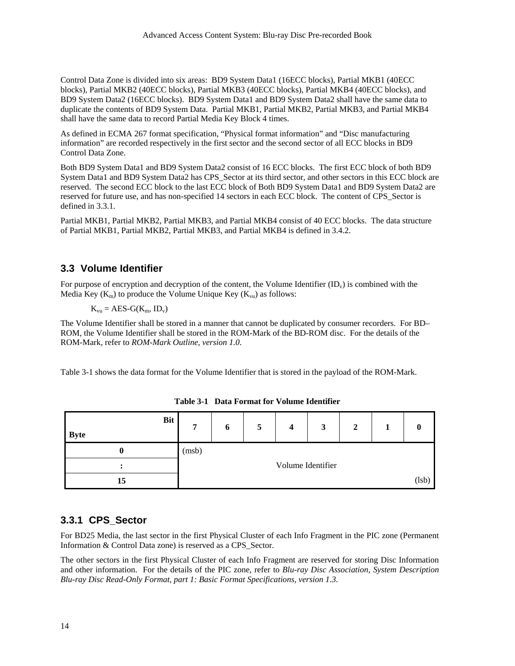<span id="page-27-0"></span>Control Data Zone is divided into six areas: BD9 System Data1 (16ECC blocks), Partial MKB1 (40ECC blocks), Partial MKB2 (40ECC blocks), Partial MKB3 (40ECC blocks), Partial MKB4 (40ECC blocks), and BD9 System Data2 (16ECC blocks). BD9 System Data1 and BD9 System Data2 shall have the same data to duplicate the contents of BD9 System Data. Partial MKB1, Partial MKB2, Partial MKB3, and Partial MKB4 shall have the same data to record Partial Media Key Block 4 times.

As defined in ECMA 267 format specification, "Physical format information" and "Disc manufacturing information" are recorded respectively in the first sector and the second sector of all ECC blocks in BD9 Control Data Zone.

Both BD9 System Data1 and BD9 System Data2 consist of 16 ECC blocks. The first ECC block of both BD9 System Data1 and BD9 System Data2 has CPS Sector at its third sector, and other sectors in this ECC block are reserved. The second ECC block to the last ECC block of Both BD9 System Data1 and BD9 System Data2 are reserved for future use, and has non-specified 14 sectors in each ECC block. The content of CPS\_Sector is defined in [3.3.1.](#page-27-1)

Partial MKB1, Partial MKB2, Partial MKB3, and Partial MKB4 consist of 40 ECC blocks. The data structure of Partial MKB1, Partial MKB2, Partial MKB3, and Partial MKB4 is defined in [3.4.2.](#page-30-1)

#### **3.3 Volume Identifier**

For purpose of encryption and decryption of the content, the Volume Identifier  $(ID<sub>v</sub>)$  is combined with the Media Key  $(K_m)$  to produce the Volume Unique Key  $(K_{vu})$  as follows:

$$
K_{vu} = AES-G(K_m, ID_v)
$$

The Volume Identifier shall be stored in a manner that cannot be duplicated by consumer recorders. For BD– ROM, the Volume Identifier shall be stored in the ROM-Mark of the BD-ROM disc. For the details of the ROM-Mark, refer to *ROM-Mark Outline, version 1.0*.

[Table 3-1](#page-27-2) shows the data format for the Volume Identifier that is stored in the payload of the ROM-Mark.

<span id="page-27-2"></span>

| <b>Byte</b> | <b>Bit</b> | 7                 | $\mathbf b$ | 5 | $\overline{\mathbf{4}}$ | 3 | $\mathbf{2}$ |  |       |  |  |  |
|-------------|------------|-------------------|-------------|---|-------------------------|---|--------------|--|-------|--|--|--|
| U           |            | (msb)             |             |   |                         |   |              |  |       |  |  |  |
|             |            | Volume Identifier |             |   |                         |   |              |  |       |  |  |  |
| 15          |            |                   |             |   |                         |   |              |  | (lsb) |  |  |  |

**Table 3-1 Data Format for Volume Identifier** 

#### <span id="page-27-1"></span>**3.3.1 CPS\_Sector**

For BD25 Media, the last sector in the first Physical Cluster of each Info Fragment in the PIC zone (Permanent Information & Control Data zone) is reserved as a CPS\_Sector.

The other sectors in the first Physical Cluster of each Info Fragment are reserved for storing Disc Information and other information. For the details of the PIC zone, refer to *Blu-ray Disc Association, System Description Blu-ray Disc Read-Only Format, part 1: Basic Format Specifications, version 1.3*.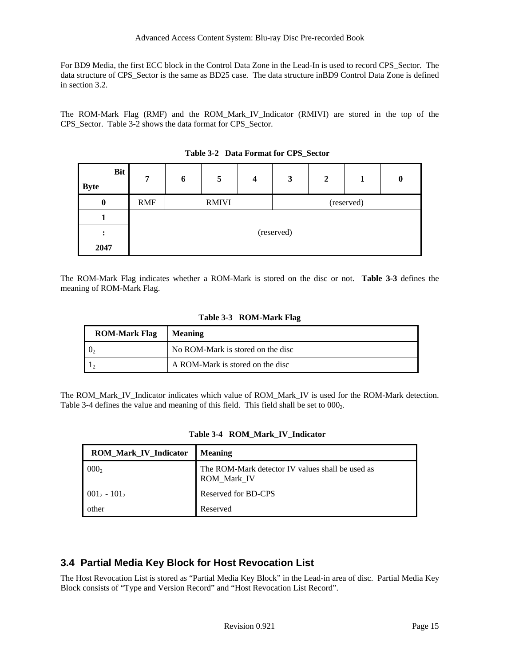<span id="page-28-0"></span>For BD9 Media, the first ECC block in the Control Data Zone in the Lead-In is used to record CPS\_Sector. The data structure of CPS\_Sector is the same as BD25 case. The data structure inBD9 Control Data Zone is defined in section [3.2.](#page-26-1)

<span id="page-28-1"></span>The ROM-Mark Flag (RMF) and the ROM\_Mark\_IV\_Indicator (RMIVI) are stored in the top of the CPS\_Sector. [Table 3-2](#page-28-1) shows the data format for CPS\_Sector.

| <b>Bit</b><br><b>Byte</b> | 7          | 6          | 5            | $\overline{\mathbf{4}}$ | 3          | $\overline{2}$ | 1 | $\boldsymbol{0}$ |  |  |  |
|---------------------------|------------|------------|--------------|-------------------------|------------|----------------|---|------------------|--|--|--|
| $\bf{0}$                  | <b>RMF</b> |            | <b>RMIVI</b> |                         | (reserved) |                |   |                  |  |  |  |
|                           |            |            |              |                         |            |                |   |                  |  |  |  |
|                           |            | (reserved) |              |                         |            |                |   |                  |  |  |  |
| 2047                      |            |            |              |                         |            |                |   |                  |  |  |  |

**Table 3-2 Data Format for CPS\_Sector** 

<span id="page-28-2"></span>The ROM-Mark Flag indicates whether a ROM-Mark is stored on the disc or not. **[Table 3-3](#page-28-2)** defines the meaning of ROM-Mark Flag.

**Table 3-3 ROM-Mark Flag** 

| <b>ROM-Mark Flag</b> | <b>Meaning</b>                    |
|----------------------|-----------------------------------|
|                      | No ROM-Mark is stored on the disc |
|                      | A ROM-Mark is stored on the disc  |

<span id="page-28-3"></span>The ROM\_Mark\_IV\_Indicator indicates which value of ROM\_Mark\_IV is used for the ROM-Mark detection. [Table 3-4](#page-28-3) defines the value and meaning of this field. This field shall be set to  $000<sub>2</sub>$ .

|  |  |  |  | Table 3-4 ROM Mark IV Indicator |
|--|--|--|--|---------------------------------|
|--|--|--|--|---------------------------------|

| ROM_Mark_IV_Indicator | <b>Meaning</b>                                                  |
|-----------------------|-----------------------------------------------------------------|
| 000 <sub>2</sub>      | The ROM-Mark detector IV values shall be used as<br>ROM_Mark_IV |
| $001_2 - 101_2$       | Reserved for BD-CPS                                             |
| other                 | Reserved                                                        |

## **3.4 Partial Media Key Block for Host Revocation List**

The Host Revocation List is stored as "Partial Media Key Block" in the Lead-in area of disc. Partial Media Key Block consists of "Type and Version Record" and "Host Revocation List Record".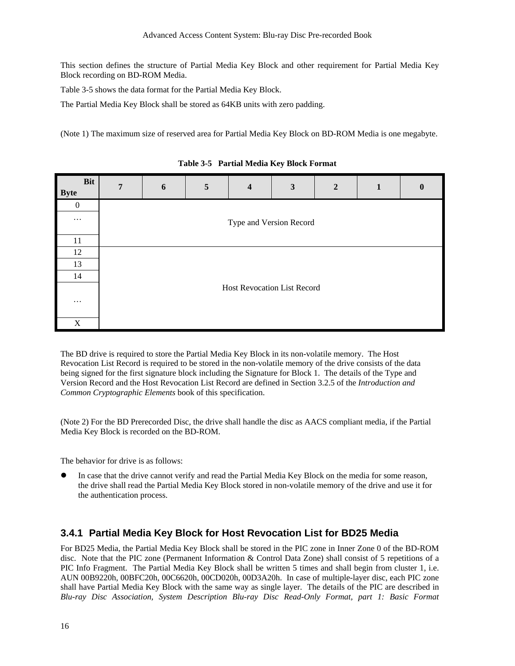<span id="page-29-0"></span>This section defines the structure of Partial Media Key Block and other requirement for Partial Media Key Block recording on BD-ROM Media.

[Table 3-5](#page-29-1) shows the data format for the Partial Media Key Block.

The Partial Media Key Block shall be stored as 64KB units with zero padding.

(Note 1) The maximum size of reserved area for Partial Media Key Block on BD-ROM Media is one megabyte.

<span id="page-29-1"></span>

| <b>Bit</b><br><b>Byte</b> | 7                       | 6 | 5 | $\overline{\mathbf{4}}$     | $\mathbf{3}$ | $\overline{2}$ |  |  |  |  |  |  |
|---------------------------|-------------------------|---|---|-----------------------------|--------------|----------------|--|--|--|--|--|--|
| $\overline{0}$            | Type and Version Record |   |   |                             |              |                |  |  |  |  |  |  |
| $\cdots$                  |                         |   |   |                             |              |                |  |  |  |  |  |  |
| 11                        |                         |   |   |                             |              |                |  |  |  |  |  |  |
| 12                        |                         |   |   |                             |              |                |  |  |  |  |  |  |
| 13                        |                         |   |   |                             |              |                |  |  |  |  |  |  |
| 14                        |                         |   |   |                             |              |                |  |  |  |  |  |  |
|                           |                         |   |   | Host Revocation List Record |              |                |  |  |  |  |  |  |
| $\cdots$                  |                         |   |   |                             |              |                |  |  |  |  |  |  |
|                           |                         |   |   |                             |              |                |  |  |  |  |  |  |
| $\mathbf X$               |                         |   |   |                             |              |                |  |  |  |  |  |  |

**Table 3-5 Partial Media Key Block Format** 

The BD drive is required to store the Partial Media Key Block in its non-volatile memory. The Host Revocation List Record is required to be stored in the non-volatile memory of the drive consists of the data being signed for the first signature block including the Signature for Block 1. The details of the Type and Version Record and the Host Revocation List Record are defined in Section 3.2.5 of the *Introduction and Common Cryptographic Elements* book of this specification.

(Note 2) For the BD Prerecorded Disc, the drive shall handle the disc as AACS compliant media, if the Partial Media Key Block is recorded on the BD-ROM.

The behavior for drive is as follows:

In case that the drive cannot verify and read the Partial Media Key Block on the media for some reason, the drive shall read the Partial Media Key Block stored in non-volatile memory of the drive and use it for the authentication process.

## **3.4.1 Partial Media Key Block for Host Revocation List for BD25 Media**

For BD25 Media, the Partial Media Key Block shall be stored in the PIC zone in Inner Zone 0 of the BD-ROM disc. Note that the PIC zone (Permanent Information & Control Data Zone) shall consist of 5 repetitions of a PIC Info Fragment. The Partial Media Key Block shall be written 5 times and shall begin from cluster 1, i.e. AUN 00B9220h, 00BFC20h, 00C6620h, 00CD020h, 00D3A20h. In case of multiple-layer disc, each PIC zone shall have Partial Media Key Block with the same way as single layer. The details of the PIC are described in *Blu-ray Disc Association, System Description Blu-ray Disc Read-Only Format, part 1: Basic Format*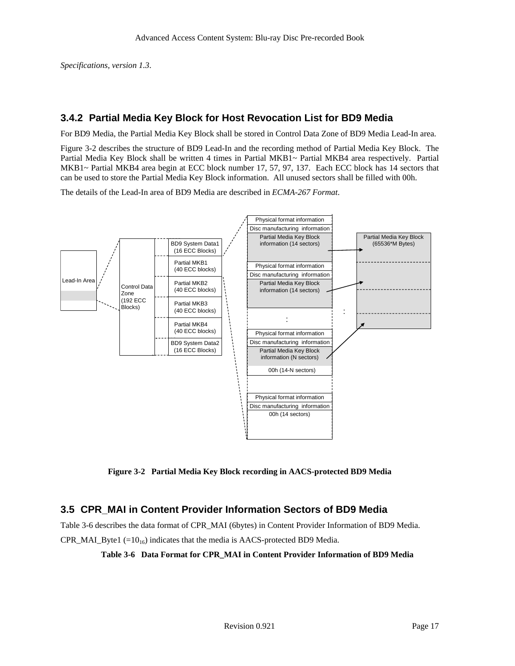<span id="page-30-0"></span>*Specifications, version 1.3*.

## <span id="page-30-1"></span>**3.4.2 Partial Media Key Block for Host Revocation List for BD9 Media**

For BD9 Media, the Partial Media Key Block shall be stored in Control Data Zone of BD9 Media Lead-In area.

[Figure 3-2](#page-30-2) describes the structure of BD9 Lead-In and the recording method of Partial Media Key Block. The Partial Media Key Block shall be written 4 times in Partial MKB1~ Partial MKB4 area respectively. Partial MKB1~ Partial MKB4 area begin at ECC block number 17, 57, 97, 137. Each ECC block has 14 sectors that can be used to store the Partial Media Key Block information. All unused sectors shall be filled with 00h.

The details of the Lead-In area of BD9 Media are described in *ECMA-267 Format*.



**Figure 3-2 Partial Media Key Block recording in AACS-protected BD9 Media** 

## <span id="page-30-2"></span>**3.5 CPR\_MAI in Content Provider Information Sectors of BD9 Media**

<span id="page-30-3"></span>[Table 3-6](#page-30-3) describes the data format of CPR\_MAI (6bytes) in Content Provider Information of BD9 Media. CPR\_MAI\_Byte1  $(=10_{16})$  indicates that the media is AACS-protected BD9 Media.

**Table 3-6 Data Format for CPR\_MAI in Content Provider Information of BD9 Media**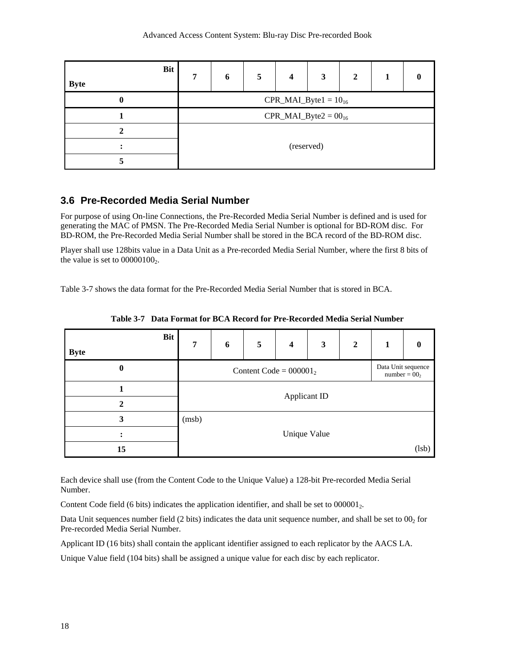<span id="page-31-0"></span>

| <b>Byte</b> | <b>Bit</b> | 7                              | 6 | 5 | $\overline{\mathbf{4}}$ | 3 | $\mathbf{2}$ |  |  |  |  |  |
|-------------|------------|--------------------------------|---|---|-------------------------|---|--------------|--|--|--|--|--|
|             |            | $CPR\_MAI\_Byte1 = 10_{16}$    |   |   |                         |   |              |  |  |  |  |  |
|             |            | $CPR\_MAI_B$ yte $2 = 00_{16}$ |   |   |                         |   |              |  |  |  |  |  |
|             |            |                                |   |   |                         |   |              |  |  |  |  |  |
|             |            | (reserved)                     |   |   |                         |   |              |  |  |  |  |  |
|             |            |                                |   |   |                         |   |              |  |  |  |  |  |

## **3.6 Pre-Recorded Media Serial Number**

For purpose of using On-line Connections, the Pre-Recorded Media Serial Number is defined and is used for generating the MAC of PMSN. The Pre-Recorded Media Serial Number is optional for BD-ROM disc. For BD-ROM, the Pre-Recorded Media Serial Number shall be stored in the BCA record of the BD-ROM disc.

Player shall use 128bits value in a Data Unit as a Pre-recorded Media Serial Number, where the first 8 bits of the value is set to  $00000100$ .

[Table 3-7](#page-31-1) shows the data format for the Pre-Recorded Media Serial Number that is stored in BCA.

<span id="page-31-1"></span>

| <b>Byte</b>  | <b>Bit</b> | 7                                                                 | 6 | 5 | $\overline{\mathbf{4}}$ | 3 | $\mathbf{2}$ | 1 |  |  |  |
|--------------|------------|-------------------------------------------------------------------|---|---|-------------------------|---|--------------|---|--|--|--|
| $\mathbf{0}$ |            | Data Unit sequence<br>Content Code = $000001_2$<br>$number = 002$ |   |   |                         |   |              |   |  |  |  |
|              |            | <b>Applicant ID</b>                                               |   |   |                         |   |              |   |  |  |  |
| າ            |            |                                                                   |   |   |                         |   |              |   |  |  |  |
| 3            |            | (msb)<br>Unique Value                                             |   |   |                         |   |              |   |  |  |  |
|              |            |                                                                   |   |   |                         |   |              |   |  |  |  |
| 15           |            | (lsb)                                                             |   |   |                         |   |              |   |  |  |  |

**Table 3-7 Data Format for BCA Record for Pre-Recorded Media Serial Number** 

Each device shall use (from the Content Code to the Unique Value) a 128-bit Pre-recorded Media Serial Number.

Content Code field (6 bits) indicates the application identifier, and shall be set to 000001<sub>2</sub>.

Data Unit sequences number field  $(2 \text{ bits})$  indicates the data unit sequence number, and shall be set to  $00<sub>2</sub>$  for Pre-recorded Media Serial Number.

Applicant ID (16 bits) shall contain the applicant identifier assigned to each replicator by the AACS LA.

Unique Value field (104 bits) shall be assigned a unique value for each disc by each replicator.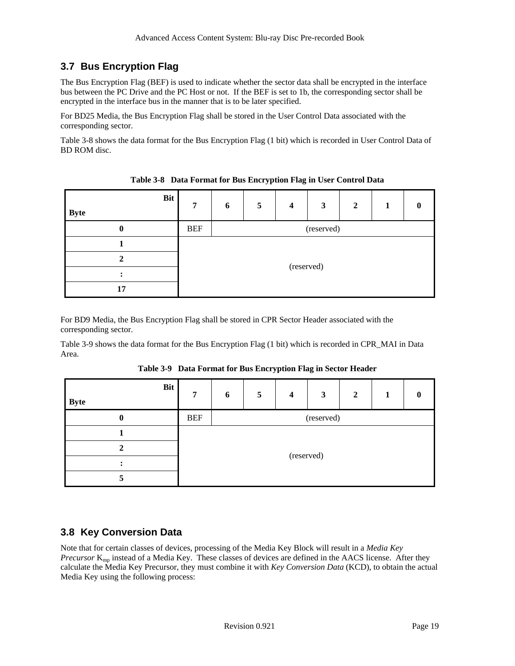# <span id="page-32-0"></span>**3.7 Bus Encryption Flag**

The Bus Encryption Flag (BEF) is used to indicate whether the sector data shall be encrypted in the interface bus between the PC Drive and the PC Host or not. If the BEF is set to 1b, the corresponding sector shall be encrypted in the interface bus in the manner that is to be later specified.

For BD25 Media, the Bus Encryption Flag shall be stored in the User Control Data associated with the corresponding sector.

[Table 3-8](#page-32-1) shows the data format for the Bus Encryption Flag (1 bit) which is recorded in User Control Data of BD ROM disc.

<span id="page-32-1"></span>

| <b>Byte</b>      | <b>Bit</b> | 7          | 6          | 5 | $\boldsymbol{4}$ | 3 | $\overline{2}$ | 1 |  |  |  |  |
|------------------|------------|------------|------------|---|------------------|---|----------------|---|--|--|--|--|
| $\boldsymbol{0}$ |            | <b>BEF</b> | (reserved) |   |                  |   |                |   |  |  |  |  |
|                  |            |            |            |   |                  |   |                |   |  |  |  |  |
|                  |            | (reserved) |            |   |                  |   |                |   |  |  |  |  |
|                  |            |            |            |   |                  |   |                |   |  |  |  |  |
| 17               |            |            |            |   |                  |   |                |   |  |  |  |  |

**Table 3-8 Data Format for Bus Encryption Flag in User Control Data** 

For BD9 Media, the Bus Encryption Flag shall be stored in CPR Sector Header associated with the corresponding sector.

[Table 3-9](#page-32-2) shows the data format for the Bus Encryption Flag (1 bit) which is recorded in CPR\_MAI in Data Area.

**Table 3-9 Data Format for Bus Encryption Flag in Sector Header** 

<span id="page-32-2"></span>

| <b>Byte</b> | <b>Bit</b> | 7          | 6          | 5 | $\overline{\mathbf{4}}$ | 3 | $\overline{2}$ | 1 |  |  |  |  |
|-------------|------------|------------|------------|---|-------------------------|---|----------------|---|--|--|--|--|
|             |            | <b>BEF</b> | (reserved) |   |                         |   |                |   |  |  |  |  |
|             |            |            |            |   |                         |   |                |   |  |  |  |  |
|             |            |            |            |   |                         |   |                |   |  |  |  |  |
|             |            | (reserved) |            |   |                         |   |                |   |  |  |  |  |
|             |            |            |            |   |                         |   |                |   |  |  |  |  |

## **3.8 Key Conversion Data**

Note that for certain classes of devices, processing of the Media Key Block will result in a *Media Key Precursor* K<sub>mp</sub> instead of a Media Key. These classes of devices are defined in the AACS license. After they calculate the Media Key Precursor, they must combine it with *Key Conversion Data* (KCD), to obtain the actual Media Key using the following process: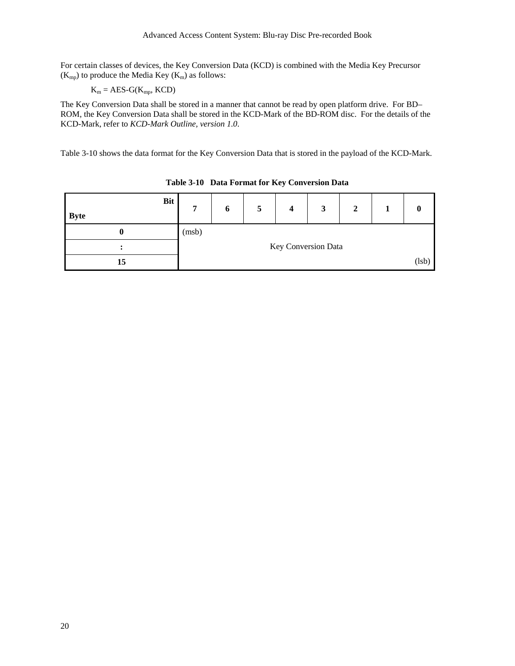<span id="page-33-0"></span>For certain classes of devices, the Key Conversion Data (KCD) is combined with the Media Key Precursor  $(K_{mp})$  to produce the Media Key  $(K_m)$  as follows:

$$
K_m = AES-G(K_{mp}, KCD)
$$

The Key Conversion Data shall be stored in a manner that cannot be read by open platform drive. For BD– ROM, the Key Conversion Data shall be stored in the KCD-Mark of the BD-ROM disc. For the details of the KCD-Mark, refer to *KCD-Mark Outline, version 1.0*.

[Table 3-10](#page-33-1) shows the data format for the Key Conversion Data that is stored in the payload of the KCD-Mark.

<span id="page-33-1"></span>

| <b>Bit</b><br><b>Byte</b> | 7                   | 6 | 5 | $\overline{\mathbf{4}}$ | 3 | ↑ |  |       |  |  |  |  |
|---------------------------|---------------------|---|---|-------------------------|---|---|--|-------|--|--|--|--|
| 0                         | (msb)               |   |   |                         |   |   |  |       |  |  |  |  |
|                           | Key Conversion Data |   |   |                         |   |   |  |       |  |  |  |  |
| 15                        |                     |   |   |                         |   |   |  | (lsb) |  |  |  |  |

**Table 3-10 Data Format for Key Conversion Data**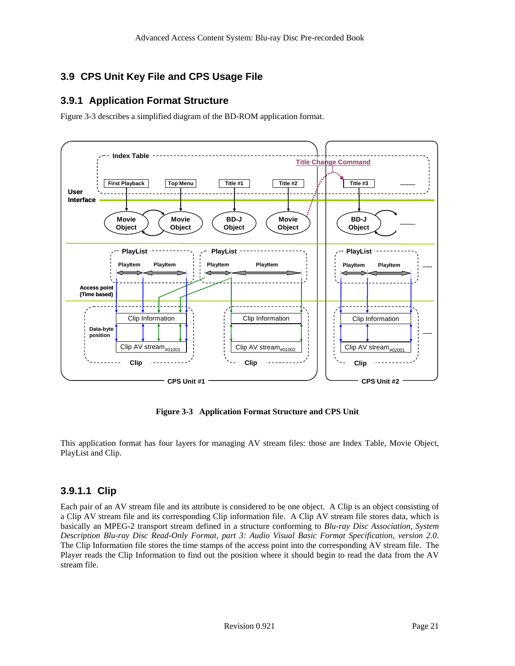# <span id="page-34-0"></span>**3.9 CPS Unit Key File and CPS Usage File**

#### **3.9.1 Application Format Structure**

[Figure 3-3](#page-34-1) describes a simplified diagram of the BD-ROM application format.



**Figure 3-3 Application Format Structure and CPS Unit**

<span id="page-34-1"></span>This application format has four layers for managing AV stream files: those are Index Table, Movie Object, PlayList and Clip.

## **3.9.1.1 Clip**

Each pair of an AV stream file and its attribute is considered to be one object. A Clip is an object consisting of a Clip AV stream file and its corresponding Clip information file. A Clip AV stream file stores data, which is basically an MPEG-2 transport stream defined in a structure conforming to *Blu-ray Disc Association, System Description Blu-ray Disc Read-Only Format, part 3: Audio Visual Basic Format Specification, version 2.0*. The Clip Information file stores the time stamps of the access point into the corresponding AV stream file. The Player reads the Clip Information to find out the position where it should begin to read the data from the AV stream file.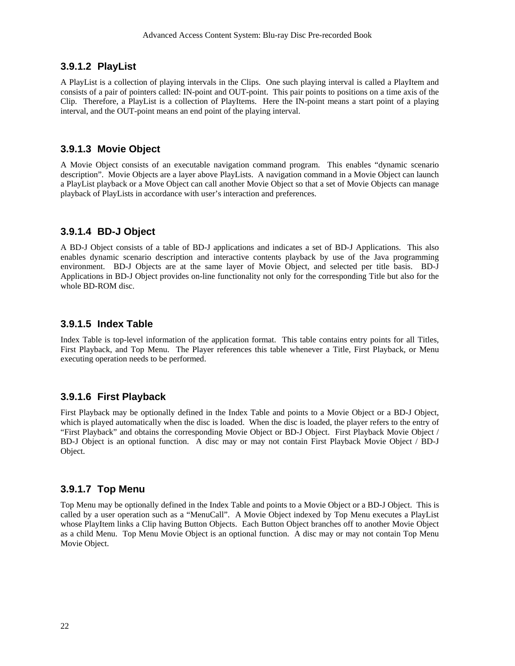#### <span id="page-35-0"></span>**3.9.1.2 PlayList**

A PlayList is a collection of playing intervals in the Clips. One such playing interval is called a PlayItem and consists of a pair of pointers called: IN-point and OUT-point. This pair points to positions on a time axis of the Clip. Therefore, a PlayList is a collection of PlayItems. Here the IN-point means a start point of a playing interval, and the OUT-point means an end point of the playing interval.

#### **3.9.1.3 Movie Object**

A Movie Object consists of an executable navigation command program. This enables "dynamic scenario description". Movie Objects are a layer above PlayLists. A navigation command in a Movie Object can launch a PlayList playback or a Move Object can call another Movie Object so that a set of Movie Objects can manage playback of PlayLists in accordance with user's interaction and preferences.

#### **3.9.1.4 BD-J Object**

A BD-J Object consists of a table of BD-J applications and indicates a set of BD-J Applications. This also enables dynamic scenario description and interactive contents playback by use of the Java programming environment. BD-J Objects are at the same layer of Movie Object, and selected per title basis. BD-J Applications in BD-J Object provides on-line functionality not only for the corresponding Title but also for the whole BD-ROM disc.

#### **3.9.1.5 Index Table**

Index Table is top-level information of the application format. This table contains entry points for all Titles, First Playback, and Top Menu. The Player references this table whenever a Title, First Playback, or Menu executing operation needs to be performed.

#### **3.9.1.6 First Playback**

First Playback may be optionally defined in the Index Table and points to a Movie Object or a BD-J Object, which is played automatically when the disc is loaded. When the disc is loaded, the player refers to the entry of "First Playback" and obtains the corresponding Movie Object or BD-J Object. First Playback Movie Object / BD-J Object is an optional function. A disc may or may not contain First Playback Movie Object / BD-J Object.

#### **3.9.1.7 Top Menu**

Top Menu may be optionally defined in the Index Table and points to a Movie Object or a BD-J Object. This is called by a user operation such as a "MenuCall". A Movie Object indexed by Top Menu executes a PlayList whose PlayItem links a Clip having Button Objects. Each Button Object branches off to another Movie Object as a child Menu. Top Menu Movie Object is an optional function. A disc may or may not contain Top Menu Movie Object.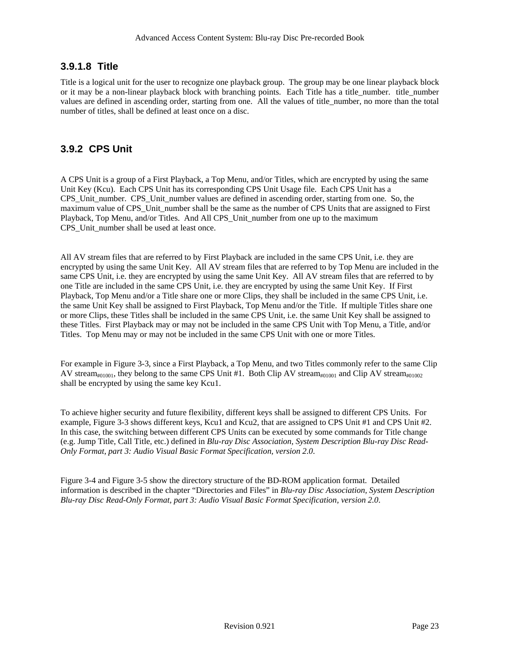# **3.9.1.8 Title**

Title is a logical unit for the user to recognize one playback group. The group may be one linear playback block or it may be a non-linear playback block with branching points. Each Title has a title\_number. title\_number values are defined in ascending order, starting from one. All the values of title\_number, no more than the total number of titles, shall be defined at least once on a disc.

# **3.9.2 CPS Unit**

A CPS Unit is a group of a First Playback, a Top Menu, and/or Titles, which are encrypted by using the same Unit Key (Kcu). Each CPS Unit has its corresponding CPS Unit Usage file. Each CPS Unit has a CPS\_Unit\_number. CPS\_Unit\_number values are defined in ascending order, starting from one. So, the maximum value of CPS. Unit number shall be the same as the number of CPS Units that are assigned to First Playback, Top Menu, and/or Titles. And All CPS\_Unit\_number from one up to the maximum CPS\_Unit\_number shall be used at least once.

All AV stream files that are referred to by First Playback are included in the same CPS Unit, i.e. they are encrypted by using the same Unit Key. All AV stream files that are referred to by Top Menu are included in the same CPS Unit, i.e. they are encrypted by using the same Unit Key. All AV stream files that are referred to by one Title are included in the same CPS Unit, i.e. they are encrypted by using the same Unit Key. If First Playback, Top Menu and/or a Title share one or more Clips, they shall be included in the same CPS Unit, i.e. the same Unit Key shall be assigned to First Playback, Top Menu and/or the Title. If multiple Titles share one or more Clips, these Titles shall be included in the same CPS Unit, i.e. the same Unit Key shall be assigned to these Titles. First Playback may or may not be included in the same CPS Unit with Top Menu, a Title, and/or Titles. Top Menu may or may not be included in the same CPS Unit with one or more Titles.

For example in [Figure 3-3](#page-34-0), since a First Playback, a Top Menu, and two Titles commonly refer to the same Clip AV stream $_{\#01001}$ , they belong to the same CPS Unit #1. Both Clip AV stream $_{\#01001}$  and Clip AV stream $_{\#01002}$ shall be encrypted by using the same key Kcu1.

To achieve higher security and future flexibility, different keys shall be assigned to different CPS Units. For example, [Figure 3-3](#page-34-0) shows different keys, Kcu1 and Kcu2, that are assigned to CPS Unit #1 and CPS Unit #2. In this case, the switching between different CPS Units can be executed by some commands for Title change (e.g. Jump Title, Call Title, etc.) defined in *Blu-ray Disc Association, System Description Blu-ray Disc Read-Only Format, part 3: Audio Visual Basic Format Specification, version 2.0*.

[Figure 3-4](#page-38-0) and [Figure 3-5](#page-38-1) show the directory structure of the BD-ROM application format. Detailed information is described in the chapter "Directories and Files" in *Blu-ray Disc Association, System Description Blu-ray Disc Read-Only Format, part 3: Audio Visual Basic Format Specification, version 2.0*.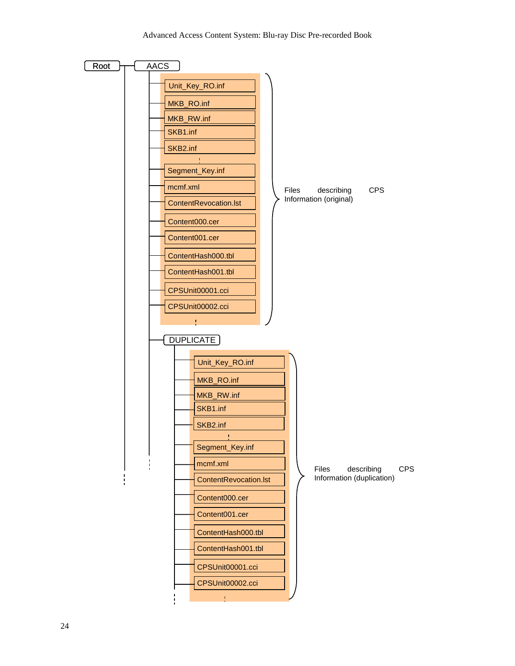#### Advanced Access Content System: Blu-ray Disc Pre-recorded Book

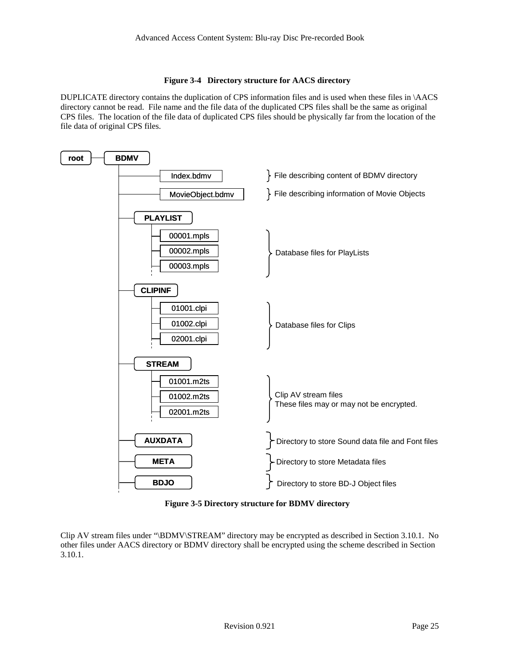#### **Figure 3-4 Directory structure for AACS directory**

<span id="page-38-0"></span>DUPLICATE directory contains the duplication of CPS information files and is used when these files in \AACS directory cannot be read. File name and the file data of the duplicated CPS files shall be the same as original CPS files. The location of the file data of duplicated CPS files should be physically far from the location of the file data of original CPS files.



**Figure 3-5 Directory structure for BDMV directory** 

<span id="page-38-1"></span>Clip AV stream files under "\BDMV\STREAM" directory may be encrypted as described in Section [3.10.1.](#page-53-0) No other files under AACS directory or BDMV directory shall be encrypted using the scheme described in Section [3.10.1](#page-53-0).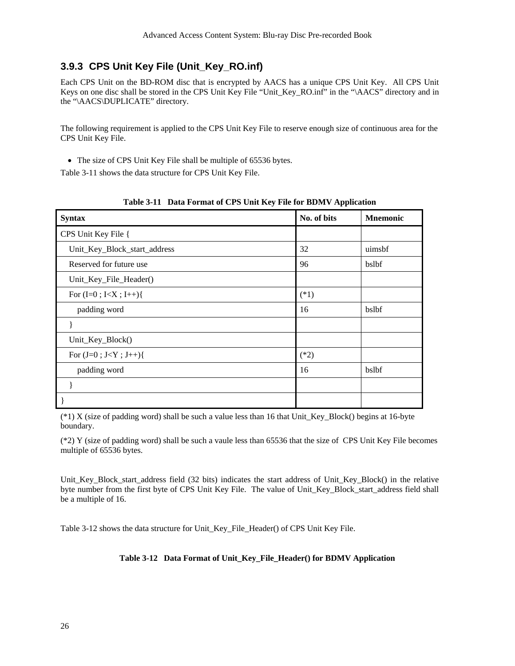# **3.9.3 CPS Unit Key File (Unit\_Key\_RO.inf)**

Each CPS Unit on the BD-ROM disc that is encrypted by AACS has a unique CPS Unit Key. All CPS Unit Keys on one disc shall be stored in the CPS Unit Key File "Unit\_Key\_RO.inf" in the "\AACS" directory and in the "\AACS\DUPLICATE" directory.

The following requirement is applied to the CPS Unit Key File to reserve enough size of continuous area for the CPS Unit Key File.

• The size of CPS Unit Key File shall be multiple of 65536 bytes.

[Table 3-11](#page-39-0) shows the data structure for CPS Unit Key File.

<span id="page-39-0"></span>

| <b>Syntax</b>                | No. of bits | <b>Mnemonic</b> |
|------------------------------|-------------|-----------------|
| CPS Unit Key File {          |             |                 |
| Unit_Key_Block_start_address | 32          | uimsbf          |
| Reserved for future use      | 96          | bslbf           |
| Unit_Key_File_Header()       |             |                 |
| For $(I=0; I$                | $(*1)$      |                 |
| padding word                 | 16          | bslbf           |
|                              |             |                 |
| Unit_Key_Block()             |             |                 |
| For $(J=0; J$                | $(*2)$      |                 |
| padding word                 | 16          | bslbf           |
|                              |             |                 |
|                              |             |                 |

**Table 3-11 Data Format of CPS Unit Key File for BDMV Application** 

(\*1) X (size of padding word) shall be such a value less than 16 that Unit\_Key\_Block() begins at 16-byte boundary.

(\*2) Y (size of padding word) shall be such a vaule less than 65536 that the size of CPS Unit Key File becomes multiple of 65536 bytes.

Unit\_Key\_Block\_start\_address field (32 bits) indicates the start address of Unit\_Key\_Block() in the relative byte number from the first byte of CPS Unit Key File. The value of Unit\_Key\_Block\_start\_address field shall be a multiple of 16.

<span id="page-39-1"></span>[Table 3-12](#page-39-1) shows the data structure for Unit\_Key\_File\_Header() of CPS Unit Key File.

#### **Table 3-12 Data Format of Unit\_Key\_File\_Header() for BDMV Application**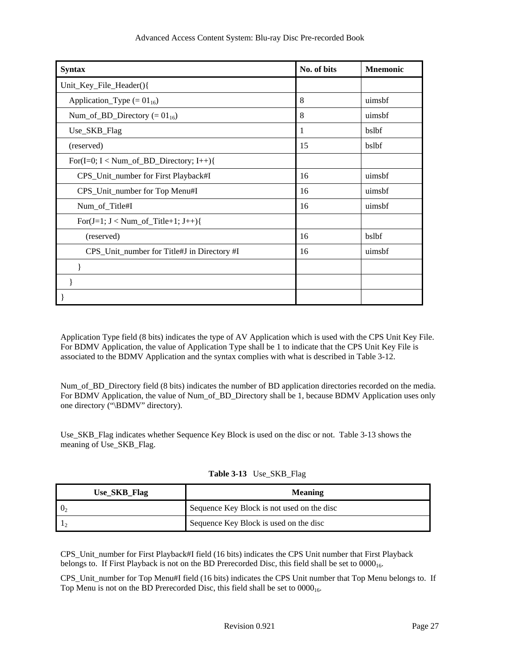|  |  |  | Advanced Access Content System: Blu-ray Disc Pre-recorded Book |
|--|--|--|----------------------------------------------------------------|
|--|--|--|----------------------------------------------------------------|

| <b>Syntax</b>                                 | No. of bits | <b>Mnemonic</b> |
|-----------------------------------------------|-------------|-----------------|
| Unit_Key_File_Header(){                       |             |                 |
| Application_Type $(=01_{16})$                 | 8           | uimsbf          |
| Num_of_BD_Directory $(=01_{16})$              | 8           | uimsbf          |
| Use_SKB_Flag                                  | 1           | bslbf           |
| (reserved)                                    | 15          | bslbf           |
| For(I=0; $I < Num\_of\_BD\_Directory; I++)$ { |             |                 |
| CPS_Unit_number for First Playback#I          | 16          | uimsbf          |
| CPS_Unit_number for Top Menu#I                | 16          | uimsbf          |
| Num_of_Title#I                                | 16          | uimsbf          |
| For(J=1; $J < Num_of_Title+1; J++)$ {         |             |                 |
| (reserved)                                    | 16          | bslbf           |
| CPS_Unit_number for Title#J in Directory #I   | 16          | uimsbf          |
|                                               |             |                 |
|                                               |             |                 |
|                                               |             |                 |

Application Type field (8 bits) indicates the type of AV Application which is used with the CPS Unit Key File. For BDMV Application, the value of Application Type shall be 1 to indicate that the CPS Unit Key File is associated to the BDMV Application and the syntax complies with what is described in [Table 3-12.](#page-39-1)

Num\_of\_BD\_Directory field (8 bits) indicates the number of BD application directories recorded on the media. For BDMV Application, the value of Num\_of\_BD\_Directory shall be 1, because BDMV Application uses only one directory ("\BDMV" directory).

Use\_SKB\_Flag indicates whether Sequence Key Block is used on the disc or not. [Table 3-13](#page-40-0) shows the meaning of Use\_SKB\_Flag.

<span id="page-40-0"></span>

| Use_SKB_Flag     | <b>Meaning</b>                             |
|------------------|--------------------------------------------|
| 0 <sub>2</sub>   | Sequence Key Block is not used on the disc |
| $\mathbf{1}_{2}$ | Sequence Key Block is used on the disc     |

CPS\_Unit\_number for First Playback#I field (16 bits) indicates the CPS Unit number that First Playback belongs to. If First Playback is not on the BD Prerecorded Disc, this field shall be set to 0000<sub>16</sub>.

CPS\_Unit\_number for Top Menu#I field (16 bits) indicates the CPS Unit number that Top Menu belongs to. If Top Menu is not on the BD Prerecorded Disc, this field shall be set to  $0000_{16}$ .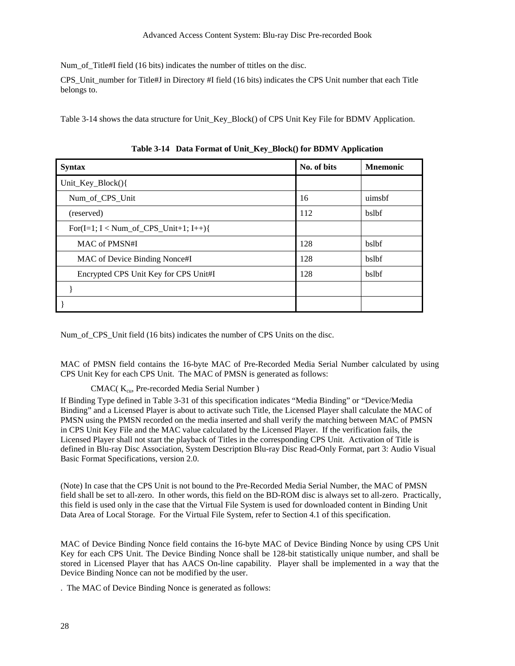Num\_of\_Title#I field (16 bits) indicates the number of ttitles on the disc.

CPS\_Unit\_number for Title#J in Directory #I field (16 bits) indicates the CPS Unit number that each Title belongs to.

[Table 3-14](#page-41-0) shows the data structure for Unit\_Key\_Block() of CPS Unit Key File for BDMV Application.

<span id="page-41-0"></span>

| <b>Syntax</b>                              | No. of bits | <b>Mnemonic</b> |
|--------------------------------------------|-------------|-----------------|
| Unit_Key_Block() $\{$                      |             |                 |
| Num_of_CPS_Unit                            | 16          | uimsbf          |
| (reserved)                                 | 112         | bslbf           |
| For(I=1; $I < Num\_of_CPS_Uinit+1$ ; I++){ |             |                 |
| MAC of PMSN#I                              | 128         | bslbf           |
| MAC of Device Binding Nonce#I              | 128         | bslbf           |
| Encrypted CPS Unit Key for CPS Unit#I      | 128         | bslbf           |
|                                            |             |                 |
|                                            |             |                 |

**Table 3-14 Data Format of Unit\_Key\_Block() for BDMV Application** 

Num of CPS Unit field (16 bits) indicates the number of CPS Units on the disc.

MAC of PMSN field contains the 16-byte MAC of Pre-Recorded Media Serial Number calculated by using CPS Unit Key for each CPS Unit. The MAC of PMSN is generated as follows:

### CMAC( K<sub>cu</sub>, Pre-recorded Media Serial Number )

If Binding Type defined in [Table 3-31](#page-52-0) of this specification indicates "Media Binding" or "Device/Media Binding" and a Licensed Player is about to activate such Title, the Licensed Player shall calculate the MAC of PMSN using the PMSN recorded on the media inserted and shall verify the matching between MAC of PMSN in CPS Unit Key File and the MAC value calculated by the Licensed Player. If the verification fails, the Licensed Player shall not start the playback of Titles in the corresponding CPS Unit. Activation of Title is defined in Blu-ray Disc Association, System Description Blu-ray Disc Read-Only Format, part 3: Audio Visual Basic Format Specifications, version 2.0.

(Note) In case that the CPS Unit is not bound to the Pre-Recorded Media Serial Number, the MAC of PMSN field shall be set to all-zero. In other words, this field on the BD-ROM disc is always set to all-zero. Practically, this field is used only in the case that the Virtual File System is used for downloaded content in Binding Unit Data Area of Local Storage. For the Virtual File System, refer to Section [4.1](#page-58-0) of this specification.

MAC of Device Binding Nonce field contains the 16-byte MAC of Device Binding Nonce by using CPS Unit Key for each CPS Unit. The Device Binding Nonce shall be 128-bit statistically unique number, and shall be stored in Licensed Player that has AACS On-line capability. Player shall be implemented in a way that the Device Binding Nonce can not be modified by the user.

. The MAC of Device Binding Nonce is generated as follows: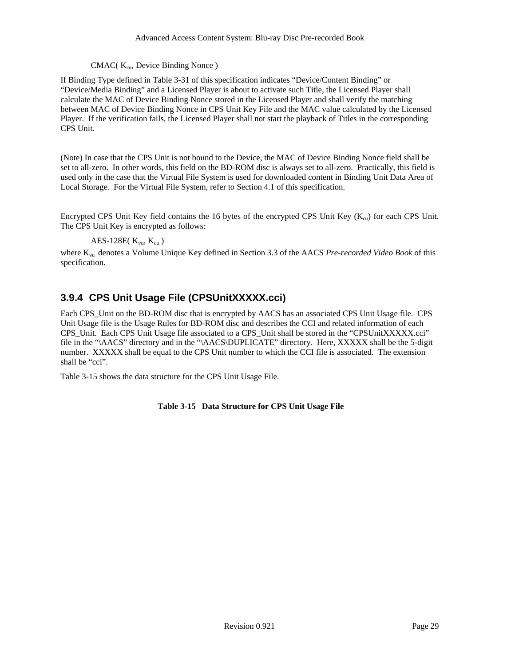#### Advanced Access Content System: Blu-ray Disc Pre-recorded Book

#### CMAC( Kcu, Device Binding Nonce)

If Binding Type defined in [Table 3-31](#page-52-0) of this specification indicates "Device/Content Binding" or "Device/Media Binding" and a Licensed Player is about to activate such Title, the Licensed Player shall calculate the MAC of Device Binding Nonce stored in the Licensed Player and shall verify the matching between MAC of Device Binding Nonce in CPS Unit Key File and the MAC value calculated by the Licensed Player. If the verification fails, the Licensed Player shall not start the playback of Titles in the corresponding CPS Unit.

(Note) In case that the CPS Unit is not bound to the Device, the MAC of Device Binding Nonce field shall be set to all-zero. In other words, this field on the BD-ROM disc is always set to all-zero. Practically, this field is used only in the case that the Virtual File System is used for downloaded content in Binding Unit Data Area of Local Storage. For the Virtual File System, refer to Section [4.1](#page-58-0) of this specification.

Encrypted CPS Unit Key field contains the 16 bytes of the encrypted CPS Unit Key ( $K_{\text{cu}}$ ) for each CPS Unit. The CPS Unit Key is encrypted as follows:

#### AES-128E( $K_{vu}$ ,  $K_{cu}$ )

where Kvu denotes a Volume Unique Key defined in Section [3.3](#page-27-0) of the AACS *Pre-recorded Video Book* of this specification.

# <span id="page-42-1"></span>**3.9.4 CPS Unit Usage File (CPSUnitXXXXX.cci)**

Each CPS\_Unit on the BD-ROM disc that is encrypted by AACS has an associated CPS Unit Usage file. CPS Unit Usage file is the Usage Rules for BD-ROM disc and describes the CCI and related information of each CPS\_Unit. Each CPS Unit Usage file associated to a CPS\_Unit shall be stored in the "CPSUnitXXXXX.cci" file in the "\AACS" directory and in the "\AACS\DUPLICATE" directory. Here, XXXXX shall be the 5-digit number. XXXXX shall be equal to the CPS Unit number to which the CCI file is associated. The extension shall be "cci".

<span id="page-42-0"></span>[Table 3-15](#page-42-0) shows the data structure for the CPS Unit Usage File.

 **Table 3-15 Data Structure for CPS Unit Usage File**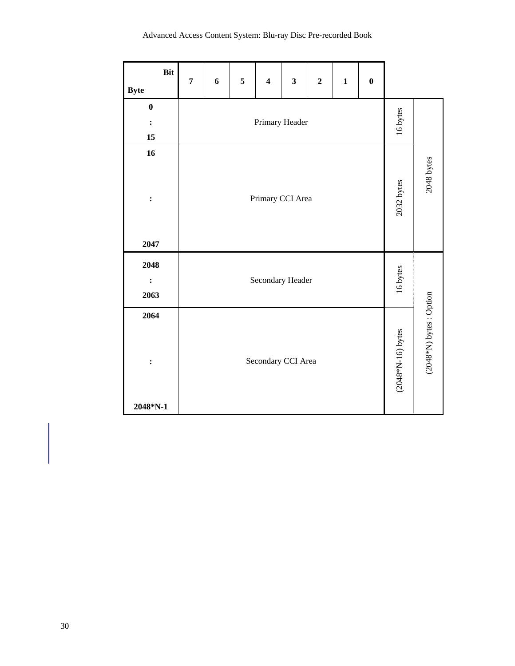| <b>Bit</b><br><b>Byte</b>          | $\overline{7}$ | $\boldsymbol{6}$   | 5 | $\overline{\mathbf{4}}$ | $\overline{\mathbf{3}}$ | $\mathbf 2$ | $\mathbf{1}$        | $\bf{0}$                  |            |            |
|------------------------------------|----------------|--------------------|---|-------------------------|-------------------------|-------------|---------------------|---------------------------|------------|------------|
| $\bf{0}$<br>:<br>15                |                | Primary Header     |   |                         |                         |             |                     | 16 bytes                  |            |            |
| 16<br>$\ddot{\cdot}$<br>2047       |                | Primary CCI Area   |   |                         |                         |             |                     |                           | 2032 bytes | 2048 bytes |
| 2048<br>$\colon$<br>2063           |                | Secondary Header   |   |                         |                         | 16 bytes    |                     |                           |            |            |
| 2064<br>$\ddot{\cdot}$<br>2048*N-1 |                | Secondary CCI Area |   |                         |                         |             | $(2048*N-16)$ bytes | $(2048*N)$ bytes : Option |            |            |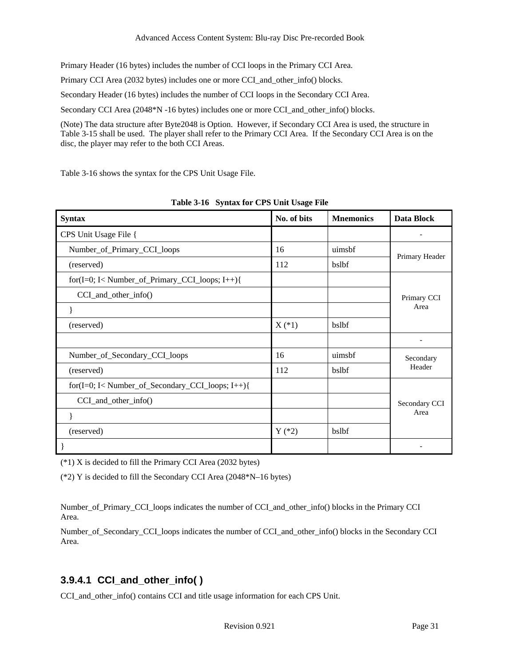Primary Header (16 bytes) includes the number of CCI loops in the Primary CCI Area.

Primary CCI Area (2032 bytes) includes one or more CCI\_and\_other\_info() blocks.

Secondary Header (16 bytes) includes the number of CCI loops in the Secondary CCI Area.

Secondary CCI Area (2048\*N -16 bytes) includes one or more CCI\_and\_other\_info() blocks.

(Note) The data structure after Byte2048 is Option. However, if Secondary CCI Area is used, the structure in [Table 3-15](#page-42-0) shall be used. The player shall refer to the Primary CCI Area. If the Secondary CCI Area is on the disc, the player may refer to the both CCI Areas.

[Table 3-16](#page-44-0) shows the syntax for the CPS Unit Usage File.

<span id="page-44-0"></span>

| <b>Syntax</b>                                         | No. of bits | <b>Mnemonics</b> | Data Block     |  |
|-------------------------------------------------------|-------------|------------------|----------------|--|
| CPS Unit Usage File {                                 |             |                  |                |  |
| Number_of_Primary_CCI_loops                           | 16          | uimsbf           |                |  |
| (reserved)                                            | 112         | bslbf            | Primary Header |  |
| for(I=0; I< Number_of_Primary_CCI_loops; I++){        |             |                  |                |  |
| CCI_and_other_info()                                  |             |                  | Primary CCI    |  |
|                                                       |             |                  | Area           |  |
| (reserved)                                            | $X(*1)$     | bslbf            |                |  |
|                                                       |             |                  |                |  |
| Number_of_Secondary_CCI_loops                         | 16          | uimsbf           | Secondary      |  |
| (reserved)                                            | 112         | bslbf            | Header         |  |
| $for(I=0; I<$ Number_of_Secondary_CCI_loops; $I++$ }{ |             |                  |                |  |
| CCI_and_other_info()                                  |             |                  | Secondary CCI  |  |
|                                                       |             |                  | Area           |  |
| (reserved)                                            | $Y(*2)$     | bslbf            |                |  |
|                                                       |             |                  |                |  |

**Table 3-16 Syntax for CPS Unit Usage File** 

(\*1) X is decided to fill the Primary CCI Area (2032 bytes)

(\*2) Y is decided to fill the Secondary CCI Area (2048\*N–16 bytes)

Number\_of\_Primary\_CCI\_loops indicates the number of CCI\_and\_other\_info() blocks in the Primary CCI Area.

Number\_of\_Secondary\_CCI\_loops indicates the number of CCI\_and\_other\_info() blocks in the Secondary CCI Area.

# **3.9.4.1 CCI\_and\_other\_info( )**

CCI\_and\_other\_info() contains CCI and title usage information for each CPS Unit.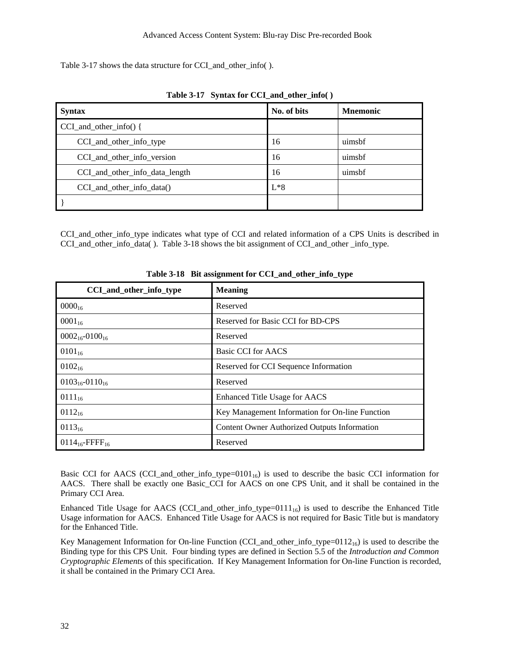[Table 3-17](#page-45-0) shows the data structure for CCI\_and\_other\_info( ).

<span id="page-45-0"></span>

| <b>Syntax</b>                        | No. of bits | <b>Mnemonic</b> |
|--------------------------------------|-------------|-----------------|
| $CCI$ <sub>_and_other_info()</sub> { |             |                 |
| CCI_and_other_info_type              | 16          | uimsbf          |
| CCI_and_other_info_version           | 16          | uimsbf          |
| CCI_and_other_info_data_length       | 16          | uimsbf          |
| CCI and other info data()            | $L*8$       |                 |
|                                      |             |                 |

**Table 3-17 Syntax for CCI\_and\_other\_info( )** 

CCI\_and\_other\_info\_type indicates what type of CCI and related information of a CPS Units is described in CCI\_and\_other\_info\_data( ). [Table 3-18](#page-45-1) shows the bit assignment of CCI\_and\_other \_info\_type.

<span id="page-45-1"></span>

| CCI_and_other_info_type         | <b>Meaning</b>                                  |
|---------------------------------|-------------------------------------------------|
| $0000_{16}$                     | Reserved                                        |
| $0001_{16}$                     | Reserved for Basic CCI for BD-CPS               |
| $0002_{16} - 0100_{16}$         | Reserved                                        |
| $0101_{16}$                     | <b>Basic CCI for AACS</b>                       |
| $0102_{16}$                     | Reserved for CCI Sequence Information           |
| $0103_{16} - 0110_{16}$         | Reserved                                        |
| $0111_{16}$                     | Enhanced Title Usage for AACS                   |
| $0112_{16}$                     | Key Management Information for On-line Function |
| $0113_{16}$                     | Content Owner Authorized Outputs Information    |
| $0114_{16}$ -FFFF <sub>16</sub> | Reserved                                        |

**Table 3-18 Bit assignment for CCI\_and\_other\_info\_type** 

Basic CCI for AACS (CCI\_and\_other\_info\_type=0101<sub>16</sub>) is used to describe the basic CCI information for AACS. There shall be exactly one Basic\_CCI for AACS on one CPS Unit, and it shall be contained in the Primary CCI Area.

Enhanced Title Usage for AACS (CCI\_and\_other\_info\_type= $0111_{16}$ ) is used to describe the Enhanced Title Usage information for AACS. Enhanced Title Usage for AACS is not required for Basic Title but is mandatory for the Enhanced Title.

Key Management Information for On-line Function (CCI\_and\_other\_info\_type= $0112_{16}$ ) is used to describe the Binding type for this CPS Unit. Four binding types are defined in Section 5.5 of the *Introduction and Common Cryptographic Elements* of this specification. If Key Management Information for On-line Function is recorded, it shall be contained in the Primary CCI Area.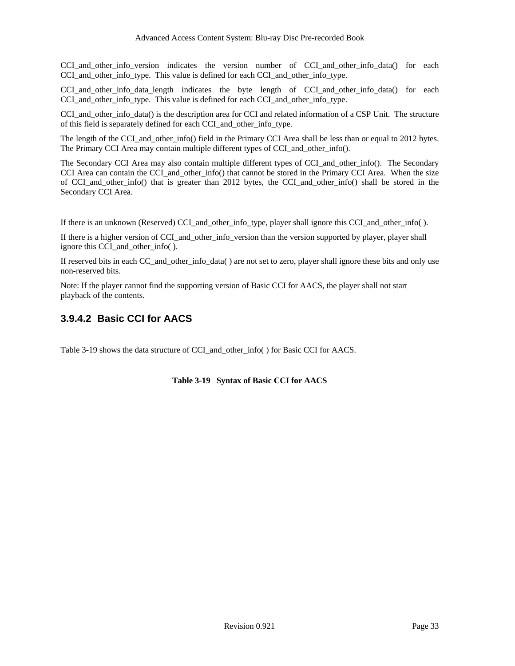CCI\_and\_other\_info\_version indicates the version number of CCI\_and\_other\_info\_data() for each CCI\_and\_other\_info\_type. This value is defined for each CCI\_and\_other\_info\_type.

CCI\_and\_other\_info\_data\_length indicates the byte length of CCI\_and\_other\_info\_data() for each CCI and other info type. This value is defined for each CCI and other info type.

CCI\_and\_other\_info\_data() is the description area for CCI and related information of a CSP Unit. The structure of this field is separately defined for each CCI\_and\_other\_info\_type.

The length of the CCI\_and\_other\_info() field in the Primary CCI Area shall be less than or equal to 2012 bytes. The Primary CCI Area may contain multiple different types of CCI\_and\_other\_info().

The Secondary CCI Area may also contain multiple different types of CCI\_and\_other\_info(). The Secondary CCI Area can contain the CCI and other info() that cannot be stored in the Primary CCI Area. When the size of CCI\_and\_other\_info() that is greater than 2012 bytes, the CCI\_and\_other\_info() shall be stored in the Secondary CCI Area.

If there is an unknown (Reserved) CCI\_and\_other\_info\_type, player shall ignore this CCI\_and\_other\_info( ).

If there is a higher version of CCI and other info\_version than the version supported by player, player shall ignore this CCI\_and\_other\_info( ).

If reserved bits in each CC\_and\_other\_info\_data( ) are not set to zero, player shall ignore these bits and only use non-reserved bits.

Note: If the player cannot find the supporting version of Basic CCI for AACS, the player shall not start playback of the contents.

# **3.9.4.2 Basic CCI for AACS**

<span id="page-46-0"></span>[Table 3-19](#page-46-0) shows the data structure of CCI\_and\_other\_info( ) for Basic CCI for AACS.

#### **Table 3-19 Syntax of Basic CCI for AACS**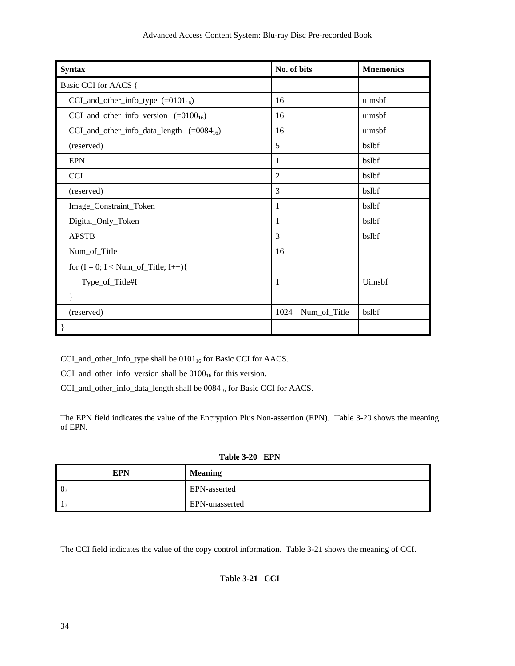| <b>Syntax</b>                                               | No. of bits         | <b>Mnemonics</b> |
|-------------------------------------------------------------|---------------------|------------------|
| Basic CCI for AACS {                                        |                     |                  |
| CCI_and_other_info_type $(=0101_{16})$                      | 16                  | uimsbf           |
| $CCI\_and\_other\_info\_version$ (=0100 <sub>16</sub> )     | 16                  | uimsbf           |
| $CCI$ <sub>and</sub> -other_info_data_length $(=0084_{16})$ | 16                  | uimsbf           |
| (reserved)                                                  | 5                   | bslbf            |
| <b>EPN</b>                                                  | 1                   | bslbf            |
| <b>CCI</b>                                                  | $\overline{2}$      | bslbf            |
| (reserved)                                                  | 3                   | bslbf            |
| Image_Constraint_Token                                      | 1                   | bslbf            |
| Digital_Only_Token                                          | 1                   | bslbf            |
| <b>APSTB</b>                                                | 3                   | bslbf            |
| Num_of_Title                                                | 16                  |                  |
| for $(I = 0; I < Num_0f_Title; I++)$                        |                     |                  |
| Type_of_Title#I                                             | 1                   | Uimsbf           |
|                                                             |                     |                  |
| (reserved)                                                  | 1024 - Num_of_Title | bslbf            |
|                                                             |                     |                  |

CCI\_and\_other\_info\_type shall be  $0101_{16}$  for Basic CCI for AACS.

CCI\_and\_other\_info\_version shall be  $0100<sub>16</sub>$  for this version.

CCI\_and\_other\_info\_data\_length shall be  $0084_{16}$  for Basic CCI for AACS.

The EPN field indicates the value of the Encryption Plus Non-assertion (EPN). [Table 3-20](#page-47-0) shows the meaning of EPN.

**Table 3-20 EPN** 

<span id="page-47-0"></span>

| <b>EPN</b>     | <b>Meaning</b> |
|----------------|----------------|
| 0 <sub>2</sub> | EPN-asserted   |
| $\mathbf{1}$   | EPN-unasserted |

<span id="page-47-1"></span>The CCI field indicates the value of the copy control information. [Table 3-21](#page-47-1) shows the meaning of CCI.

**Table 3-21 CCI**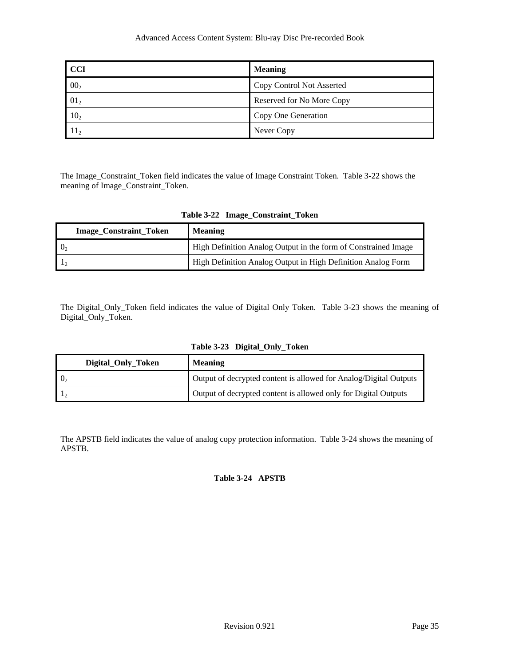| <b>CCI</b>      | <b>Meaning</b>            |
|-----------------|---------------------------|
| 00 <sub>2</sub> | Copy Control Not Asserted |
| $01_2$          | Reserved for No More Copy |
| 10 <sub>2</sub> | Copy One Generation       |
|                 | Never Copy                |

The Image\_Constraint\_Token field indicates the value of Image Constraint Token. [Table 3-22](#page-48-0) shows the meaning of Image\_Constraint\_Token.

|  |  | Table 3-22 Image_Constraint_Token |  |
|--|--|-----------------------------------|--|
|--|--|-----------------------------------|--|

<span id="page-48-0"></span>

| <b>Image_Constraint_Token</b> | <b>Meaning</b>                                                 |
|-------------------------------|----------------------------------------------------------------|
| $\mathbf{0}$                  | High Definition Analog Output in the form of Constrained Image |
|                               | High Definition Analog Output in High Definition Analog Form   |

The Digital\_Only\_Token field indicates the value of Digital Only Token. [Table 3-23](#page-48-1) shows the meaning of Digital\_Only\_Token.

| Table 3-23 Digital_Only_Token |  |
|-------------------------------|--|
|-------------------------------|--|

<span id="page-48-1"></span>

| Digital_Only_Token | <b>Meaning</b>                                                    |
|--------------------|-------------------------------------------------------------------|
| $\mathbf{0}$       | Output of decrypted content is allowed for Analog/Digital Outputs |
|                    | Output of decrypted content is allowed only for Digital Outputs   |

<span id="page-48-2"></span>The APSTB field indicates the value of analog copy protection information. [Table 3-24](#page-48-2) shows the meaning of APSTB.

**Table 3-24 APSTB**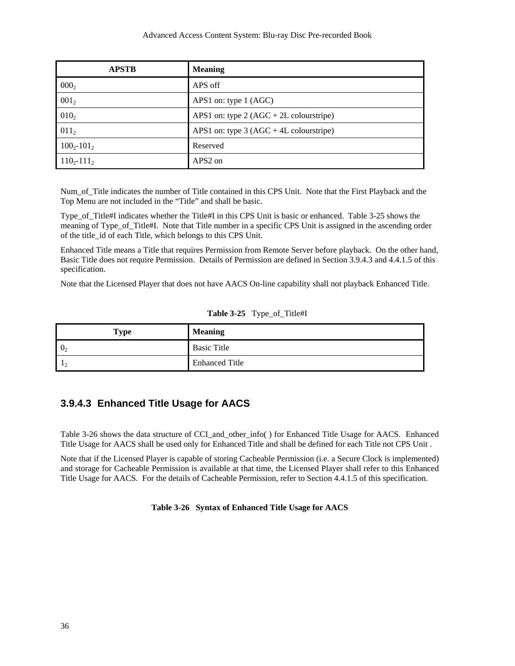| <b>APSTB</b>     | <b>Meaning</b>                            |
|------------------|-------------------------------------------|
| 000 <sub>2</sub> | APS off                                   |
| $001_2$          | APS1 on: type $1$ (AGC)                   |
| $010_2$          | APS1 on: type $2 (AGC + 2L$ colourstripe) |
| $011_2$          | APS1 on: type $3 (AGC + 4L$ colourstripe) |
| $100_2 - 101_2$  | Reserved                                  |
| $110_2 - 111_2$  | APS2 on                                   |

Num\_of\_Title indicates the number of Title contained in this CPS Unit. Note that the First Playback and the Top Menu are not included in the "Title" and shall be basic.

Type\_of\_Title#I indicates whether the Title#I in this CPS Unit is basic or enhanced. [Table 3-25](#page-49-0) shows the meaning of Type\_of\_Title#I. Note that Title number in a specific CPS Unit is assigned in the ascending order of the title\_id of each Title, which belongs to this CPS Unit.

Enhanced Title means a Title that requires Permission from Remote Server before playback. On the other hand, Basic Title does not require Permission. Details of Permission are defined in Section [3.9.4.3](#page-49-1) and [4.4.1.5](#page-66-0) of this specification.

Note that the Licensed Player that does not have AACS On-line capability shall not playback Enhanced Title.

| Table 3-25 Type_of_Title#I |  |  |
|----------------------------|--|--|
|----------------------------|--|--|

<span id="page-49-0"></span>

| Type           | <b>Meaning</b>        |
|----------------|-----------------------|
| 0 <sub>2</sub> | <b>Basic Title</b>    |
| Δ.             | <b>Enhanced Title</b> |

# <span id="page-49-1"></span>**3.9.4.3 Enhanced Title Usage for AACS**

[Table 3-26](#page-49-2) shows the data structure of CCI\_and\_other\_info( ) for Enhanced Title Usage for AACS. Enhanced Title Usage for AACS shall be used only for Enhanced Title and shall be defined for each Title not CPS Unit .

<span id="page-49-2"></span>Note that if the Licensed Player is capable of storing Cacheable Permission (i.e. a Secure Clock is implemented) and storage for Cacheable Permission is available at that time, the Licensed Player shall refer to this Enhanced Title Usage for AACS. For the details of Cacheable Permission, refer to Section [4.4.1.5](#page-66-0) of this specification.

#### **Table 3-26 Syntax of Enhanced Title Usage for AACS**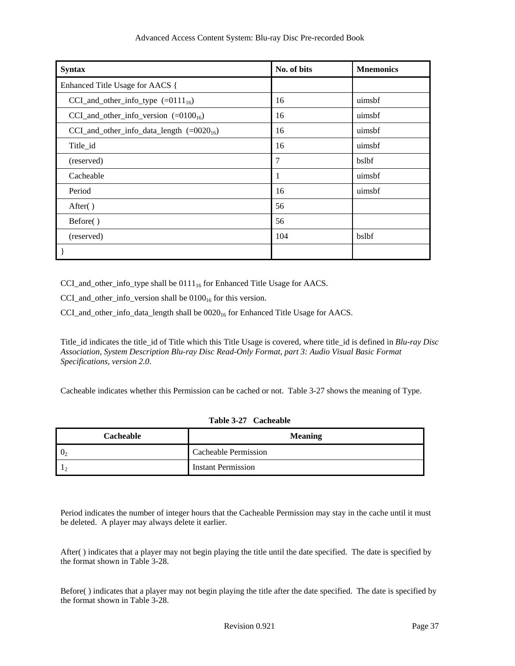| <b>Syntax</b>                                               | No. of bits | <b>Mnemonics</b> |
|-------------------------------------------------------------|-------------|------------------|
| Enhanced Title Usage for AACS {                             |             |                  |
| CCI_and_other_info_type $(=0111_{16})$                      | 16          | uimsbf           |
| CCI_and_other_info_version $(=0100_{16})$                   | 16          | uimsbf           |
| $CCI$ <sub>and</sub> -other_info_data_length $(=0020_{16})$ | 16          | uimsbf           |
| Title_id                                                    | 16          | uimsbf           |
| (reserved)                                                  | 7           | bslbf            |
| Cacheable                                                   | 1           | uimsbf           |
| Period                                                      | 16          | uimsbf           |
| After()                                                     | 56          |                  |
| Before()                                                    | 56          |                  |
| (reserved)                                                  | 104         | bslbf            |
|                                                             |             |                  |

CCI\_and\_other\_info\_type shall be  $0111_{16}$  for Enhanced Title Usage for AACS.

CCI\_and\_other\_info\_version shall be  $0100<sub>16</sub>$  for this version.

CCI\_and\_other\_info\_data\_length shall be  $0020_{16}$  for Enhanced Title Usage for AACS.

Title\_id indicates the title\_id of Title which this Title Usage is covered, where title\_id is defined in *Blu-ray Disc Association, System Description Blu-ray Disc Read-Only Format, part 3: Audio Visual Basic Format Specifications, version 2.0*.

Cacheable indicates whether this Permission can be cached or not. [Table 3-27](#page-50-0) shows the meaning of Type.

<span id="page-50-0"></span>

| <b>Cacheable</b> | <b>Meaning</b>            |
|------------------|---------------------------|
| 0 <sub>2</sub>   | Cacheable Permission      |
| 1 <sub>2</sub>   | <b>Instant Permission</b> |

#### **Table 3-27 Cacheable**

Period indicates the number of integer hours that the Cacheable Permission may stay in the cache until it must be deleted. A player may always delete it earlier.

After( ) indicates that a player may not begin playing the title until the date specified. The date is specified by the format shown in [Table 3-28](#page-51-0).

Before( ) indicates that a player may not begin playing the title after the date specified. The date is specified by the format shown in [Table 3-28](#page-51-0).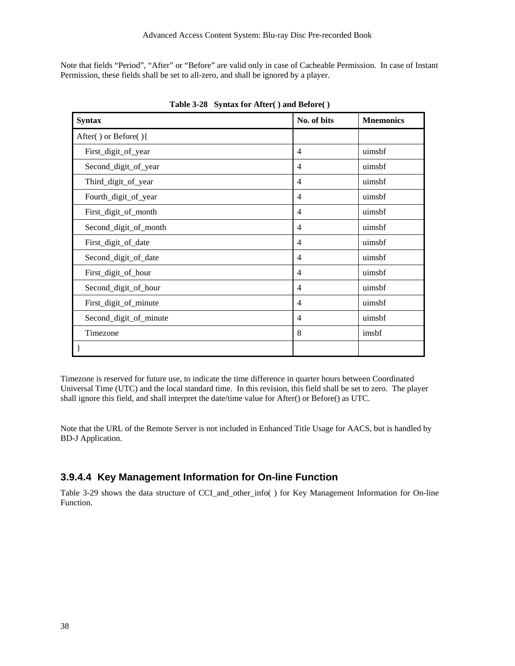<span id="page-51-0"></span>Note that fields "Period", "After" or "Before" are valid only in case of Cacheable Permission. In case of Instant Permission, these fields shall be set to all-zero, and shall be ignored by a player.

| <b>Syntax</b>          | No. of bits    | <b>Mnemonics</b> |
|------------------------|----------------|------------------|
| After() or Before(){   |                |                  |
| First_digit_of_year    | $\overline{4}$ | uimsbf           |
| Second_digit_of_year   | $\overline{4}$ | uimsbf           |
| Third_digit_of_year    | $\overline{4}$ | uimsbf           |
| Fourth_digit_of_year   | $\overline{4}$ | uimsbf           |
| First_digit_of_month   | $\overline{4}$ | uimsbf           |
| Second_digit_of_month  | $\overline{4}$ | uimsbf           |
| First_digit_of_date    | $\overline{4}$ | uimsbf           |
| Second_digit_of_date   | $\overline{4}$ | uimsbf           |
| First_digit_of_hour    | $\overline{4}$ | uimsbf           |
| Second_digit_of_hour   | $\overline{4}$ | uimsbf           |
| First_digit_of_minute  | $\overline{4}$ | uimsbf           |
| Second_digit_of_minute | $\overline{4}$ | uimsbf           |
| Timezone               | 8              | imsbf            |
|                        |                |                  |

**Table 3-28 Syntax for After( ) and Before( )** 

Timezone is reserved for future use, to indicate the time difference in quarter hours between Coordinated Universal Time (UTC) and the local standard time. In this revision, this field shall be set to zero. The player shall ignore this field, and shall interpret the date/time value for After() or Before() as UTC.

Note that the URL of the Remote Server is not included in Enhanced Title Usage for AACS, but is handled by BD-J Application.

# **3.9.4.4 Key Management Information for On-line Function**

[Table 3-29](#page-52-1) shows the data structure of CCI\_and\_other\_info( ) for Key Management Information for On-line Function.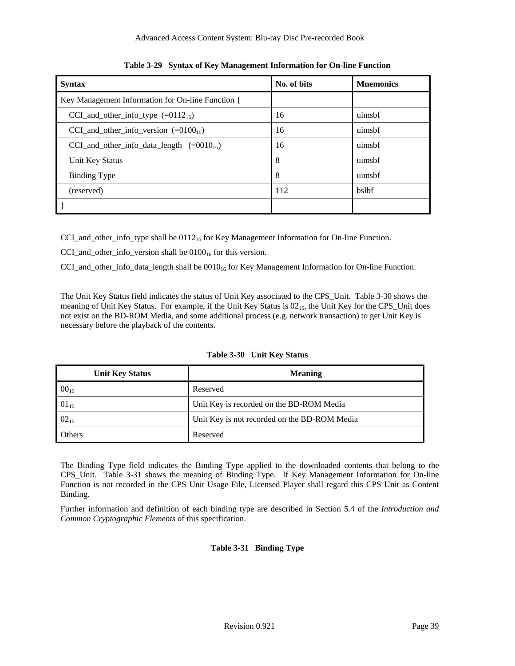<span id="page-52-1"></span>

| Syntax                                            | No. of bits | <b>Mnemonics</b> |
|---------------------------------------------------|-------------|------------------|
| Key Management Information for On-line Function { |             |                  |
| CCI_and_other_info_type $(=0112_{16})$            | 16          | uimsbf           |
| CCI_and_other_info_version $(=0100_{16})$         | 16          | uimsbf           |
| CCI_and_other_info_data_length $(=0010_{16})$     | 16          | uimsbf           |
| Unit Key Status                                   | 8           | uimsbf           |
| Binding Type                                      | 8           | uimsbf           |
| (reserved)                                        | 112         | <b>bslbf</b>     |
|                                                   |             |                  |

**Table 3-29 Syntax of Key Management Information for On-line Function** 

CCI\_and\_other\_info\_type shall be  $0112_{16}$  for Key Management Information for On-line Function.

CCI\_and\_other\_info\_version shall be  $0100_{16}$  for this version.

CCI\_and\_other\_info\_data\_length shall be  $0010<sub>16</sub>$  for Key Management Information for On-line Function.

The Unit Key Status field indicates the status of Unit Key associated to the CPS\_Unit. [Table 3-30](#page-52-2) shows the meaning of Unit Key Status. For example, if the Unit Key Status is  $02_{16}$ , the Unit Key for the CPS\_Unit does not exist on the BD-ROM Media, and some additional process (e.g. network transaction) to get Unit Key is necessary before the playback of the contents.

<span id="page-52-2"></span>

| <b>Unit Key Status</b> | <b>Meaning</b>                               |
|------------------------|----------------------------------------------|
| $00_{16}$              | Reserved                                     |
| $01_{16}$              | Unit Key is recorded on the BD-ROM Media     |
| $02_{16}$              | Unit Key is not recorded on the BD-ROM Media |
| Others                 | Reserved                                     |

**Table 3-30 Unit Key Status** 

The Binding Type field indicates the Binding Type applied to the downloaded contents that belong to the CPS\_Unit. [Table 3-31](#page-52-0) shows the meaning of Binding Type. If Key Management Information for On-line Function is not recorded in the CPS Unit Usage File, Licensed Player shall regard this CPS Unit as Content Binding.

<span id="page-52-0"></span>Further information and definition of each binding type are described in Section 5.4 of the *Introduction and Common Cryptographic Elements* of this specification.

# **Table 3-31 Binding Type**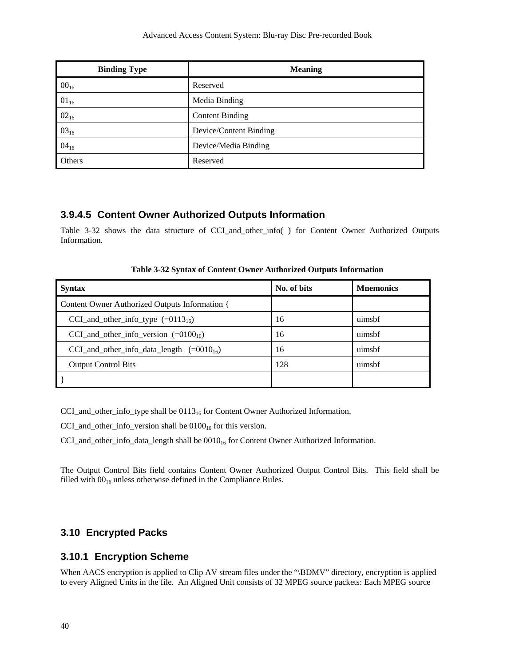| <b>Binding Type</b> | <b>Meaning</b>         |
|---------------------|------------------------|
| $00_{16}$           | Reserved               |
| $01_{16}$           | Media Binding          |
| $02_{16}$           | <b>Content Binding</b> |
| $03_{16}$           | Device/Content Binding |
| $04_{16}$           | Device/Media Binding   |
| Others              | Reserved               |

# **3.9.4.5 Content Owner Authorized Outputs Information**

[Table 3-32](#page-53-1) shows the data structure of CCI\_and\_other\_info( ) for Content Owner Authorized Outputs Information.

<span id="page-53-1"></span>

| <b>Syntax</b>                                  | No. of bits | <b>Mnemonics</b> |
|------------------------------------------------|-------------|------------------|
| Content Owner Authorized Outputs Information { |             |                  |
| CCI_and_other_info_type $(=0113_{16})$         | 16          | uimsbf           |
| CCI_and_other_info_version $(=0100_{16})$      | 16          | uimsbf           |
| CCI_and_other_info_data_length $(=0010_{16})$  | 16          | uimsbf           |
| <b>Output Control Bits</b>                     | 128         | uimsbf           |
|                                                |             |                  |

**Table 3-32 Syntax of Content Owner Authorized Outputs Information** 

CCI\_and\_other\_info\_type shall be  $0113_{16}$  for Content Owner Authorized Information.

 $CCI\_and\_other\_info\_version$  shall be  $0100_{16}$  for this version.

 $CCI\_and\_other\_info\_data\_length$  shall be  $0010_{16}$  for Content Owner Authorized Information.

The Output Control Bits field contains Content Owner Authorized Output Control Bits. This field shall be filled with  $00_{16}$  unless otherwise defined in the Compliance Rules.

# **3.10 Encrypted Packs**

### <span id="page-53-0"></span>**3.10.1 Encryption Scheme**

When AACS encryption is applied to Clip AV stream files under the "\BDMV" directory, encryption is applied to every Aligned Units in the file. An Aligned Unit consists of 32 MPEG source packets: Each MPEG source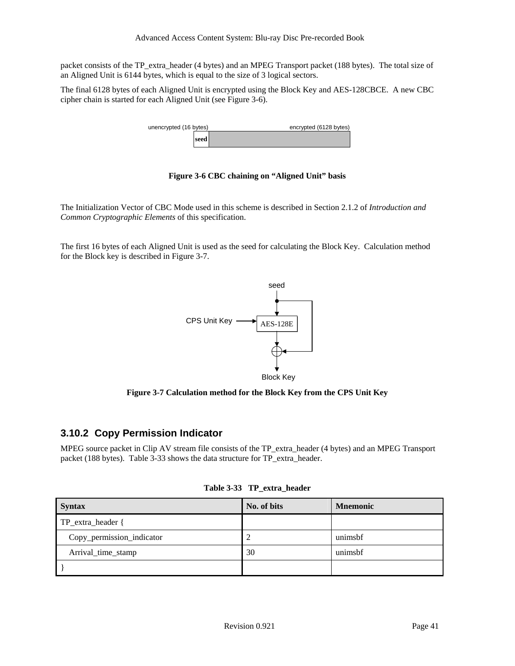packet consists of the TP\_extra\_header (4 bytes) and an MPEG Transport packet (188 bytes). The total size of an Aligned Unit is 6144 bytes, which is equal to the size of 3 logical sectors.

The final 6128 bytes of each Aligned Unit is encrypted using the Block Key and AES-128CBCE. A new CBC cipher chain is started for each Aligned Unit (see [Figure 3-6\)](#page-54-0).

| unencrypted (16 bytes) |       | encrypted (6128 bytes) |
|------------------------|-------|------------------------|
|                        | 'seed |                        |

#### **Figure 3-6 CBC chaining on "Aligned Unit" basis**

<span id="page-54-0"></span>The Initialization Vector of CBC Mode used in this scheme is described in Section 2.1.2 of *Introduction and Common Cryptographic Elements* of this specification.

The first 16 bytes of each Aligned Unit is used as the seed for calculating the Block Key. Calculation method for the Block key is described in [Figure 3-7](#page-54-1).



**Figure 3-7 Calculation method for the Block Key from the CPS Unit Key** 

# <span id="page-54-1"></span>**3.10.2 Copy Permission Indicator**

MPEG source packet in Clip AV stream file consists of the TP\_extra\_header (4 bytes) and an MPEG Transport packet (188 bytes). [Table 3-33](#page-54-2) shows the data structure for TP\_extra\_header.

<span id="page-54-2"></span>

| <b>Syntax</b>             | No. of bits | <b>Mnemonic</b> |
|---------------------------|-------------|-----------------|
| TP_extra_header {         |             |                 |
| Copy_permission_indicator |             | unimsbf         |
| Arrival_time_stamp        | 30          | unimsbf         |
|                           |             |                 |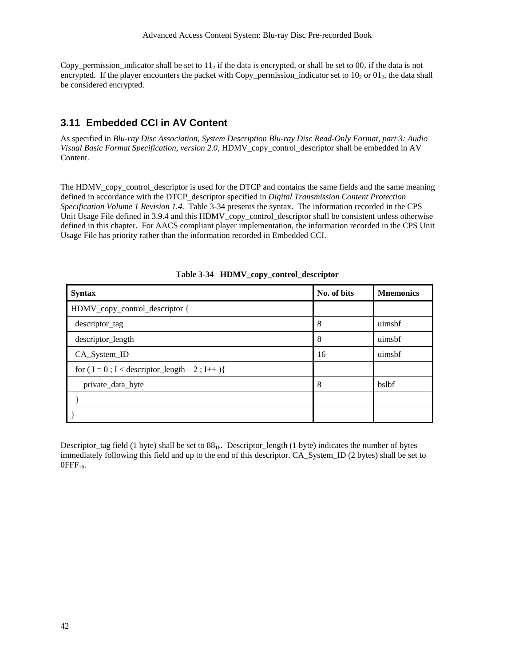Copy\_permission\_indicator shall be set to  $11<sub>2</sub>$  if the data is encrypted, or shall be set to  $00<sub>2</sub>$  if the data is not encrypted. If the player encounters the packet with Copy\_permission\_indicator set to  $10<sub>2</sub>$  or  $01<sub>2</sub>$ , the data shall be considered encrypted.

# **3.11 Embedded CCI in AV Content**

As specified in *Blu-ray Disc Association, System Description Blu-ray Disc Read-Only Format, part 3: Audio Visual Basic Format Specification, version 2.0*, HDMV\_copy\_control\_descriptor shall be embedded in AV Content.

The HDMV copy control descriptor is used for the DTCP and contains the same fields and the same meaning defined in accordance with the DTCP\_descriptor specified in *Digital Transmission Content Protection Specification Volume 1 Revision 1.4*. [Table 3-34](#page-55-0) presents the syntax. The information recorded in the CPS Unit Usage File defined in [3.9.4](#page-42-1) and this HDMV\_copy\_control\_descriptor shall be consistent unless otherwise defined in this chapter. For AACS compliant player implementation, the information recorded in the CPS Unit Usage File has priority rather than the information recorded in Embedded CCI.

<span id="page-55-0"></span>

| <b>Syntax</b>                                   | No. of bits | <b>Mnemonics</b> |
|-------------------------------------------------|-------------|------------------|
| HDMV_copy_control_descriptor {                  |             |                  |
| descriptor_tag                                  | 8           | uimsbf           |
| descriptor_length                               | 8           | uimsbf           |
| CA_System_ID                                    | 16          | uimsbf           |
| for $(I = 0; I <$ descriptor_length $- 2; I++)$ |             |                  |
| private_data_byte                               | 8           | bslbf            |
|                                                 |             |                  |
|                                                 |             |                  |

**Table 3-34 HDMV\_copy\_control\_descriptor** 

Descriptor\_tag field (1 byte) shall be set to  $88_{16}$ . Descriptor\_length (1 byte) indicates the number of bytes immediately following this field and up to the end of this descriptor. CA\_System\_ID (2 bytes) shall be set to  $0$ FFF<sub>16</sub>.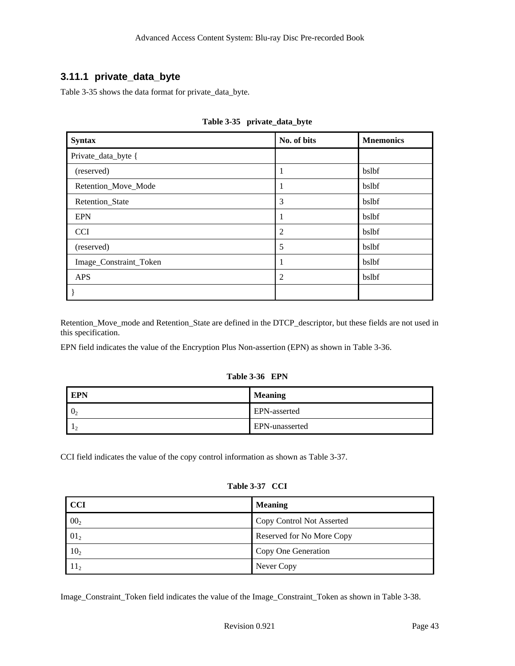# **3.11.1 private\_data\_byte**

<span id="page-56-0"></span>[Table 3-35](#page-56-0) shows the data format for private\_data\_byte.

| <b>Syntax</b>          | No. of bits | <b>Mnemonics</b> |
|------------------------|-------------|------------------|
| Private_data_byte {    |             |                  |
| (reserved)             | 1           | bslbf            |
| Retention_Move_Mode    | ш           | bslbf            |
| Retention_State        | 3           | bslbf            |
| <b>EPN</b>             | ı           | bslbf            |
| <b>CCI</b>             | 2           | bslbf            |
| (reserved)             | 5           | bslbf            |
| Image_Constraint_Token | I           | bslbf            |
| <b>APS</b>             | 2           | bslbf            |
|                        |             |                  |

| Table 3-35 private_data_byte |  |  |  |  |
|------------------------------|--|--|--|--|
|------------------------------|--|--|--|--|

Retention\_Move\_mode and Retention\_State are defined in the DTCP\_descriptor, but these fields are not used in this specification.

EPN field indicates the value of the Encryption Plus Non-assertion (EPN) as shown in [Table 3-36](#page-56-1).

| Table 3-36 EPN |  |
|----------------|--|
|----------------|--|

<span id="page-56-1"></span>

| <b>EPN</b>     | <b>Meaning</b> |
|----------------|----------------|
| $\mathbf{U}_2$ | EPN-asserted   |
| $\pm$ 2        | EPN-unasserted |

CCI field indicates the value of the copy control information as shown as [Table 3-37.](#page-56-2)

| <b>Table 3-37 CCI</b> |  |
|-----------------------|--|
|-----------------------|--|

<span id="page-56-2"></span>

| <b>CCI</b>      | <b>Meaning</b>            |  |
|-----------------|---------------------------|--|
| 00 <sub>2</sub> | Copy Control Not Asserted |  |
| $01_2$          | Reserved for No More Copy |  |
| 10 <sub>2</sub> | Copy One Generation       |  |
| 11,             | Never Copy                |  |

Image\_Constraint\_Token field indicates the value of the Image\_Constraint\_Token as shown in [Table 3-38](#page-57-0).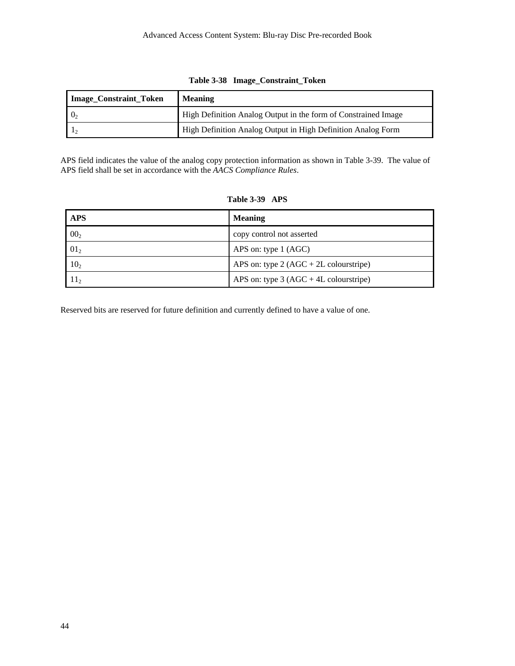|  |  | Table 3-38 Image_Constraint_Token |  |
|--|--|-----------------------------------|--|
|--|--|-----------------------------------|--|

<span id="page-57-0"></span>

| Image_Constraint_Token | <b>Meaning</b>                                                 |
|------------------------|----------------------------------------------------------------|
|                        | High Definition Analog Output in the form of Constrained Image |
|                        | High Definition Analog Output in High Definition Analog Form   |

APS field indicates the value of the analog copy protection information as shown in [Table 3-39](#page-57-1). The value of APS field shall be set in accordance with the *AACS Compliance Rules*.

| <b>Table 3-39 APS</b> |  |
|-----------------------|--|
|-----------------------|--|

<span id="page-57-1"></span>

| <b>APS</b>      | <b>Meaning</b>                           |  |
|-----------------|------------------------------------------|--|
| 00 <sub>2</sub> | copy control not asserted                |  |
| $01_2$          | APS on: type 1 (AGC)                     |  |
| 10 <sub>2</sub> | APS on: type $2 (AGC + 2L$ colourstripe) |  |
| 11 <sub>2</sub> | APS on: type $3 (AGC + 4L$ colourstripe) |  |

Reserved bits are reserved for future definition and currently defined to have a value of one.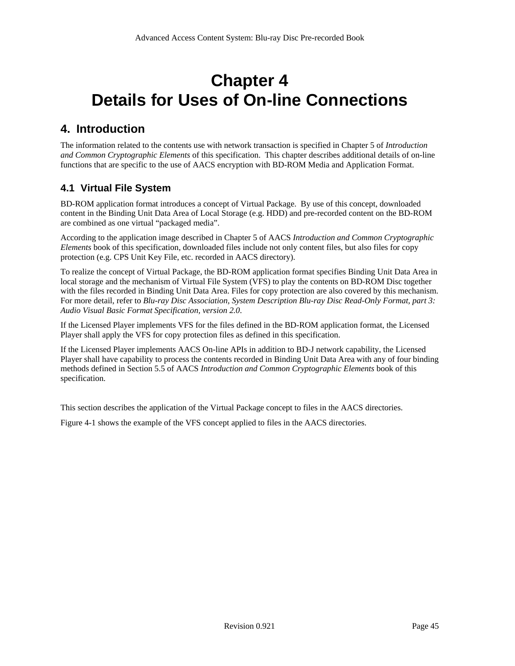# **Chapter 4 Details for Uses of On-line Connections**

# **4. Introduction**

The information related to the contents use with network transaction is specified in Chapter 5 of *Introduction and Common Cryptographic Elements* of this specification. This chapter describes additional details of on-line functions that are specific to the use of AACS encryption with BD-ROM Media and Application Format.

# <span id="page-58-0"></span>**4.1 Virtual File System**

BD-ROM application format introduces a concept of Virtual Package. By use of this concept, downloaded content in the Binding Unit Data Area of Local Storage (e.g. HDD) and pre-recorded content on the BD-ROM are combined as one virtual "packaged media".

According to the application image described in Chapter 5 of AACS *Introduction and Common Cryptographic Elements* book of this specification, downloaded files include not only content files, but also files for copy protection (e.g. CPS Unit Key File, etc. recorded in AACS directory).

To realize the concept of Virtual Package, the BD-ROM application format specifies Binding Unit Data Area in local storage and the mechanism of Virtual File System (VFS) to play the contents on BD-ROM Disc together with the files recorded in Binding Unit Data Area. Files for copy protection are also covered by this mechanism. For more detail, refer to *Blu-ray Disc Association, System Description Blu-ray Disc Read-Only Format, part 3: Audio Visual Basic Format Specification, version 2.0*.

If the Licensed Player implements VFS for the files defined in the BD-ROM application format, the Licensed Player shall apply the VFS for copy protection files as defined in this specification.

If the Licensed Player implements AACS On-line APIs in addition to BD-J network capability, the Licensed Player shall have capability to process the contents recorded in Binding Unit Data Area with any of four binding methods defined in Section 5.5 of AACS *Introduction and Common Cryptographic Elements* book of this specification.

This section describes the application of the Virtual Package concept to files in the AACS directories.

[Figure 4-1](#page-59-0) shows the example of the VFS concept applied to files in the AACS directories.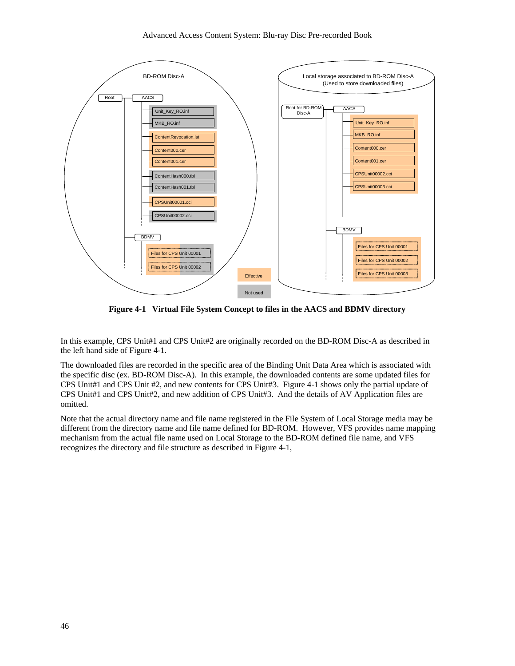

**Figure 4-1 Virtual File System Concept to files in the AACS and BDMV directory** 

<span id="page-59-0"></span>In this example, CPS Unit#1 and CPS Unit#2 are originally recorded on the BD-ROM Disc-A as described in the left hand side of [Figure 4-1.](#page-59-0)

The downloaded files are recorded in the specific area of the Binding Unit Data Area which is associated with the specific disc (ex. BD-ROM Disc-A). In this example, the downloaded contents are some updated files for CPS Unit#1 and CPS Unit #2, and new contents for CPS Unit#3. [Figure 4-1](#page-59-0) shows only the partial update of CPS Unit#1 and CPS Unit#2, and new addition of CPS Unit#3. And the details of AV Application files are omitted.

Note that the actual directory name and file name registered in the File System of Local Storage media may be different from the directory name and file name defined for BD-ROM. However, VFS provides name mapping mechanism from the actual file name used on Local Storage to the B[D](#page-61-0)-ROM defined file name, and VFS recognizes the directory and file structure as described in [Figure 4-1,](#page-59-0)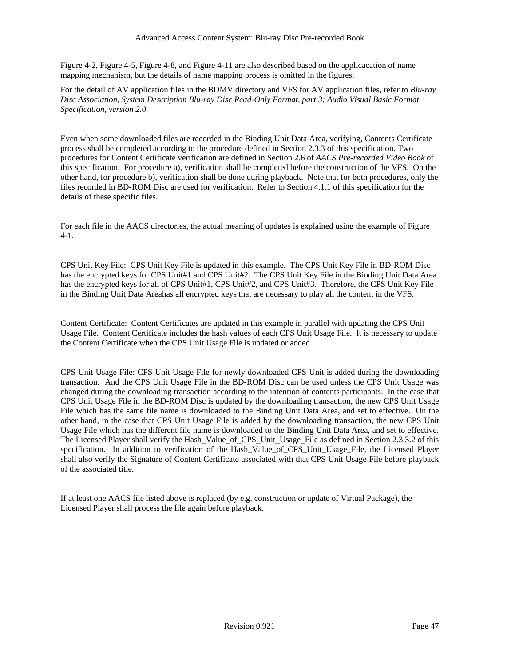Figure 4-2, Figure 4-5, Figure 4-8, and Figure 4-11 are also described based on the applicacation of name mapping mechanism, but the details of name mapping process is omitted in the figures.

For the detail of AV application files in the BDMV directory and VFS for AV application files, refer to *Blu-ray Disc Association, System Description Blu-ray Disc Read-Only Format, part 3: Audio Visual Basic Format Specification, version 2.0*.

Even when some downloaded files are recorded in the Binding Unit Data Area, verifying, Contents Certificate process shall be completed according to the procedure defined in Section 2.3.3 of this specification. Two procedures for Content Certificate verification are defined in Section 2.6 of *AACS Pre-recorded Video Book* of this specification. For procedure a), verification shall be completed before the construction of the VFS. On the other hand, for procedure b), verification shall be done during playback. Note that for both procedures, only the files recorded in BD-ROM Disc are used for verification. Refer to Section 4.1.1 of this specification for the details of these specific files.

For each file in the AACS directories, the actual meaning of updates is explained using the example of Figure 4-1.

CPS Unit Key File: CPS Unit Key File is updated in this example. The CPS Unit Key File in BD-ROM Disc has the encrypted keys for CPS Unit#1 and CPS Unit#2. The CPS Unit Key File in the Binding Unit Data Area has the encrypted keys for all of CPS Unit#1, CPS Unit#2, and CPS Unit#3. Therefore, the CPS Unit Key File in the Binding Unit Data Areahas all encrypted keys that are necessary to play all the content in the VFS.

Content Certificate: Content Certificates are updated in this example in parallel with updating the CPS Unit Usage File. Content Certificate includes the hash values of each CPS Unit Usage File. It is necessary to update the Content Certificate when the CPS Unit Usage File is updated or added.

CPS Unit Usage File: CPS Unit Usage File for newly downloaded CPS Unit is added during the downloading transaction. And the CPS Unit Usage File in the BD-ROM Disc can be used unless the CPS Unit Usage was changed during the downloading transaction according to the intention of contents participants. In the case that CPS Unit Usage File in the BD-ROM Disc is updated by the downloading transaction, the new CPS Unit Usage File which has the same file name is downloaded to the Binding Unit Data Area, and set to effective. On the other hand, in the case that CPS Unit Usage File is added by the downloading transaction, the new CPS Unit Usage File which has the different file name is downloaded to the Binding Unit Data Area, and set to effective. The Licensed Player shall verify the Hash\_Value\_of\_CPS\_Unit\_Usage\_File as defined in Section 2.3.3.2 of this specification. In addition to verification of the Hash\_Value\_of\_CPS\_Unit\_Usage\_File, the Licensed Player shall also verify the Signature of Content Certificate associated with that CPS Unit Usage File before playback of the associated title.

If at least one AACS file listed above is replaced (by e.g. construction or update of Virtual Package), the Licensed Player shall process the file again before playback.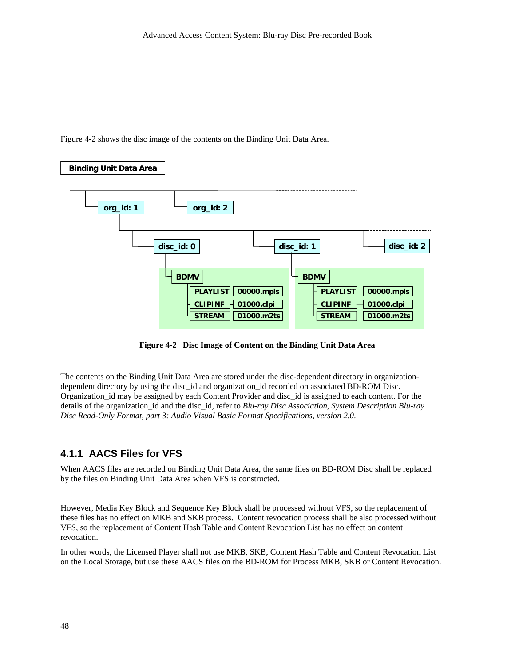Figure 4-2 shows the disc image of the contents on the Binding Unit Data Area.

<span id="page-61-0"></span>

**Figure 4-2 Disc Image of Content on the Binding Unit Data Area** 

The contents on the Binding Unit Data Area are stored under the disc-dependent directory in organizationdependent directory by using the disc id and organization id recorded on associated BD-ROM Disc. Organization\_id may be assigned by each Content Provider and disc\_id is assigned to each content. For the details of the organization\_id and the disc\_id, refer to *Blu-ray Disc Association, System Description Blu-ray Disc Read-Only Format, part 3: Audio Visual Basic Format Specifications, version 2.0*.

# **4.1.1 AACS Files for VFS**

When AACS files are recorded on Binding Unit Data Area, the same files on BD-ROM Disc shall be replaced by the files on Binding Unit Data Area when VFS is constructed.

However, Media Key Block and Sequence Key Block shall be processed without VFS, so the replacement of these files has no effect on MKB and SKB process. Content revocation process shall be also processed without VFS, so the replacement of Content Hash Table and Content Revocation List has no effect on content revocation.

In other words, the Licensed Player shall not use MKB, SKB, Content Hash Table and Content Revocation List on the Local Storage, but use these AACS files on the BD-ROM for Process MKB, SKB or Content Revocation.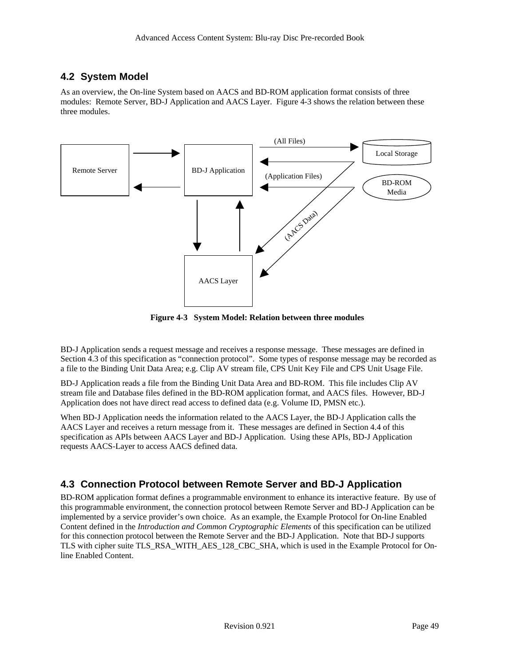# **4.2 System Model**

As an overview, the On-line System based on AACS and BD-ROM application format consists of three modules: Remote Server, BD-J Application and AACS Layer. Figure 4-3 shows the relation between these three modules.



**Figure 4-3 System Model: Relation between three modules** 

BD-J Application sends a request message and receives a response message. These messages are defined in Section [4.3](#page-63-0) of this specification as "connection protocol". Some types of response message may be recorded as a file to the Binding Unit Data Area; e.g. Clip AV stream file, CPS Unit Key File and CPS Unit Usage File.

BD-J Application reads a file from the Binding Unit Data Area and BD-ROM. This file includes Clip AV stream file and Database files defined in the BD-ROM application format, and AACS files. However, BD-J Application does not have direct read access to defined data (e.g. Volume ID, PMSN etc.).

When BD-J Application needs the information related to the AACS Layer, the BD-J Application calls the AACS Layer and receives a return message from it. These messages are defined in Section 4.4 of this specification as APIs between AACS Layer and BD-J Application. Using these APIs, BD-J Application requests AACS-Layer to access AACS defined data.

# **4.3 Connection Protocol between Remote Server and BD-J Application**

BD-ROM application format defines a programmable environment to enhance its interactive feature. By use of this programmable environment, the connection protocol between Remote Server and BD-J Application can be implemented by a service provider's own choice. As an example, the Example Protocol for On-line Enabled Content defined in the *Introduction and Common Cryptographic Elements* of this specification can be utilized for this connection protocol between the Remote Server and the BD-J Application. Note that BD-J supports TLS with cipher suite TLS\_RSA\_WITH\_AES\_128\_CBC\_SHA, which is used in the Example Protocol for Online Enabled Content.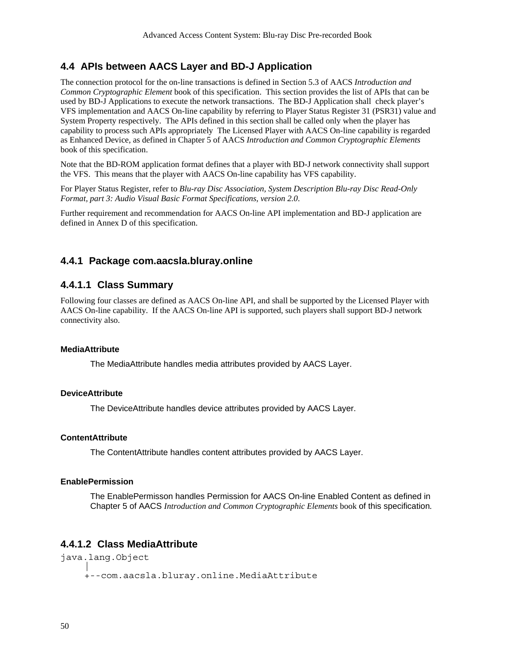# <span id="page-63-0"></span>**4.4 APIs between AACS Layer and BD-J Application**

The connection protocol for the on-line transactions is defined in Section 5.3 of AACS *Introduction and Common Cryptographic Element* book of this specification. This section provides the list of APIs that can be used by BD-J Applications to execute the network transactions. The BD-J Application shall check player's VFS implementation and AACS On-line capability by referring to Player Status Register 31 (PSR31) value and System Property respectively. The APIs defined in this section shall be called only when the player has capability to process such APIs appropriately The Licensed Player with AACS On-line capability is regarded as Enhanced Device, as defined in Chapter 5 of AACS *Introduction and Common Cryptographic Elements* book of this specification.

Note that the BD-ROM application format defines that a player with BD-J network connectivity shall support the VFS. This means that the player with AACS On-line capability has VFS capability.

For Player Status Register, refer to *Blu-ray Disc Association, System Description Blu-ray Disc Read-Only Format, part 3: Audio Visual Basic Format Specifications, version 2.0*.

Further requirement and recommendation for AACS On-line API implementation and BD-J application are defined in Annex D of this specification.

# **4.4.1 Package com.aacsla.bluray.online**

### **4.4.1.1 Class Summary**

Following four classes are defined as AACS On-line API, and shall be supported by the Licensed Player with AACS On-line capability. If the AACS On-line API is supported, such players shall support BD-J network connectivity also.

#### **MediaAttribute**

The MediaAttribute handles media attributes provided by AACS Layer.

#### **DeviceAttribute**

The DeviceAttribute handles device attributes provided by AACS Layer.

#### **ContentAttribute**

The ContentAttribute handles content attributes provided by AACS Layer.

#### **EnablePermission**

The EnablePermisson handles Permission for AACS On-line Enabled Content as defined in Chapter 5 of AACS *Introduction and Common Cryptographic Elements* book of this specification*.*

### **4.4.1.2 Class MediaAttribute**

```
java.lang.Object 
 |
```

```
+--com.aacsla.bluray.online.MediaAttribute
```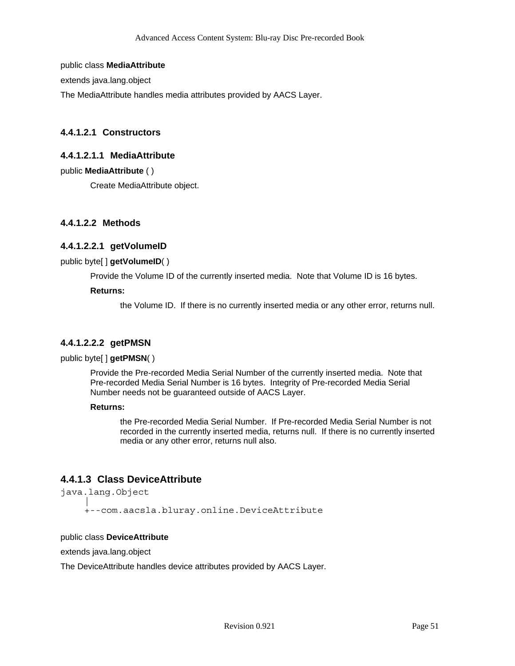public class **MediaAttribute** extends java.lang.object The MediaAttribute handles media attributes provided by AACS Layer.

# **4.4.1.2.1 Constructors**

### **4.4.1.2.1.1 MediaAttribute**

public **MediaAttribute** ( )

Create MediaAttribute object.

# **4.4.1.2.2 Methods**

### **4.4.1.2.2.1 getVolumeID**

### public byte[ ] **getVolumeID**( )

Provide the Volume ID of the currently inserted media. Note that Volume ID is 16 bytes.

#### **Returns:**

the Volume ID. If there is no currently inserted media or any other error, returns null.

### <span id="page-64-0"></span>**4.4.1.2.2.2 getPMSN**

#### public byte[ ] **getPMSN**( )

Provide the Pre-recorded Media Serial Number of the currently inserted media. Note that Pre-recorded Media Serial Number is 16 bytes. Integrity of Pre-recorded Media Serial Number needs not be guaranteed outside of AACS Layer.

#### **Returns:**

the Pre-recorded Media Serial Number. If Pre-recorded Media Serial Number is not recorded in the currently inserted media, returns null. If there is no currently inserted media or any other error, returns null also.

# **4.4.1.3 Class DeviceAttribute**

```
java.lang.Object 
| 
+--com.aacsla.bluray.online.DeviceAttribute
```
### public class **DeviceAttribute**

extends java.lang.object

The DeviceAttribute handles device attributes provided by AACS Layer.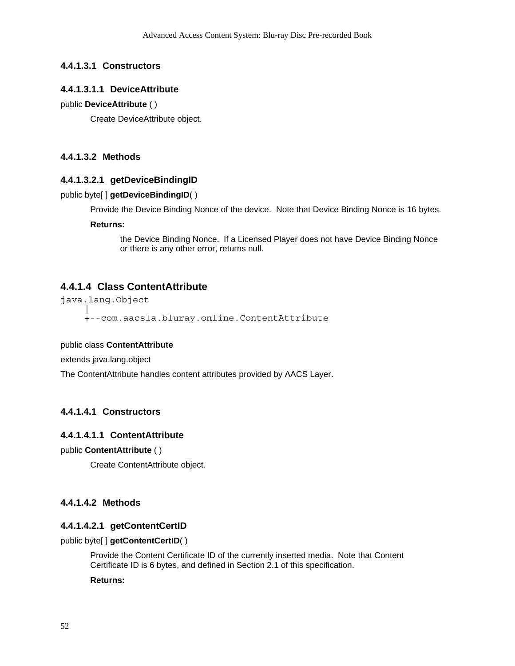# **4.4.1.3.1 Constructors**

# **4.4.1.3.1.1 DeviceAttribute**

### public **DeviceAttribute** ( )

Create DeviceAttribute object.

# **4.4.1.3.2 Methods**

# **4.4.1.3.2.1 getDeviceBindingID**

### public byte[ ] **getDeviceBindingID**( )

Provide the Device Binding Nonce of the device. Note that Device Binding Nonce is 16 bytes.

### **Returns:**

the Device Binding Nonce. If a Licensed Player does not have Device Binding Nonce or there is any other error, returns null.

# **4.4.1.4 Class ContentAttribute**

#### java.lang.Object |

# +--com.aacsla.bluray.online.ContentAttribute

### public class **ContentAttribute**

extends java.lang.object

The ContentAttribute handles content attributes provided by AACS Layer.

# **4.4.1.4.1 Constructors**

# **4.4.1.4.1.1 ContentAttribute**

# public **ContentAttribute** ( )

Create ContentAttribute object.

# **4.4.1.4.2 Methods**

# **4.4.1.4.2.1 getContentCertID**

### public byte[ ] **getContentCertID**( )

Provide the Content Certificate ID of the currently inserted media. Note that Content Certificate ID is 6 bytes, and defined in Section 2.1 of this specification.

### **Returns:**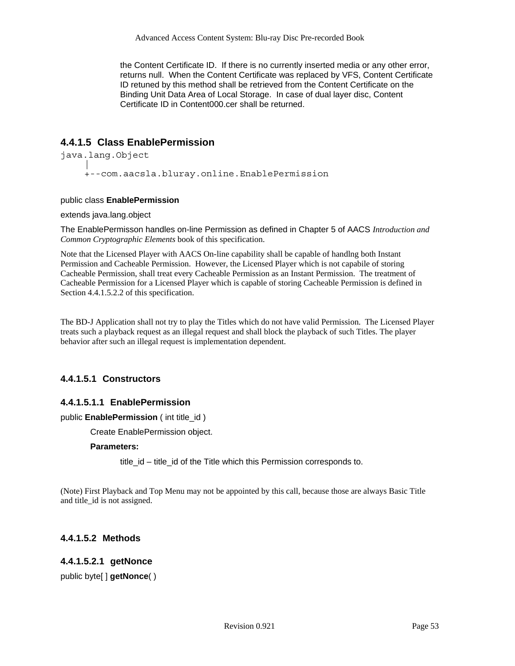the Content Certificate ID. If there is no currently inserted media or any other error, returns null. When the Content Certificate was replaced by VFS, Content Certificate ID retuned by this method shall be retrieved from the Content Certificate on the Binding Unit Data Area of Local Storage. In case of dual layer disc, Content Certificate ID in Content000.cer shall be returned.

# <span id="page-66-0"></span>**4.4.1.5 Class EnablePermission**

```
java.lang.Object 
| 
+--com.aacsla.bluray.online.EnablePermission
```
#### public class **EnablePermission**

#### extends java.lang.object

The EnablePermisson handles on-line Permission as defined in Chapter 5 of AACS *Introduction and Common Cryptographic Elements* book of this specification.

Note that the Licensed Player with AACS On-line capability shall be capable of handlng both Instant Permission and Cacheable Permission. However, the Licensed Player which is not capabile of storing Cacheable Permission, shall treat every Cacheable Permission as an Instant Permission. The treatment of Cacheable Permission for a Licensed Player which is capable of storing Cacheable Permission is defined in Section 4.4.1.5.2.2 of this specification.

The BD-J Application shall not try to play the Titles which do not have valid Permission. The Licensed Player treats such a playback request as an illegal request and shall block the playback of such Titles. The player behavior after such an illegal request is implementation dependent.

### **4.4.1.5.1 Constructors**

### **4.4.1.5.1.1 EnablePermission**

#### public **EnablePermission** ( int title\_id )

Create EnablePermission object.

#### **Parameters:**

title id – title id of the Title which this Permission corresponds to.

(Note) First Playback and Top Menu may not be appointed by this call, because those are always Basic Title and title\_id is not assigned.

### **4.4.1.5.2 Methods**

#### **4.4.1.5.2.1 getNonce**

public byte[ ] **getNonce**( )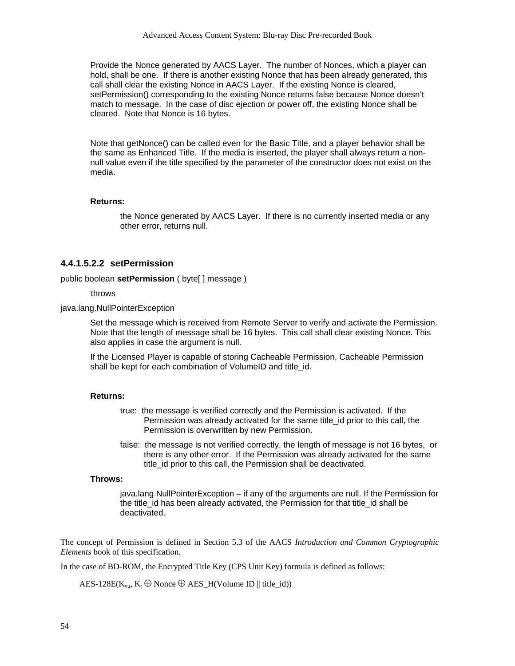Provide the Nonce generated by AACS Layer. The number of Nonces, which a player can hold, shall be one. If there is another existing Nonce that has been already generated, this call shall clear the existing Nonce in AACS Layer. If the existing Nonce is cleared, setPermission() corresponding to the existing Nonce returns false because Nonce doesn't match to message. In the case of disc ejection or power off, the existing Nonce shall be cleared. Note that Nonce is 16 bytes.

Note that getNonce() can be called even for the Basic Title, and a player behavior shall be the same as Enhanced Title. If the media is inserted, the player shall always return a nonnull value even if the title specified by the parameter of the constructor does not exist on the media.

#### **Returns:**

the Nonce generated by AACS Layer. If there is no currently inserted media or any other error, returns null.

### **4.4.1.5.2.2 setPermission**

public boolean **setPermission** ( byte[ ] message )

throws

java.lang.NullPointerException

Set the message which is received from Remote Server to verify and activate the Permission. Note that the length of message shall be 16 bytes. This call shall clear existing Nonce. This also applies in case the argument is null.

If the Licensed Player is capable of storing Cacheable Permission, Cacheable Permission shall be kept for each combination of VolumeID and title id.

#### **Returns:**

- true: the message is verified correctly and the Permission is activated. If the Permission was already activated for the same title\_id prior to this call, the Permission is overwritten by new Permission.
- false: the message is not verified correctly, the length of message is not 16 bytes, or there is any other error. If the Permission was already activated for the same title id prior to this call, the Permission shall be deactivated.

#### **Throws:**

java.lang.NullPointerException – if any of the arguments are null. If the Permission for the title id has been already activated, the Permission for that title id shall be deactivated.

The concept of Permission is defined in Section 5.3 of the AACS *Introduction and Common Cryptographic Elements* book of this specification.

In the case of BD-ROM, the Encrypted Title Key (CPS Unit Key) formula is defined as follows:

AES-128E(K<sub>vu</sub>, K<sub>t</sub> ⊕ Nonce ⊕ AES H(Volume ID || title\_id))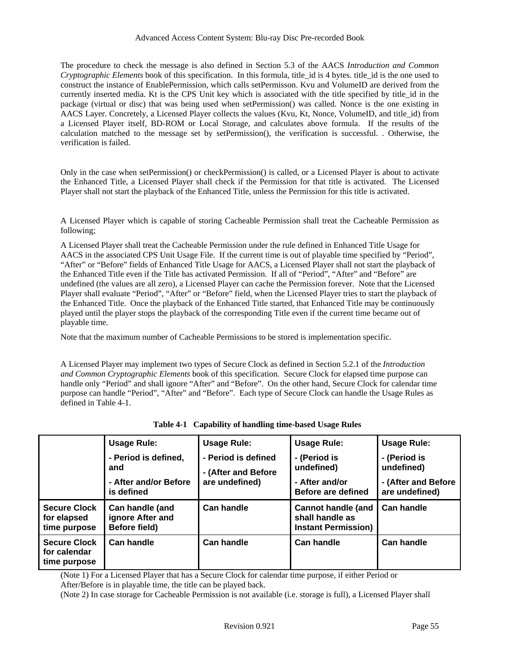#### Advanced Access Content System: Blu-ray Disc Pre-recorded Book

The procedure to check the message is also defined in Section 5.3 of the AACS *Introduction and Common Cryptographic Elements* book of this specification. In this formula, title id is 4 bytes, title id is the one used to construct the instance of EnablePermission, which calls setPermisson. Kvu and VolumeID are derived from the currently inserted media. Kt is the CPS Unit key which is associated with the title specified by title id in the package (virtual or disc) that was being used when setPermission() was called. Nonce is the one existing in AACS Layer. Concretely, a Licensed Player collects the values (Kvu, Kt, Nonce, VolumeID, and title id) from a Licensed Player itself, BD-ROM or Local Storage, and calculates above formula. If the results of the calculation matched to the message set by setPermission(), the verification is successful. . Otherwise, the verification is failed.

Only in the case when setPermission() or checkPermission() is called, or a Licensed Player is about to activate the Enhanced Title, a Licensed Player shall check if the Permission for that title is activated. The Licensed Player shall not start the playback of the Enhanced Title, unless the Permission for this title is activated.

A Licensed Player which is capable of storing Cacheable Permission shall treat the Cacheable Permission as following;

A Licensed Player shall treat the Cacheable Permission under the rule defined in Enhanced Title Usage for AACS in the associated CPS Unit Usage File. If the current time is out of playable time specified by "Period", "After" or "Before" fields of Enhanced Title Usage for AACS, a Licensed Player shall not start the playback of the Enhanced Title even if the Title has activated Permission. If all of "Period", "After" and "Before" are undefined (the values are all zero), a Licensed Player can cache the Permission forever. Note that the Licensed Player shall evaluate "Period", "After" or "Before" field, when the Licensed Player tries to start the playback of the Enhanced Title. Once the playback of the Enhanced Title started, that Enhanced Title may be continuously played until the player stops the playback of the corresponding Title even if the current time became out of playable time.

Note that the maximum number of Cacheable Permissions to be stored is implementation specific.

A Licensed Player may implement two types of Secure Clock as defined in Section 5.2.1 of the *Introduction and Common Cryptographic Elements* book of this specification. Secure Clock for elapsed time purpose can handle only "Period" and shall ignore "After" and "Before". On the other hand, Secure Clock for calendar time purpose can handle "Period", "After" and "Before". Each type of Secure Clock can handle the Usage Rules as defined in Table 4-1.

| <b>Usage Rule:</b><br>- Period is defined,<br>and   |                                                      | <b>Usage Rule:</b>         | <b>Usage Rule:</b>                                                         | <b>Usage Rule:</b>                    |
|-----------------------------------------------------|------------------------------------------------------|----------------------------|----------------------------------------------------------------------------|---------------------------------------|
|                                                     | - Period is defined<br>- (After and Before           | - (Period is<br>undefined) | - (Period is<br>undefined)                                                 |                                       |
|                                                     | - After and/or Before<br>is defined                  | are undefined)             | - After and/or<br>Before are defined                                       | - (After and Before<br>are undefined) |
| <b>Secure Clock</b><br>for elapsed<br>time purpose  | Can handle (and<br>ignore After and<br>Before field) | <b>Can handle</b>          | <b>Cannot handle (and</b><br>shall handle as<br><b>Instant Permission)</b> | <b>Can handle</b>                     |
| <b>Secure Clock</b><br>for calendar<br>time purpose | Can handle                                           | <b>Can handle</b>          | <b>Can handle</b>                                                          | <b>Can handle</b>                     |

**Table 4-1 Capability of handling time-based Usage Rules** 

(Note 1) For a Licensed Player that has a Secure Clock for calendar time purpose, if either Period or After/Before is in playable time, the title can be played back.

(Note 2) In case storage for Cacheable Permission is not available (i.e. storage is full), a Licensed Player shall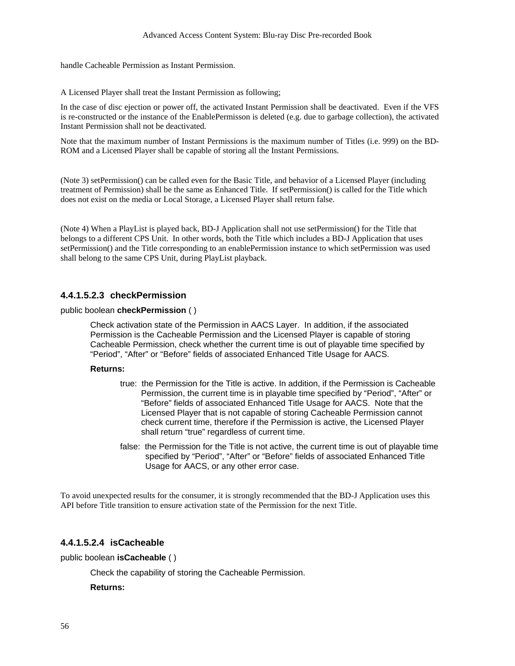handle Cacheable Permission as Instant Permission.

A Licensed Player shall treat the Instant Permission as following;

In the case of disc ejection or power off, the activated Instant Permission shall be deactivated. Even if the VFS is re-constructed or the instance of the EnablePermisson is deleted (e.g. due to garbage collection), the activated Instant Permission shall not be deactivated.

Note that the maximum number of Instant Permissions is the maximum number of Titles (i.e. 999) on the BD-ROM and a Licensed Player shall be capable of storing all the Instant Permissions.

(Note 3) setPermission() can be called even for the Basic Title, and behavior of a Licensed Player (including treatment of Permission) shall be the same as Enhanced Title. If setPermission() is called for the Title which does not exist on the media or Local Storage, a Licensed Player shall return false.

(Note 4) When a PlayList is played back, BD-J Application shall not use setPermission() for the Title that belongs to a different CPS Unit. In other words, both the Title which includes a BD-J Application that uses setPermission() and the Title corresponding to an enablePermission instance to which setPermission was used shall belong to the same CPS Unit, during PlayList playback.

#### **4.4.1.5.2.3 checkPermission**

public boolean **checkPermission** ( )

Check activation state of the Permission in AACS Layer. In addition, if the associated Permission is the Cacheable Permission and the Licensed Player is capable of storing Cacheable Permission, check whether the current time is out of playable time specified by "Period", "After" or "Before" fields of associated Enhanced Title Usage for AACS.

#### **Returns:**

- true: the Permission for the Title is active. In addition, if the Permission is Cacheable Permission, the current time is in playable time specified by "Period", "After" or "Before" fields of associated Enhanced Title Usage for AACS. Note that the Licensed Player that is not capable of storing Cacheable Permission cannot check current time, therefore if the Permission is active, the Licensed Player shall return "true" regardless of current time.
- false: the Permission for the Title is not active, the current time is out of playable time specified by "Period", "After" or "Before" fields of associated Enhanced Title Usage for AACS, or any other error case.

To avoid unexpected results for the consumer, it is strongly recommended that the BD-J Application uses this API before Title transition to ensure activation state of the Permission for the next Title.

### **4.4.1.5.2.4 isCacheable**

public boolean **isCacheable** ( )

Check the capability of storing the Cacheable Permission.

**Returns:**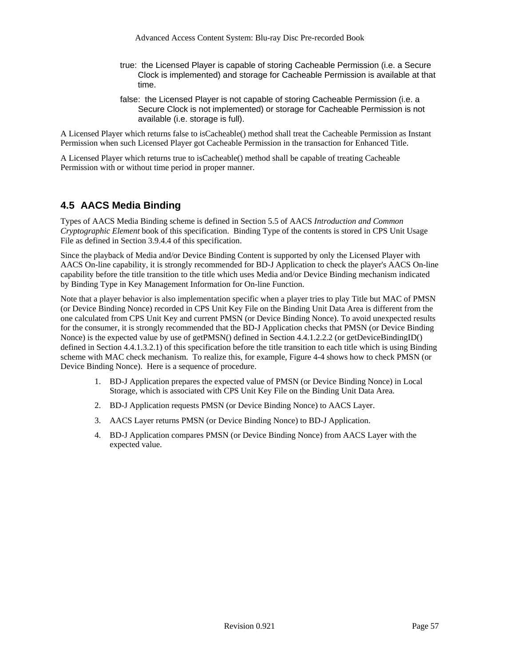- true: the Licensed Player is capable of storing Cacheable Permission (i.e. a Secure Clock is implemented) and storage for Cacheable Permission is available at that time.
- false: the Licensed Player is not capable of storing Cacheable Permission (i.e. a Secure Clock is not implemented) or storage for Cacheable Permission is not available (i.e. storage is full).

A Licensed Player which returns false to isCacheable() method shall treat the Cacheable Permission as Instant Permission when such Licensed Player got Cacheable Permission in the transaction for Enhanced Title.

A Licensed Player which returns true to isCacheable() method shall be capable of treating Cacheable Permission with or without time period in proper manner.

# **4.5 AACS Media Binding**

Types of AACS Media Binding scheme is defined in Section 5.5 of AACS *Introduction and Common Cryptographic Element* book of this specification. Binding Type of the contents is stored in CPS Unit Usage File as defined in Section [3.9.4.4](#page-64-0) of this specification.

Since the playback of Media and/or Device Binding Content is supported by only the Licensed Player with AACS On-line capability, it is strongly recommended for BD-J Application to check the player's AACS On-line capability before the title transition to the title which uses Media and/or Device Binding mechanism indicated by Binding Type in Key Management Information for On-line Function.

Note that a player behavior is also implementation specific when a player tries to play Title but MAC of PMSN (or Device Binding Nonce) recorded in CPS Unit Key File on the Binding Unit Data Area is different from the one calculated from CPS Unit Key and current PMSN (or Device Binding Nonce). To avoid unexpected results for the consumer, it is strongly recommended that the BD-J Application checks that PMSN (or Device Binding Nonce) is the expected value by use of getPMSN() defined in Section 4.4.1.2.2.2 (or getDeviceBindingID() defined in Section 4.4.1.3.2.1) of this specification before the title transition to each title which is using Binding scheme with MAC check mechanism. To realize this, for example, Figure 4-4 shows how to check PMSN (or Device Binding Nonce). Here is a sequence of procedure.

- 1. BD-J Application prepares the expected value of PMSN (or Device Binding Nonce) in Local Storage, which is associated with CPS Unit Key File on the Binding Unit Data Area.
- 2. BD-J Application requests PMSN (or Device Binding Nonce) to AACS Layer.
- 3. AACS Layer returns PMSN (or Device Binding Nonce) to BD-J Application.
- 4. BD-J Application compares PMSN (or Device Binding Nonce) from AACS Layer with the expected value.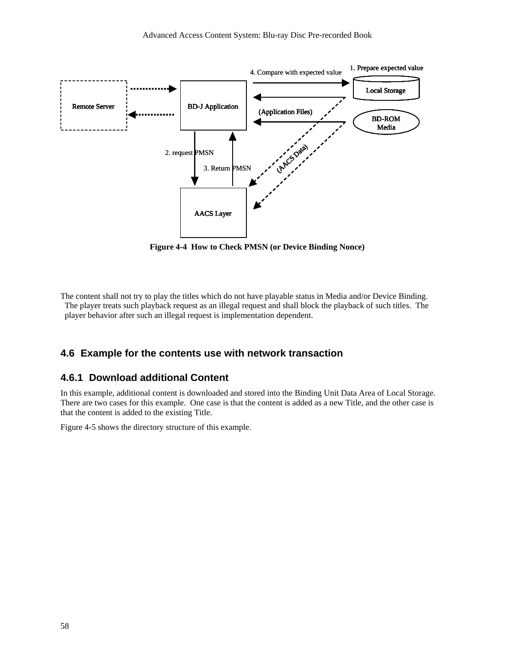

**Figure 4-4 How to Check PMSN (or Device Binding Nonce)** 

The content shall not try to play the titles which do not have playable status in Media and/or Device Binding. The player treats such playback request as an illegal request and shall block the playback of such titles. The player behavior after such an illegal request is implementation dependent.

# **4.6 Example for the contents use with network transaction**

# **4.6.1 Download additional Content**

In this example, additional content is downloaded and stored into the Binding Unit Data Area of Local Storage. There are two cases for this example. One case is that the content is added as a new Title, and the other case is that the content is added to the existing Title.

Figure 4-5 shows the directory structure of this example.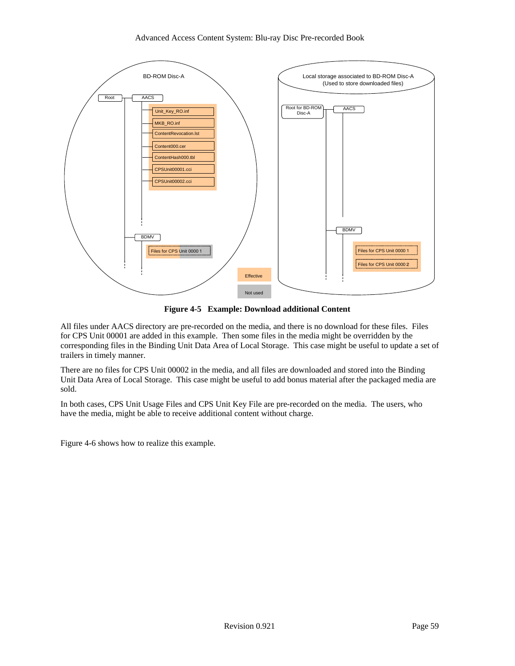

**Figure 4-5 Example: Download additional Content** 

All files under AACS directory are pre-recorded on the media, and there is no download for these files. Files for CPS Unit 00001 are added in this example. Then some files in the media might be overridden by the corresponding files in the Binding Unit Data Area of Local Storage. This case might be useful to update a set of trailers in timely manner.

There are no files for CPS Unit 00002 in the media, and all files are downloaded and stored into the Binding Unit Data Area of Local Storage. This case might be useful to add bonus material after the packaged media are sold.

In both cases, CPS Unit Usage Files and CPS Unit Key File are pre-recorded on the media. The users, who have the media, might be able to receive additional content without charge.

Figure 4-6 shows how to realize this example.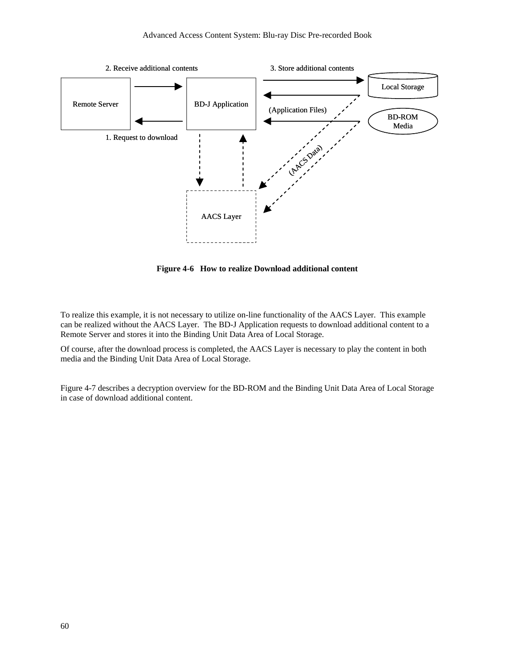

**Figure 4-6 How to realize Download additional content** 

To realize this example, it is not necessary to utilize on-line functionality of the AACS Layer. This example can be realized without the AACS Layer. The BD-J Application requests to download additional content to a Remote Server and stores it into the Binding Unit Data Area of Local Storage.

Of course, after the download process is completed, the AACS Layer is necessary to play the content in both media and the Binding Unit Data Area of Local Storage.

Figure 4-7 describes a decryption overview for the BD-ROM and the Binding Unit Data Area of Local Storage in case of download additional content.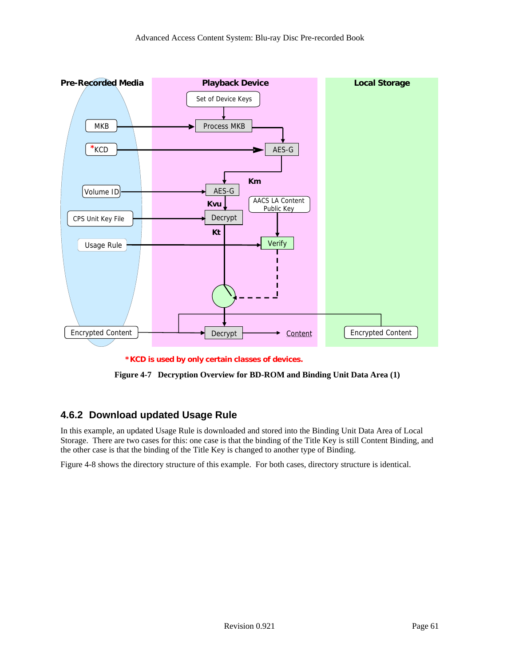



**Figure 4-7 Decryption Overview for BD-ROM and Binding Unit Data Area (1)** 

### **4.6.2 Download updated Usage Rule**

In this example, an updated Usage Rule is downloaded and stored into the Binding Unit Data Area of Local Storage. There are two cases for this: one case is that the binding of the Title Key is still Content Binding, and the other case is that the binding of the Title Key is changed to another type of Binding.

Figure 4-8 shows the directory structure of this example. For both cases, directory structure is identical.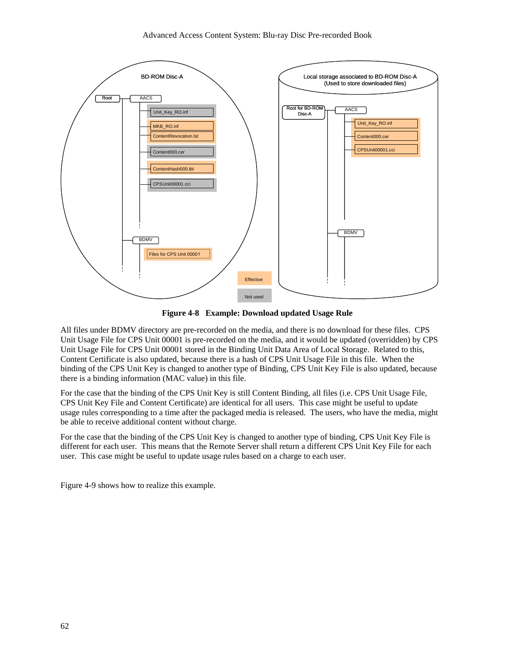

**Figure 4-8 Example: Download updated Usage Rule** 

All files under BDMV directory are pre-recorded on the media, and there is no download for these files. CPS Unit Usage File for CPS Unit 00001 is pre-recorded on the media, and it would be updated (overridden) by CPS Unit Usage File for CPS Unit 00001 stored in the Binding Unit Data Area of Local Storage. Related to this, Content Certificate is also updated, because there is a hash of CPS Unit Usage File in this file. When the binding of the CPS Unit Key is changed to another type of Binding, CPS Unit Key File is also updated, because there is a binding information (MAC value) in this file.

For the case that the binding of the CPS Unit Key is still Content Binding, all files (i.e. CPS Unit Usage File, CPS Unit Key File and Content Certificate) are identical for all users. This case might be useful to update usage rules corresponding to a time after the packaged media is released. The users, who have the media, might be able to receive additional content without charge.

For the case that the binding of the CPS Unit Key is changed to another type of binding, CPS Unit Key File is different for each user. This means that the Remote Server shall return a different CPS Unit Key File for each user. This case might be useful to update usage rules based on a charge to each user.

Figure 4-9 shows how to realize this example.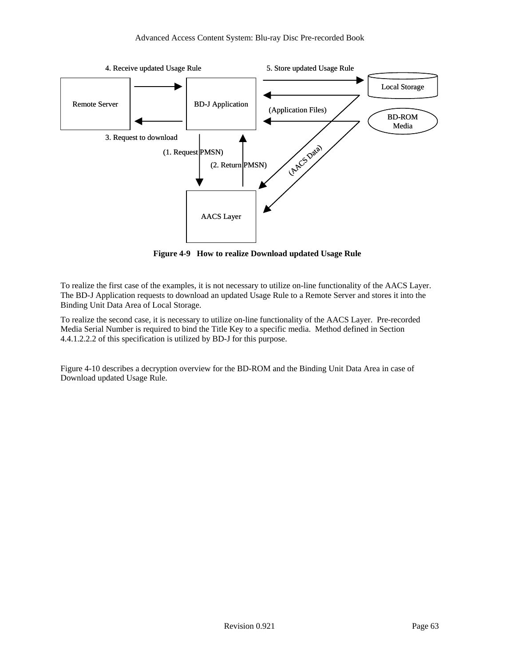

**Figure 4-9 How to realize Download updated Usage Rule** 

To realize the first case of the examples, it is not necessary to utilize on-line functionality of the AACS Layer. The BD-J Application requests to download an updated Usage Rule to a Remote Server and stores it into the Binding Unit Data Area of Local Storage.

To realize the second case, it is necessary to utilize on-line functionality of the AACS Layer. Pre-recorded Media Serial Number is required to bind the Title Key to a specific media. Method defined in Section [4.4.1.2.2.2](#page-77-0) of this specification is utilized by BD-J for this purpose.

Figure 4-10 describes a decryption overview for the BD-ROM and the Binding Unit Data Area in case of Download updated Usage Rule.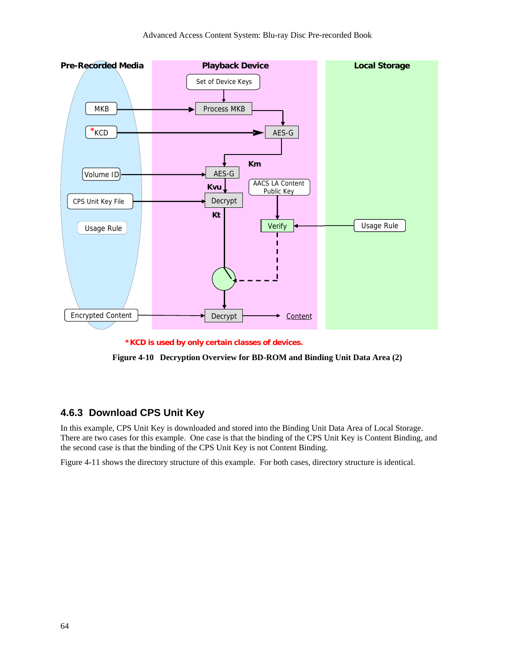



**Figure 4-10 Decryption Overview for BD-ROM and Binding Unit Data Area (2)** 

# <span id="page-77-0"></span>**4.6.3 Download CPS Unit Key**

In this example, CPS Unit Key is downloaded and stored into the Binding Unit Data Area of Local Storage. There are two cases for this example. One case is that the binding of the CPS Unit Key is Content Binding, and the second case is that the binding of the CPS Unit Key is not Content Binding.

Figure 4-11 shows the directory structure of this example. For both cases, directory structure is identical.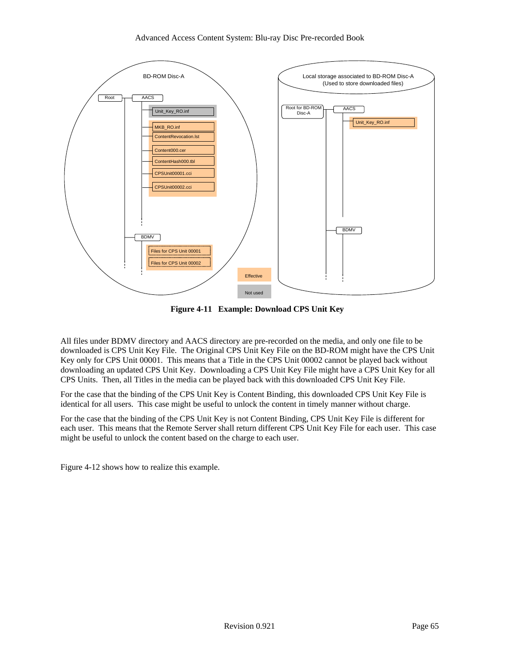

**Figure 4-11 Example: Download CPS Unit Key** 

All files under BDMV directory and AACS directory are pre-recorded on the media, and only one file to be downloaded is CPS Unit Key File. The Original CPS Unit Key File on the BD-ROM might have the CPS Unit Key only for CPS Unit 00001. This means that a Title in the CPS Unit 00002 cannot be played back without downloading an updated CPS Unit Key. Downloading a CPS Unit Key File might have a CPS Unit Key for all CPS Units. Then, all Titles in the media can be played back with this downloaded CPS Unit Key File.

For the case that the binding of the CPS Unit Key is Content Binding, this downloaded CPS Unit Key File is identical for all users. This case might be useful to unlock the content in timely manner without charge.

For the case that the binding of the CPS Unit Key is not Content Binding, CPS Unit Key File is different for each user. This means that the Remote Server shall return different CPS Unit Key File for each user. This case might be useful to unlock the content based on the charge to each user.

Figure 4-12 shows how to realize this example.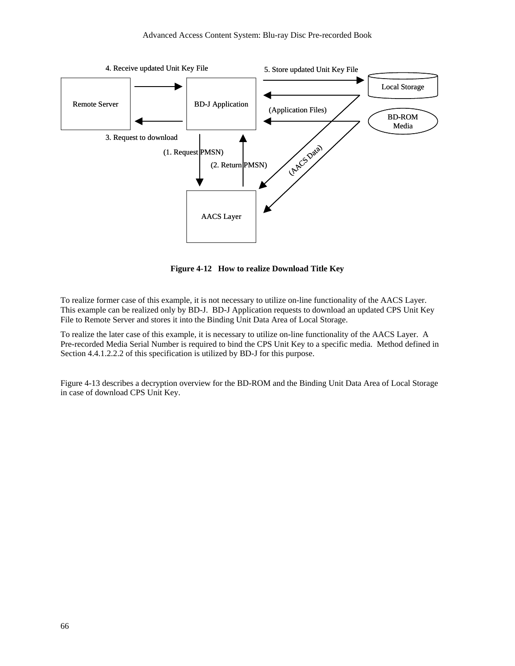

**Figure 4-12 How to realize Download Title Key** 

To realize former case of this example, it is not necessary to utilize on-line functionality of the AACS Layer. This example can be realized only by BD-J. BD-J Application requests to download an updated CPS Unit Key File to Remote Server and stores it into the Binding Unit Data Area of Local Storage.

To realize the later case of this example, it is necessary to utilize on-line functionality of the AACS Layer. A Pre-recorded Media Serial Number is required to bind the CPS Unit Key to a specific media. Method defined in Section [4.4.1.2.2.2](#page-80-0) of this specification is utilized by BD-J for this purpose.

Figure 4-13 describes a decryption overview for the BD-ROM and the Binding Unit Data Area of Local Storage in case of download CPS Unit Key.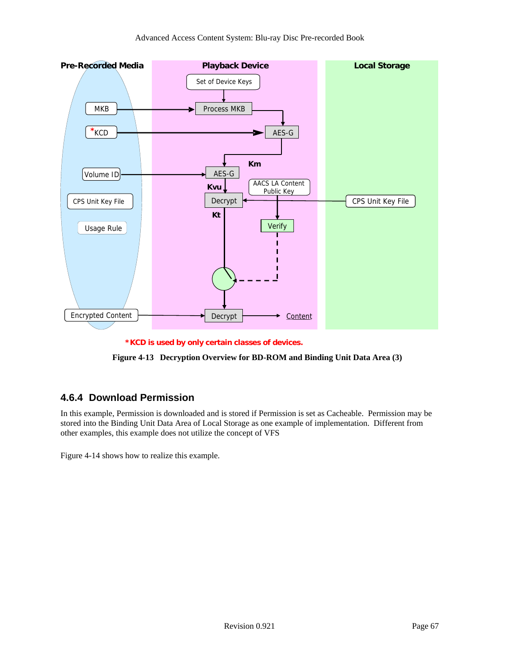



**Figure 4-13 Decryption Overview for BD-ROM and Binding Unit Data Area (3)** 

# <span id="page-80-0"></span>**4.6.4 Download Permission**

In this example, Permission is downloaded and is stored if Permission is set as Cacheable. Permission may be stored into the Binding Unit Data Area of Local Storage as one example of implementation. Different from other examples, this example does not utilize the concept of VFS

Figure 4-14 shows how to realize this example.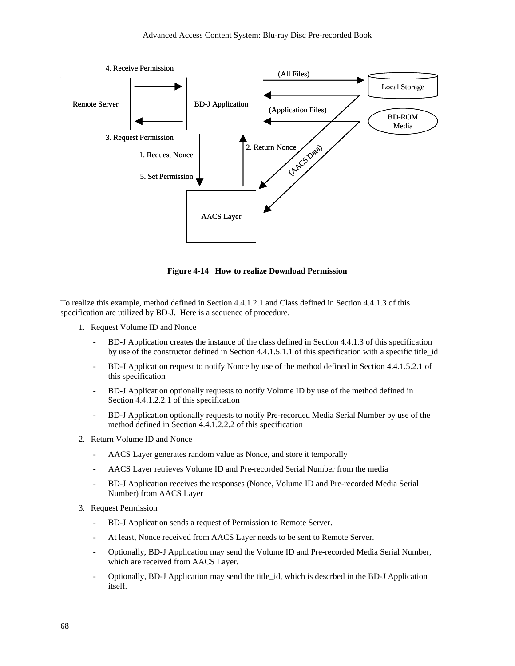

**Figure 4-14 How to realize Download Permission** 

To realize this example, method defined in Section [4.4.1.2.1 and Class defined in Section 4.4.1.3](#page-66-0) of this specification are utilized by BD-J. Here is a sequence of procedure.

- 1. Request Volume ID and Nonce
	- BD-J Application creates the instance of the class defined in Section [4.4.1.3](#page-64-0) of this specification by use of the constructor defined in Section [4.4.1.5.1.1](#page-64-0) of this specification with a specific title\_id
	- BD-J Application request to notify Nonce by use of the method defined in Section 4.4.1.5.2.1 of this specification
	- BD-J Application optionally requests to notify Volume ID by use of the method defined in Section 4.4.1.2.2.1 of this specification
	- BD-J Application optionally requests to notify Pre-recorded Media Serial Number by use of the method defined in Section 4.4.1.2.2.2 of this specification
- 2. Return Volume ID and Nonce
	- AACS Layer generates random value as Nonce, and store it temporally
	- AACS Layer retrieves Volume ID and Pre-recorded Serial Number from the media
	- BD-J Application receives the responses (Nonce, Volume ID and Pre-recorded Media Serial Number) from AACS Layer
- 3. Request Permission
	- BD-J Application sends a request of Permission to Remote Server.
	- At least, Nonce received from AACS Layer needs to be sent to Remote Server.
	- Optionally, BD-J Application may send the Volume ID and Pre-recorded Media Serial Number, which are received from AACS Layer.
	- Optionally, BD-J Application may send the title\_id, which is descrbed in the BD-J Application itself.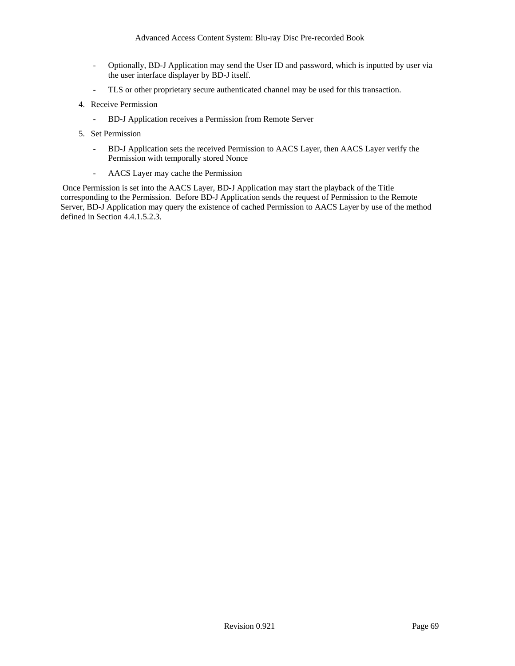- Optionally, BD-J Application may send the User ID and password, which is inputted by user via the user interface displayer by BD-J itself.
- TLS or other proprietary secure authenticated channel may be used for this transaction.
- 4. Receive Permission
	- BD-J Application receives a Permission from Remote Server
- 5. Set Permission
	- BD-J Application sets the received Permission to AACS Layer, then AACS Layer verify the Permission with temporally stored Nonce
	- AACS Layer may cache the Permission

 Once Permission is set into the AACS Layer, BD-J Application may start the playback of the Title corresponding to the Permission. Before BD-J Application sends the request of Permission to the Remote Server, BD-J Application may query the existence of cached Permission to AACS Layer by use of the method defined in Section 4.4.1.5.2.3.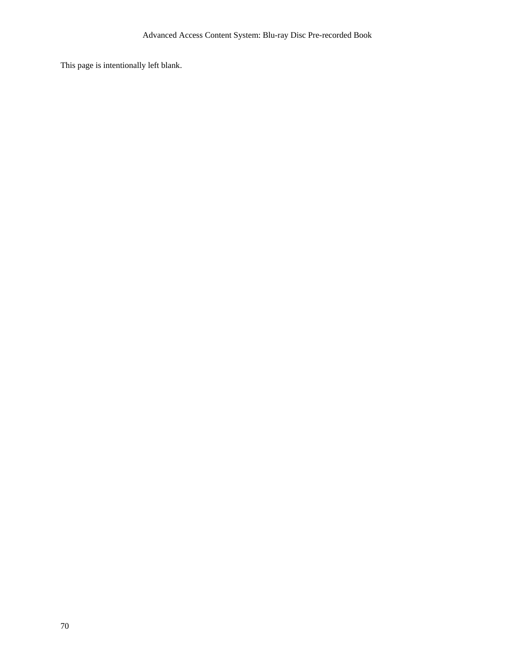This page is intentionally left blank.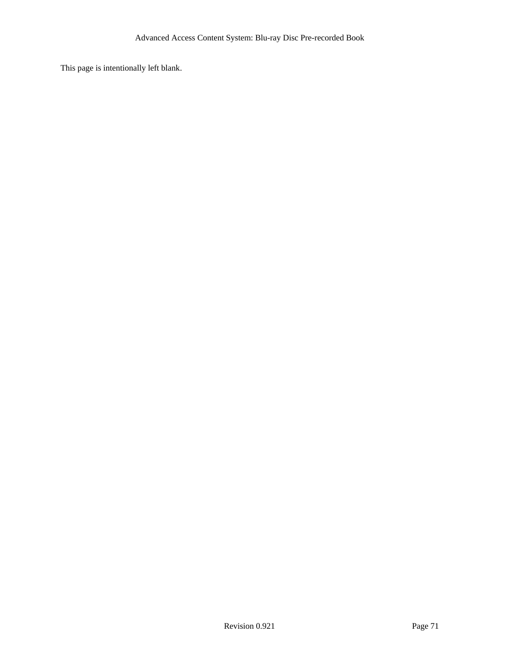This page is intentionally left blank.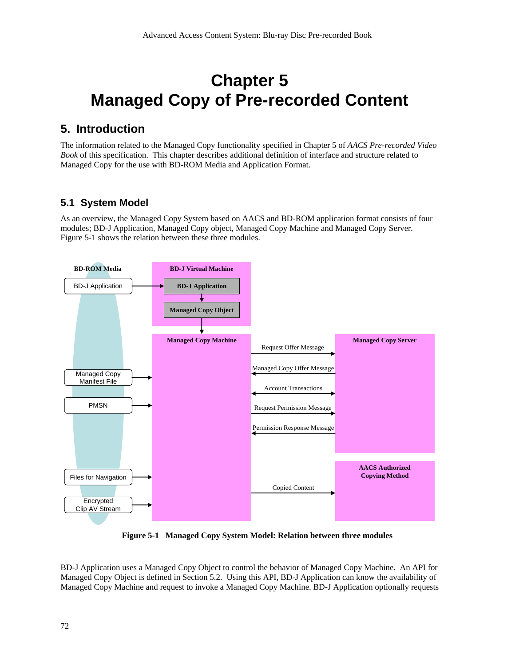# **Chapter 5 Managed Copy of Pre-recorded Content**

# **5. Introduction**

The information related to the Managed Copy functionality specified in Chapter 5 of *AACS Pre-recorded Video Book* of this specification. This chapter describes additional definition of interface and structure related to Managed Copy for the use with BD-ROM Media and Application Format.

# **5.1 System Model**

As an overview, the Managed Copy System based on AACS and BD-ROM application format consists of four modules; BD-J Application, Managed Copy object, Managed Copy Machine and Managed Copy Server. Figure 5-1 shows the relation between these three modules.



**Figure 5-1 Managed Copy System Model: Relation between three modules** 

BD-J Application uses a Managed Copy Object to control the behavior of Managed Copy Machine. An API for Managed Copy Object is defined in Section 5.2. Using this API, BD-J Application can know the availability of Managed Copy Machine and request to invoke a Managed Copy Machine. BD-J Application optionally requests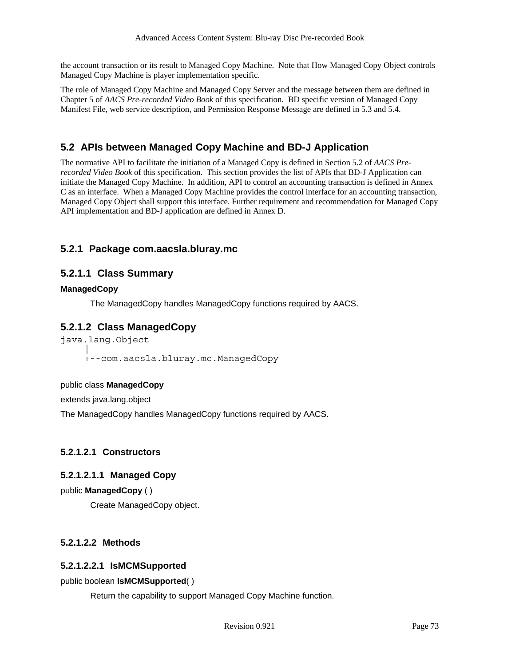the account transaction or its result to Managed Copy Machine. Note that How Managed Copy Object controls Managed Copy Machine is player implementation specific.

The role of Managed Copy Machine and Managed Copy Server and the message between them are defined in Chapter 5 of *AACS Pre-recorded Video Book* of this specification. BD specific version of Managed Copy Manifest File, web service description, and Permission Response Message are defined in [5.3 and 5.4](#page-114-0).

# **5.2 APIs between Managed Copy Machine and BD-J Application**

The normative API to facilitate the initiation of a Managed Copy is defined in Section 5.2 of *AACS Prerecorded Video Book* of this specification. This section provides the list of APIs that BD-J Application can initiate the Managed Copy Machine. In addition, API to control an accounting transaction is defined in Annex C as an interface. When a Managed Copy Machine provides the control interface for an accounting transaction, Managed Copy Object shall support this interface. Further requirement and recommendation for Managed Copy API implementation and BD-J application are defined in Annex D.

### **5.2.1 Package com.aacsla.bluray.mc**

### **5.2.1.1 Class Summary**

### **ManagedCopy**

The ManagedCopy handles ManagedCopy functions required by AACS.

# **5.2.1.2 Class ManagedCopy**

java.lang.Object | +--com.aacsla.bluray.mc.ManagedCopy

### public class **ManagedCopy**

extends java.lang.object

The ManagedCopy handles ManagedCopy functions required by AACS.

### **5.2.1.2.1 Constructors**

### **5.2.1.2.1.1 Managed Copy**

public **ManagedCopy** ( )

Create ManagedCopy object.

### **5.2.1.2.2 Methods**

### **5.2.1.2.2.1 IsMCMSupported**

### public boolean **IsMCMSupported**( )

Return the capability to support Managed Copy Machine function.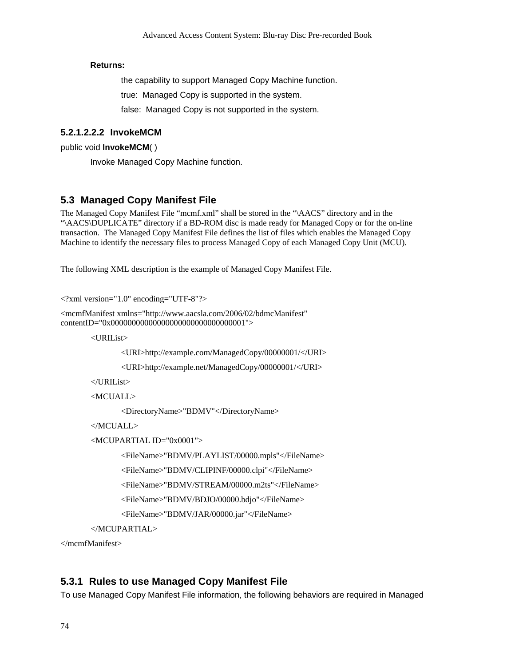#### **Returns:**

the capability to support Managed Copy Machine function.

true: Managed Copy is supported in the system.

false: Managed Copy is not supported in the system.

### **5.2.1.2.2.2 InvokeMCM**

public void **InvokeMCM**( )

Invoke Managed Copy Machine function.

### **5.3 Managed Copy Manifest File**

The Managed Copy Manifest File "mcmf.xml" shall be stored in the "\AACS" directory and in the "\AACS\DUPLICATE" directory if a BD-ROM disc is made ready for Managed Copy or for the on-line transaction. The Managed Copy Manifest File defines the list of files which enables the Managed Copy Machine to identify the necessary files to process Managed Copy of each Managed Copy Unit (MCU).

The following XML description is the example of Managed Copy Manifest File.

<?xml version="1.0" encoding="UTF-8"?>

```
<mcmfManifest xmlns="http://www.aacsla.com/2006/02/bdmcManifest" 
contentID="0x00000000000000000000000000000001">
```
<URIList>

<URI>http://example.com/ManagedCopy/00000001/</URI>

<URI>http://example.net/ManagedCopy/00000001/</URI>

</URIList>

 $\langle$ MCUALL $>$ 

<DirectoryName>"BDMV"</DirectoryName>

</MCUALL>

<MCUPARTIAL ID="0x0001">

<FileName>"BDMV/PLAYLIST/00000.mpls"</FileName>

<FileName>"BDMV/CLIPINF/00000.clpi"</FileName>

<FileName>"BDMV/STREAM/00000.m2ts"</FileName>

<FileName>"BDMV/BDJO/00000.bdjo"</FileName>

<FileName>"BDMV/JAR/00000.jar"</FileName>

</MCUPARTIAL>

</mcmfManifest>

### **5.3.1 Rules to use Managed Copy Manifest File**

To use Managed Copy Manifest File information, the following behaviors are required in Managed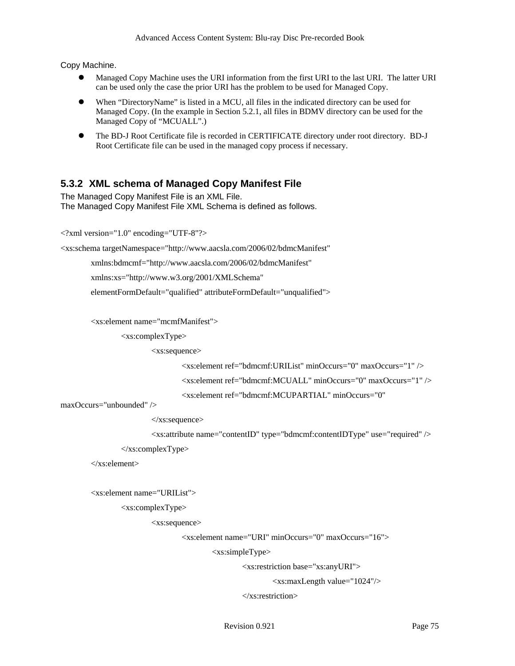Copy Machine.

- Managed Copy Machine uses the URI information from the first URI to the last URI. The latter URI can be used only the case the prior URI has the problem to be used for Managed Copy.
- When "DirectoryName" is listed in a MCU, all files in the indicated directory can be used for Managed Copy. (In the example in Section 5.2.1, all files in BDMV directory can be used for the Managed Copy of "MCUALL".)
- z The BD-J Root Certificate file is recorded in CERTIFICATE directory under root directory. BD-J Root Certificate file can be used in the managed copy process if necessary.

### **5.3.2 XML schema of Managed Copy Manifest File**

The Managed Copy Manifest File is an XML File. The Managed Copy Manifest File XML Schema is defined as follows.

<?xml version="1.0" encoding="UTF-8"?>

<xs:schema targetNamespace="http://www.aacsla.com/2006/02/bdmcManifest"

xmlns:bdmcmf="http://www.aacsla.com/2006/02/bdmcManifest"

xmlns:xs="http://www.w3.org/2001/XMLSchema"

elementFormDefault="qualified" attributeFormDefault="unqualified">

<xs:element name="mcmfManifest">

<xs:complexType>

<xs:sequence>

<xs:element ref="bdmcmf:URIList" minOccurs="0" maxOccurs="1" />

<xs:element ref="bdmcmf:MCUALL" minOccurs="0" maxOccurs="1" />

<xs:element ref="bdmcmf:MCUPARTIAL" minOccurs="0"

maxOccurs="unbounded" />

</xs:sequence>

<xs:attribute name="contentID" type="bdmcmf:contentIDType" use="required" />

</xs:complexType>

</xs:element>

<xs:element name="URIList">

<xs:complexType>

<xs:sequence>

<xs:element name="URI" minOccurs="0" maxOccurs="16">

<xs:simpleType>

<xs:restriction base="xs:anyURI">

<xs:maxLength value="1024"/>

</xs:restriction>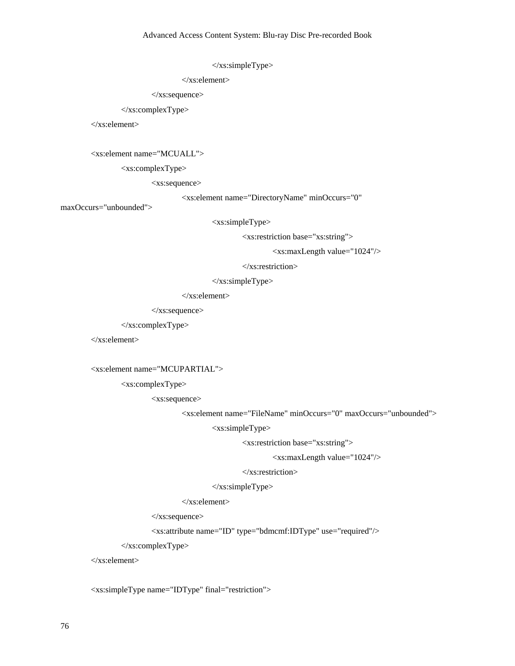</xs:simpleType>

</xs:element>

</xs:sequence>

</xs:complexType>

</xs:element>

<xs:element name="MCUALL">

<xs:complexType>

<xs:sequence>

<xs:element name="DirectoryName" minOccurs="0"

maxOccurs="unbounded">

<xs:simpleType>

<xs:restriction base="xs:string">

<xs:maxLength value="1024"/>

</xs:restriction>

</xs:simpleType>

</xs:element>

</xs:sequence>

</xs:complexType>

</xs:element>

<xs:element name="MCUPARTIAL">

<xs:complexType>

<xs:sequence>

<xs:element name="FileName" minOccurs="0" maxOccurs="unbounded">

<xs:simpleType>

<xs:restriction base="xs:string">

<xs:maxLength value="1024"/>

</xs:restriction>

</xs:simpleType>

</xs:element>

</xs:sequence>

<xs:attribute name="ID" type="bdmcmf:IDType" use="required"/>

</xs:complexType>

</xs:element>

<xs:simpleType name="IDType" final="restriction">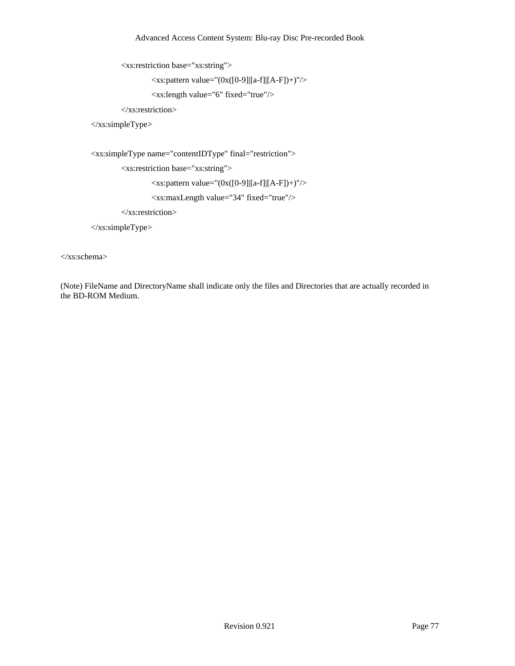#### Advanced Access Content System: Blu-ray Disc Pre-recorded Book

<xs:restriction base="xs:string">

<xs:pattern value="(0x([0-9]|[a-f]|[A-F])+)"/>

<xs:length value="6" fixed="true"/>

</xs:restriction>

</xs:simpleType>

```
 <xs:simpleType name="contentIDType" final="restriction"> 
          <xs:restriction base="xs:string"> 
                  \langle xs:pattern value="(0x([0-9]|[a-f]|[A-F])+)"/>
                   <xs:maxLength value="34" fixed="true"/> 
          </xs:restriction>
```
</xs:simpleType>

</xs:schema>

(Note) FileName and DirectoryName shall indicate only the files and Directories that are actually recorded in the BD-ROM Medium.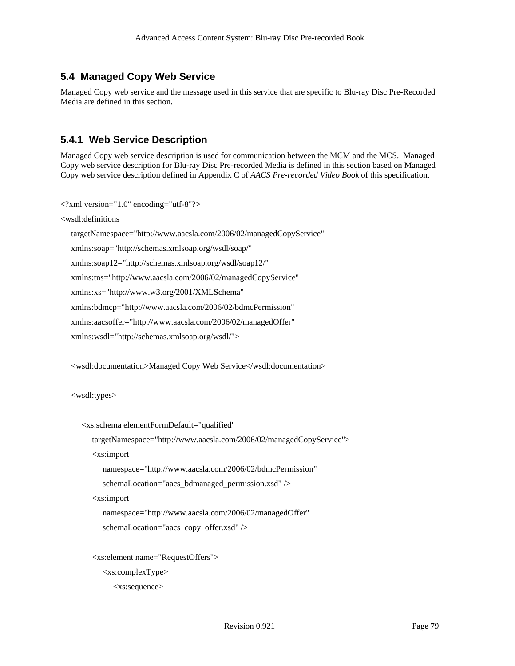### **5.4 Managed Copy Web Service**

Managed Copy web service and the message used in this service that are specific to Blu-ray Disc Pre-Recorded Media are defined in this section.

### **5.4.1 Web Service Description**

Managed Copy web service description is used for communication between the MCM and the MCS. Managed Copy web service description for Blu-ray Disc Pre-recorded Media is defined in this section based on Managed Copy web service description defined in Appendix C of *AACS Pre-recorded Video Book* of this specification.

 $\langle$  2xml version="1.0" encoding="utf-8"?>

<wsdl:definitions

targetNamespace="http://www.aacsla.com/2006/02/managedCopyService"

xmlns:soap="http://schemas.xmlsoap.org/wsdl/soap/"

xmlns:soap12="http://schemas.xmlsoap.org/wsdl/soap12/"

xmlns:tns="http://www.aacsla.com/2006/02/managedCopyService"

xmlns:xs="http://www.w3.org/2001/XMLSchema"

xmlns:bdmcp="http://www.aacsla.com/2006/02/bdmcPermission"

xmlns:aacsoffer="http://www.aacsla.com/2006/02/managedOffer"

xmlns:wsdl="http://schemas.xmlsoap.org/wsdl/">

<wsdl:documentation>Managed Copy Web Service</wsdl:documentation>

```
 <wsdl:types>
```

```
 <xs:schema elementFormDefault="qualified"
```

```
 targetNamespace="http://www.aacsla.com/2006/02/managedCopyService">
```
<xs:import

namespace="http://www.aacsla.com/2006/02/bdmcPermission"

schemaLocation="aacs\_bdmanaged\_permission.xsd" />

```
 <xs:import
```
 namespace="http://www.aacsla.com/2006/02/managedOffer" schemaLocation="aacs\_copy\_offer.xsd" />

<xs:element name="RequestOffers">

<xs:complexType>

<xs:sequence>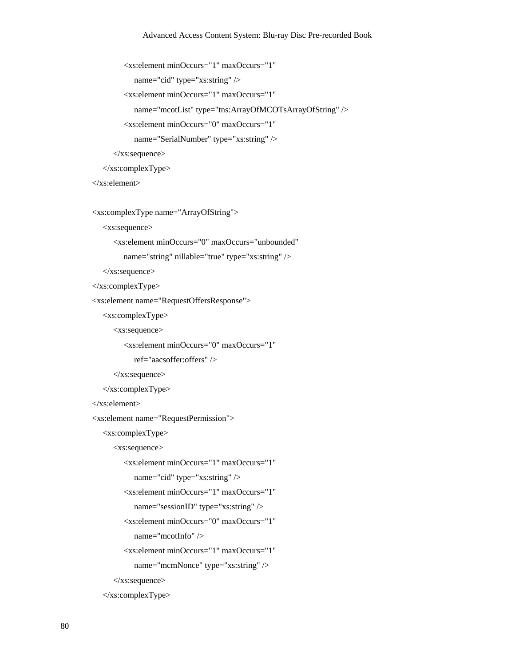```
 <xs:element minOccurs="1" maxOccurs="1" 
   name="cid" type="xs:string" /> 
 <xs:element minOccurs="1" maxOccurs="1" 
   name="mcotList" type="tns:ArrayOfMCOTsArrayOfString" /> 
 <xs:element minOccurs="0" maxOccurs="1"
```
name="SerialNumber" type="xs:string" />

</xs:sequence>

</xs:complexType>

</xs:element>

```
 <xs:complexType name="ArrayOfString">
```
<xs:sequence>

```
 <xs:element minOccurs="0" maxOccurs="unbounded"
```
name="string" nillable="true" type="xs:string" />

</xs:sequence>

</xs:complexType>

```
 <xs:element name="RequestOffersResponse">
```
<xs:complexType>

<xs:sequence>

```
 <xs:element minOccurs="0" maxOccurs="1"
```
ref="aacsoffer:offers" />

</xs:sequence>

```
 </xs:complexType>
```
</xs:element>

<xs:element name="RequestPermission">

<xs:complexType>

<xs:sequence>

```
 <xs:element minOccurs="1" maxOccurs="1" 
   name="cid" type="xs:string" />
```

```
 <xs:element minOccurs="1" maxOccurs="1"
```
name="sessionID" type="xs:string" />

```
 <xs:element minOccurs="0" maxOccurs="1"
```
name="mcotInfo" />

<xs:element minOccurs="1" maxOccurs="1"

```
 name="mcmNonce" type="xs:string" />
```

```
 </xs:sequence>
```

```
 </xs:complexType>
```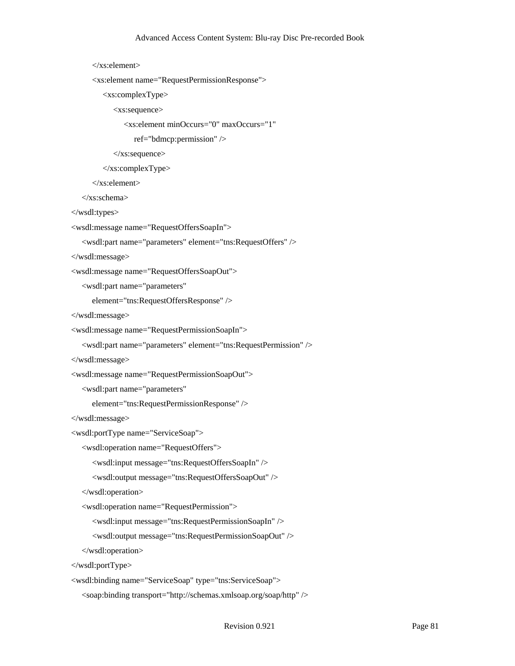```
 </xs:element> 
       <xs:element name="RequestPermissionResponse"> 
          <xs:complexType> 
             <xs:sequence> 
                <xs:element minOccurs="0" maxOccurs="1" 
                   ref="bdmcp:permission" /> 
             </xs:sequence> 
          </xs:complexType> 
       </xs:element> 
    </xs:schema> 
 </wsdl:types> 
 <wsdl:message name="RequestOffersSoapIn"> 
    <wsdl:part name="parameters" element="tns:RequestOffers" /> 
 </wsdl:message> 
 <wsdl:message name="RequestOffersSoapOut"> 
    <wsdl:part name="parameters" 
       element="tns:RequestOffersResponse" /> 
 </wsdl:message> 
 <wsdl:message name="RequestPermissionSoapIn"> 
    <wsdl:part name="parameters" element="tns:RequestPermission" /> 
 </wsdl:message> 
 <wsdl:message name="RequestPermissionSoapOut"> 
    <wsdl:part name="parameters" 
       element="tns:RequestPermissionResponse" /> 
 </wsdl:message> 
 <wsdl:portType name="ServiceSoap"> 
    <wsdl:operation name="RequestOffers"> 
       <wsdl:input message="tns:RequestOffersSoapIn" /> 
       <wsdl:output message="tns:RequestOffersSoapOut" /> 
    </wsdl:operation> 
    <wsdl:operation name="RequestPermission"> 
       <wsdl:input message="tns:RequestPermissionSoapIn" /> 
       <wsdl:output message="tns:RequestPermissionSoapOut" /> 
    </wsdl:operation> 
 </wsdl:portType> 
 <wsdl:binding name="ServiceSoap" type="tns:ServiceSoap">
```

```
 <soap:binding transport="http://schemas.xmlsoap.org/soap/http" />
```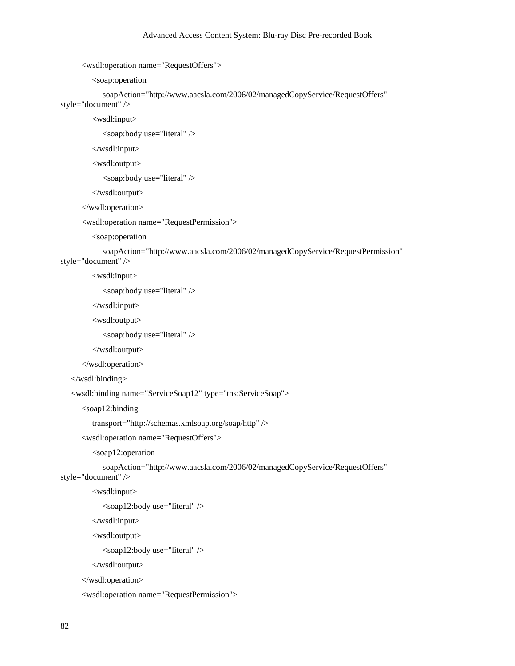```
 <wsdl:operation name="RequestOffers">
```
<soap:operation

 soapAction="http://www.aacsla.com/2006/02/managedCopyService/RequestOffers" style="document" />

<wsdl:input>

<soap:body use="literal" />

</wsdl:input>

<wsdl:output>

<soap:body use="literal" />

</wsdl:output>

</wsdl:operation>

<wsdl:operation name="RequestPermission">

<soap:operation

 soapAction="http://www.aacsla.com/2006/02/managedCopyService/RequestPermission" style="document" />

<wsdl:input>

<soap:body use="literal" />

</wsdl:input>

<wsdl:output>

```
 <soap:body use="literal" />
```
</wsdl:output>

</wsdl:operation>

```
 </wsdl:binding>
```
<wsdl:binding name="ServiceSoap12" type="tns:ServiceSoap">

<soap12:binding

transport="http://schemas.xmlsoap.org/soap/http" />

```
 <wsdl:operation name="RequestOffers">
```
<soap12:operation

 soapAction="http://www.aacsla.com/2006/02/managedCopyService/RequestOffers" style="document" />

```
 <wsdl:input>
```

```
 <soap12:body use="literal" />
```
</wsdl:input>

<wsdl:output>

<soap12:body use="literal" />

</wsdl:output>

</wsdl:operation>

```
 <wsdl:operation name="RequestPermission">
```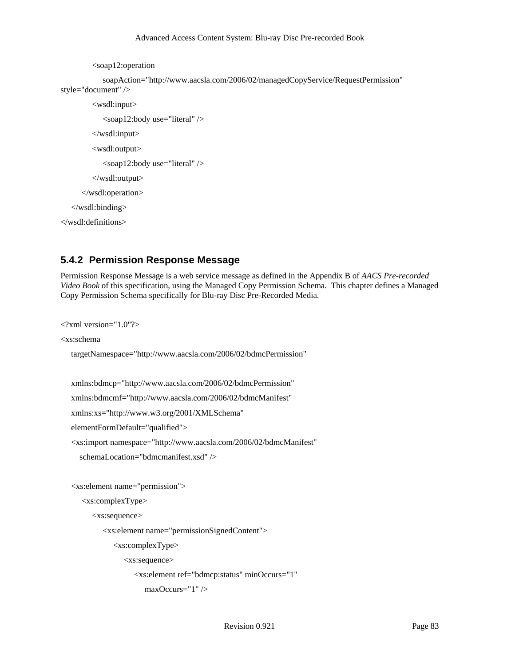#### Advanced Access Content System: Blu-ray Disc Pre-recorded Book

```
 <soap12:operation 
             soapAction="http://www.aacsla.com/2006/02/managedCopyService/RequestPermission" 
style="document" /> 
          <wsdl:input> 
             <soap12:body use="literal" /> 
          </wsdl:input> 
          <wsdl:output> 
             <soap12:body use="literal" /> 
          </wsdl:output> 
       </wsdl:operation> 
    </wsdl:binding> 
</wsdl:definitions>
```
### **5.4.2 Permission Response Message**

Permission Response Message is a web service message as defined in the Appendix B of *AACS Pre-recorded Video Book* of this specification, using the Managed Copy Permission Schema. This chapter defines a Managed Copy Permission Schema specifically for Blu-ray Disc Pre-Recorded Media.

```
\langle 2xml version="1.0"?>
<xs:schema 
   targetNamespace="http://www.aacsla.com/2006/02/bdmcPermission" 
   xmlns:bdmcp="http://www.aacsla.com/2006/02/bdmcPermission" 
   xmlns:bdmcmf="http://www.aacsla.com/2006/02/bdmcManifest" 
   xmlns:xs="http://www.w3.org/2001/XMLSchema" 
   elementFormDefault="qualified"> 
    <xs:import namespace="http://www.aacsla.com/2006/02/bdmcManifest" 
      schemaLocation="bdmcmanifest.xsd" /> 
    <xs:element name="permission"> 
      <xs:complexType> 
         <xs:sequence> 
            <xs:element name="permissionSignedContent"> 
               <xs:complexType> 
                  <xs:sequence> 
                     <xs:element ref="bdmcp:status" minOccurs="1" 
                        maxOccurs="1" />
```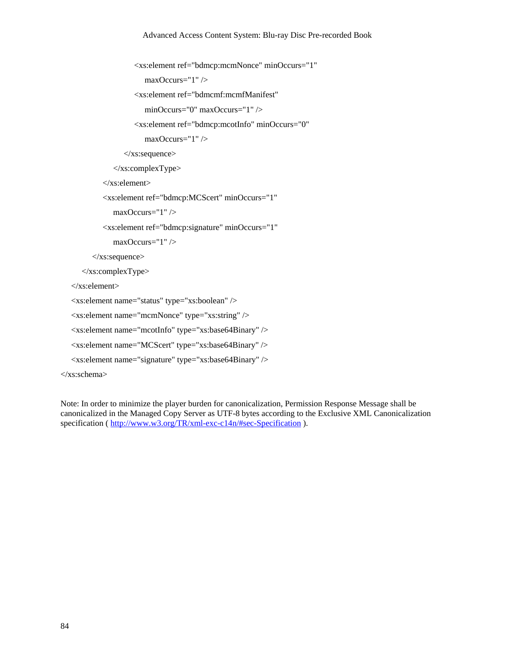```
 <xs:element ref="bdmcp:mcmNonce" minOccurs="1"
```

```
 maxOccurs="1" />
```
<xs:element ref="bdmcmf:mcmfManifest"

```
 minOccurs="0" maxOccurs="1" />
```
<xs:element ref="bdmcp:mcotInfo" minOccurs="0"

```
 maxOccurs="1" />
```
</xs:sequence>

</xs:complexType>

</xs:element>

<xs:element ref="bdmcp:MCScert" minOccurs="1"

maxOccurs="1" />

<xs:element ref="bdmcp:signature" minOccurs="1"

maxOccurs="1" />

```
 </xs:sequence>
```
</xs:complexType>

</xs:element>

```
 <xs:element name="status" type="xs:boolean" />
```
<xs:element name="mcmNonce" type="xs:string" />

```
 <xs:element name="mcotInfo" type="xs:base64Binary" />
```

```
 <xs:element name="MCScert" type="xs:base64Binary" />
```
<xs:element name="signature" type="xs:base64Binary" />

```
</xs:schema>
```
Note: In order to minimize the player burden for canonicalization, Permission Response Message shall be canonicalized in the Managed Copy Server as UTF-8 bytes according to the Exclusive XML Canonicalization specification (<http://www.w3.org/TR/xml-exc-c14n/#sec-Specification> ).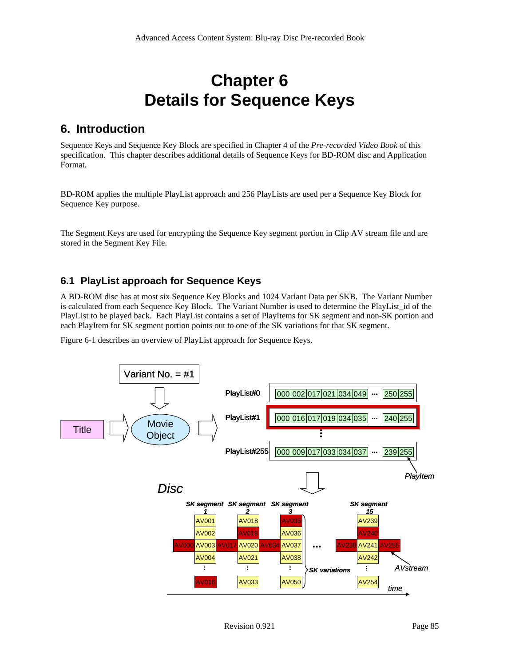# **Chapter 6 Details for Sequence Keys**

# **6. Introduction**

Sequence Keys and Sequence Key Block are specified in Chapter 4 of the *Pre-recorded Video Book* of this specification. This chapter describes additional details of Sequence Keys for BD-ROM disc and Application Format.

BD-ROM applies the multiple PlayList approach and 256 PlayLists are used per a Sequence Key Block for Sequence Key purpose.

The Segment Keys are used for encrypting the Sequence Key segment portion in Clip AV stream file and are stored in the Segment Key File.

# **6.1 PlayList approach for Sequence Keys**

A BD-ROM disc has at most six Sequence Key Blocks and 1024 Variant Data per SKB. The Variant Number is calculated from each Sequence Key Block. The Variant Number is used to determine the PlayList id of the PlayList to be played back. Each PlayList contains a set of PlayItems for SK segment and non-SK portion and each PlayItem for SK segment portion points out to one of the SK variations for that SK segment.

Figure 6-1 describes an overview of PlayList approach for Sequence Keys.

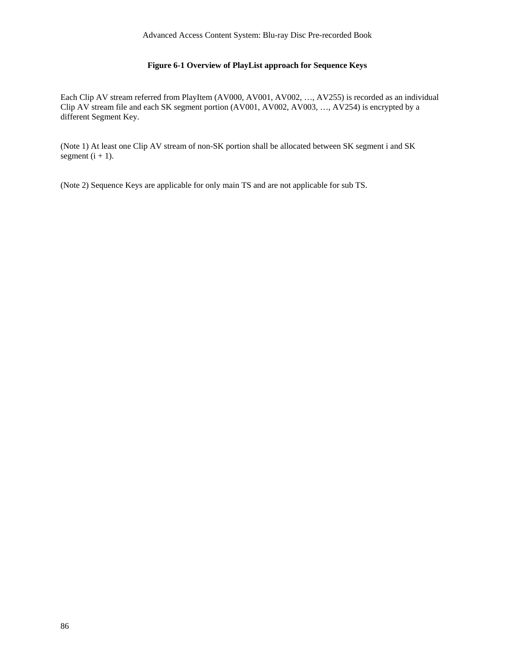### **Figure 6-1 Overview of PlayList approach for Sequence Keys**

Each Clip AV stream referred from PlayItem (AV000, AV001, AV002, …, AV255) is recorded as an individual Clip AV stream file and each SK segment portion (AV001, AV002, AV003, …, AV254) is encrypted by a different Segment Key.

(Note 1) At least one Clip AV stream of non-SK portion shall be allocated between SK segment i and SK segment  $(i + 1)$ .

(Note 2) Sequence Keys are applicable for only main TS and are not applicable for sub TS.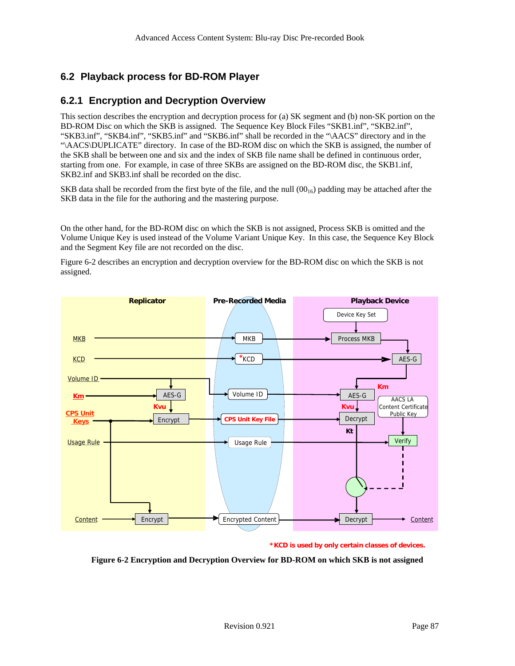# **6.2 Playback process for BD-ROM Player**

### **6.2.1 Encryption and Decryption Overview**

This section describes the encryption and decryption process for (a) SK segment and (b) non-SK portion on the BD-ROM Disc on which the SKB is assigned. The Sequence Key Block Files "SKB1.inf", "SKB2.inf", "SKB3.inf", "SKB4.inf", "SKB5.inf" and "SKB6.inf" shall be recorded in the "\AACS" directory and in the "\AACS\DUPLICATE" directory. In case of the BD-ROM disc on which the SKB is assigned, the number of the SKB shall be between one and six and the index of SKB file name shall be defined in continuous order, starting from one. For example, in case of three SKBs are assigned on the BD-ROM disc, the SKB1.inf, SKB2.inf and SKB3.inf shall be recorded on the disc.

SKB data shall be recorded from the first byte of the file, and the null  $(00<sub>16</sub>)$  padding may be attached after the SKB data in the file for the authoring and the mastering purpose.

On the other hand, for the BD-ROM disc on which the SKB is not assigned, Process SKB is omitted and the Volume Unique Key is used instead of the Volume Variant Unique Key. In this case, the Sequence Key Block and the Segment Key file are not recorded on the disc.

Figure 6-2 describes an encryption and decryption overview for the BD-ROM disc on which the SKB is not assigned.



#### **\*KCD is used by only certain classes of devices.**

**Figure 6-2 Encryption and Decryption Overview for BD-ROM on which SKB is not assigned**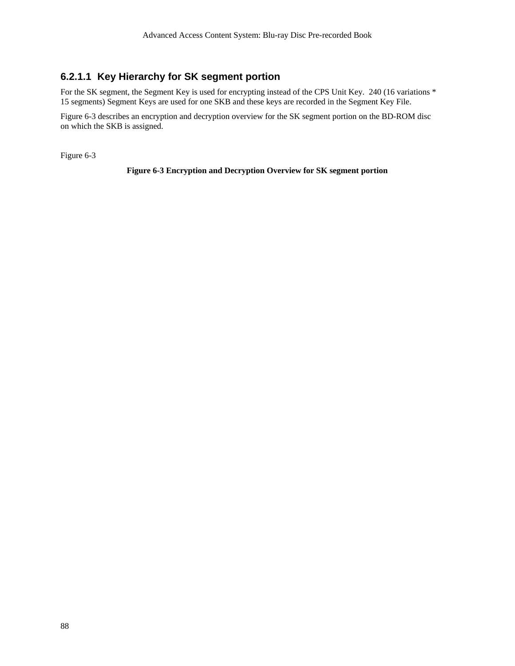# **6.2.1.1 Key Hierarchy for SK segment portion**

For the SK segment, the Segment Key is used for encrypting instead of the CPS Unit Key. 240 (16 variations  $*$ 15 segments) Segment Keys are used for one SKB and these keys are recorded in the Segment Key File.

Figure 6-3 describes an encryption and decryption overview for the SK segment portion on the BD-ROM disc on which the SKB is assigned.

Figure 6-3

**Figure 6-3 Encryption and Decryption Overview for SK segment portion**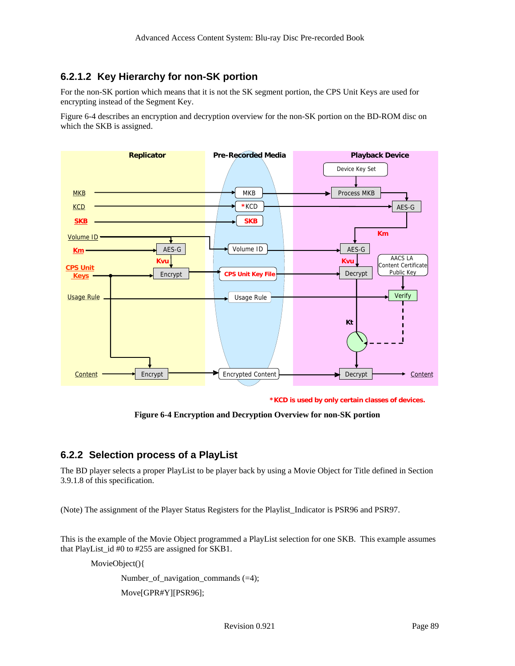# **6.2.1.2 Key Hierarchy for non-SK portion**

For the non-SK portion which means that it is not the SK segment portion, the CPS Unit Keys are used for encrypting instead of the Segment Key.

Figure 6-4 describes an encryption and decryption overview for the non-SK portion on the BD-ROM disc on which the SKB is assigned.



**\*KCD is used by only certain classes of devices.**

**Figure 6-4 Encryption and Decryption Overview for non-SK portion** 

### **6.2.2 Selection process of a PlayList**

The BD player selects a proper PlayList to be player back by using a Movie Object for Title defined in Section 3.9.1.8 of this specification.

(Note) The assignment of the Player Status Registers for the Playlist\_Indicator is PSR96 and PSR97.

This is the example of the Movie Object programmed a PlayList selection for one SKB. This example assumes that PlayList\_id #0 to #255 are assigned for SKB1.

MovieObject(){

```
 Number_of_navigation_commands (=4);
```
Move[GPR#Y][PSR96];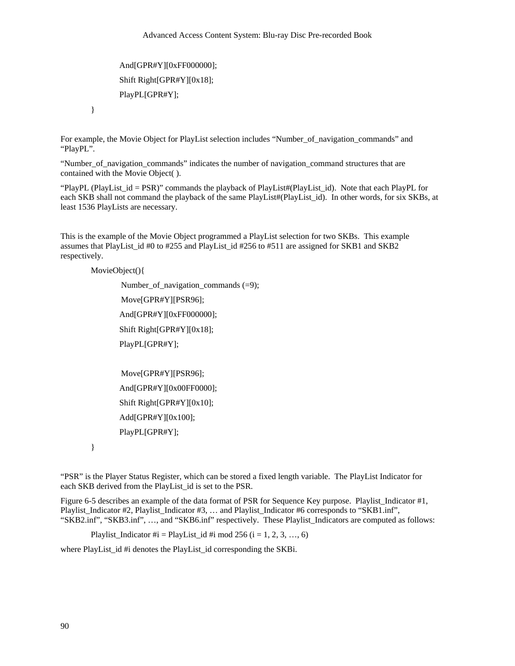And[GPR#Y][0xFF000000]; Shift Right[GPR#Y][0x18]; PlayPL[GPR#Y];

}

For example, the Movie Object for PlayList selection includes "Number\_of\_navigation\_commands" and "PlayPL".

"Number of navigation commands" indicates the number of navigation command structures that are contained with the Movie Object( ).

"PlayPL (PlayList id = PSR)" commands the playback of PlayList#(PlayList id). Note that each PlayPL for each SKB shall not command the playback of the same PlayList#(PlayList id). In other words, for six SKBs, at least 1536 PlayLists are necessary.

This is the example of the Movie Object programmed a PlayList selection for two SKBs. This example assumes that PlayList\_id #0 to #255 and PlayList\_id #256 to #511 are assigned for SKB1 and SKB2 respectively.

MovieObject(){

 Number\_of\_navigation\_commands (=9); Move[GPR#Y][PSR96]; And[GPR#Y][0xFF000000]; Shift Right[GPR#Y][0x18]; PlayPL[GPR#Y];

 Move[GPR#Y][PSR96]; And[GPR#Y][0x00FF0000]; Shift Right[GPR#Y][0x10]; Add[GPR#Y][0x100]; PlayPL[GPR#Y];

}

"PSR" is the Player Status Register, which can be stored a fixed length variable. The PlayList Indicator for each SKB derived from the PlayList\_id is set to the PSR.

Figure 6-5 describes an example of the data format of PSR for Sequence Key purpose. Playlist Indicator #1, Playlist Indicator #2, Playlist Indicator #3, … and Playlist Indicator #6 corresponds to "SKB1.inf", "SKB2.inf", "SKB3.inf", …, and "SKB6.inf" respectively. These Playlist\_Indicators are computed as follows:

Playlist Indicator #i = PlayList id #i mod 256 (i = 1, 2, 3, …, 6)

where PlayList\_id #i denotes the PlayList\_id corresponding the SKBi.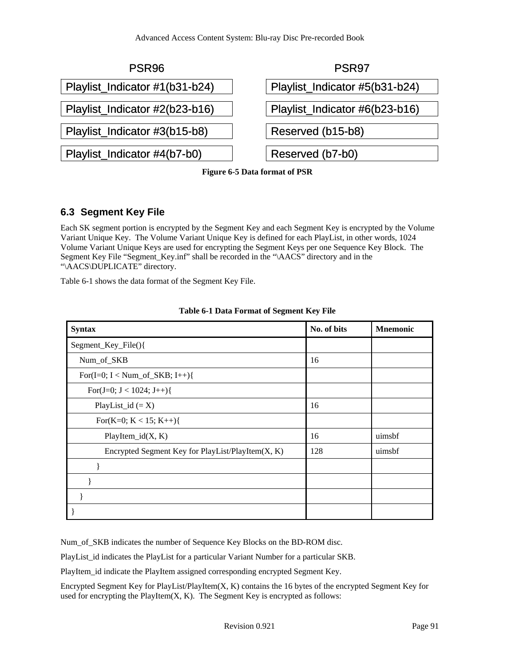

**Figure 6-5 Data format of PSR** 

# **6.3 Segment Key File**

Each SK segment portion is encrypted by the Segment Key and each Segment Key is encrypted by the Volume Variant Unique Key. The Volume Variant Unique Key is defined for each PlayList, in other words, 1024 Volume Variant Unique Keys are used for encrypting the Segment Keys per one Sequence Key Block. The Segment Key File "Segment\_Key.inf" shall be recorded in the "\AACS" directory and in the "\AACS\DUPLICATE" directory.

Table 6-1 shows the data format of the Segment Key File.

| <b>Syntax</b>                                     | No. of bits | <b>Mnemonic</b> |
|---------------------------------------------------|-------------|-----------------|
| Segment_Key_File(){                               |             |                 |
| Num_of_SKB                                        | 16          |                 |
| For(I=0; $I <$ Num_of_SKB; I++){                  |             |                 |
| For(J=0; J < 1024; J++){                          |             |                 |
| PlayList_id $(= X)$                               | 16          |                 |
| For(K=0; K < 15; K++){                            |             |                 |
| $PlayItem_id(X, K)$                               | 16          | uimsbf          |
| Encrypted Segment Key for PlayList/PlayItem(X, K) | 128         | uimsbf          |
|                                                   |             |                 |
|                                                   |             |                 |
|                                                   |             |                 |
|                                                   |             |                 |

### **Table 6-1 Data Format of Segment Key File**

Num\_of\_SKB indicates the number of Sequence Key Blocks on the BD-ROM disc.

PlayList\_id indicates the PlayList for a particular Variant Number for a particular SKB.

PlayItem\_id indicate the PlayItem assigned corresponding encrypted Segment Key.

Encrypted Segment Key for PlayList/PlayItem(X, K) contains the 16 bytes of the encrypted Segment Key for used for encrypting the  $PlayItem(X, K)$ . The Segment Key is encrypted as follows: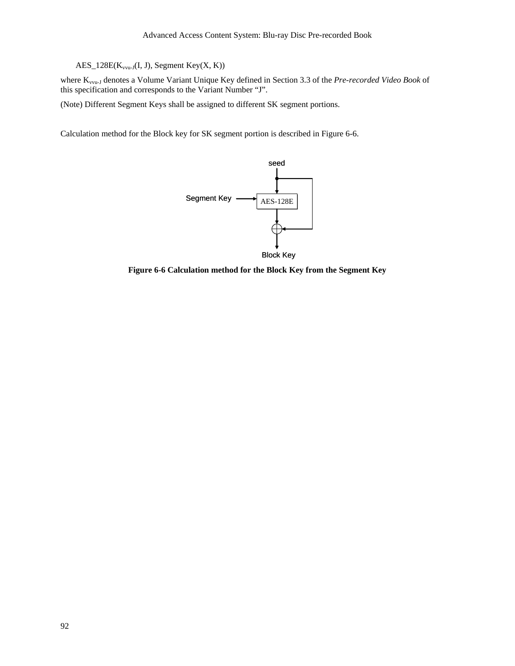$AES_128E(K_{vvu-J}(I, J), Segment Key(X, K))$ 

where Kvvu-J denotes a Volume Variant Unique Key defined in Section 3.3 of the *Pre-recorded Video Book* of this specification and corresponds to the Variant Number "J".

(Note) Different Segment Keys shall be assigned to different SK segment portions.

Calculation method for the Block key for SK segment portion is described in Figure 6-6.



**Figure 6-6 Calculation method for the Block Key from the Segment Key**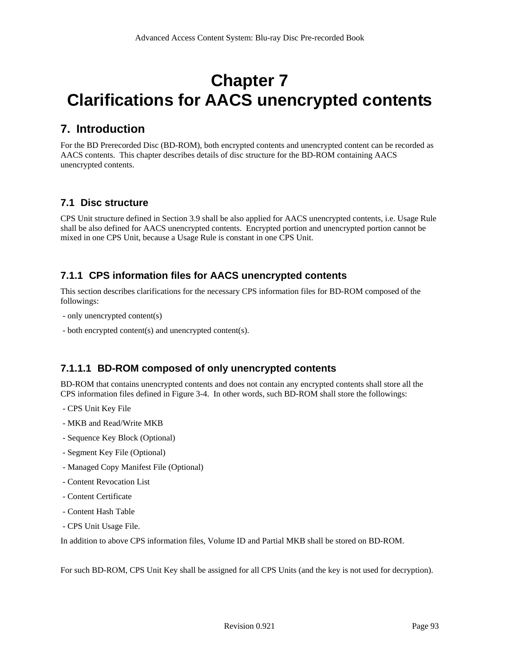# **Chapter 7 Clarifications for AACS unencrypted contents**

# **7. Introduction**

For the BD Prerecorded Disc (BD-ROM), both encrypted contents and unencrypted content can be recorded as AACS contents. This chapter describes details of disc structure for the BD-ROM containing AACS unencrypted contents.

# **7.1 Disc structure**

CPS Unit structure defined in Section 3.9 shall be also applied for AACS unencrypted contents, i.e. Usage Rule shall be also defined for AACS unencrypted contents. Encrypted portion and unencrypted portion cannot be mixed in one CPS Unit, because a Usage Rule is constant in one CPS Unit.

# **7.1.1 CPS information files for AACS unencrypted contents**

This section describes clarifications for the necessary CPS information files for BD-ROM composed of the followings:

- only unencrypted content(s)
- both encrypted content(s) and unencrypted content(s).

# **7.1.1.1 BD-ROM composed of only unencrypted contents**

BD-ROM that contains unencrypted contents and does not contain any encrypted contents shall store all the CPS information files defined in Figure 3-4. In other words, such BD-ROM shall store the followings:

- CPS Unit Key File
- MKB and Read/Write MKB
- Sequence Key Block (Optional)
- Segment Key File (Optional)
- Managed Copy Manifest File (Optional)
- Content Revocation List
- Content Certificate
- Content Hash Table
- CPS Unit Usage File.

In addition to above CPS information files, Volume ID and Partial MKB shall be stored on BD-ROM.

For such BD-ROM, CPS Unit Key shall be assigned for all CPS Units (and the key is not used for decryption).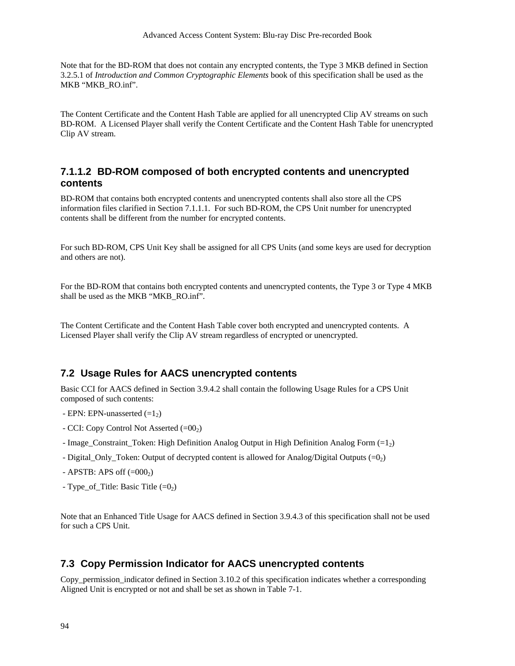Note that for the BD-ROM that does not contain any encrypted contents, the Type 3 MKB defined in Section 3.2.5.1 of *Introduction and Common Cryptographic Elements* book of this specification shall be used as the MKB "MKB\_RO.inf".

The Content Certificate and the Content Hash Table are applied for all unencrypted Clip AV streams on such BD-ROM. A Licensed Player shall verify the Content Certificate and the Content Hash Table for unencrypted Clip AV stream.

### **7.1.1.2 BD-ROM composed of both encrypted contents and unencrypted contents**

BD-ROM that contains both encrypted contents and unencrypted contents shall also store all the CPS information files clarified in Section 7.1.1.1. For such BD-ROM, the CPS Unit number for unencrypted contents shall be different from the number for encrypted contents.

For such BD-ROM, CPS Unit Key shall be assigned for all CPS Units (and some keys are used for decryption and others are not).

For the BD-ROM that contains both encrypted contents and unencrypted contents, the Type 3 or Type 4 MKB shall be used as the MKB "MKB\_RO.inf".

The Content Certificate and the Content Hash Table cover both encrypted and unencrypted contents. A Licensed Player shall verify the Clip AV stream regardless of encrypted or unencrypted.

### **7.2 Usage Rules for AACS unencrypted contents**

Basic CCI for AACS defined in Section 3.9.4.2 shall contain the following Usage Rules for a CPS Unit composed of such contents:

- EPN: EPN-unasserted  $(=1<sub>2</sub>)$
- CCI: Copy Control Not Asserted  $(=00<sub>2</sub>)$
- Image\_Constraint\_Token: High Definition Analog Output in High Definition Analog Form  $(=1<sub>2</sub>)$
- Digital\_Only\_Token: Output of decrypted content is allowed for Analog/Digital Outputs  $(=0<sub>2</sub>)$
- $-$  APSTB: APS off  $(=000<sub>2</sub>)$
- Type of Title: Basic Title  $(=0<sub>2</sub>)$

Note that an Enhanced Title Usage for AACS defined in Section [3.9.4.3](#page-54-0) of this specification shall not be used for such a CPS Unit.

### **7.3 Copy Permission Indicator for AACS unencrypted contents**

Copy permission indicator defined in Section 3.10.2 of this specification indicates whether a corresponding Aligned Unit is encrypted or not and shall be set as shown in Table 7-1.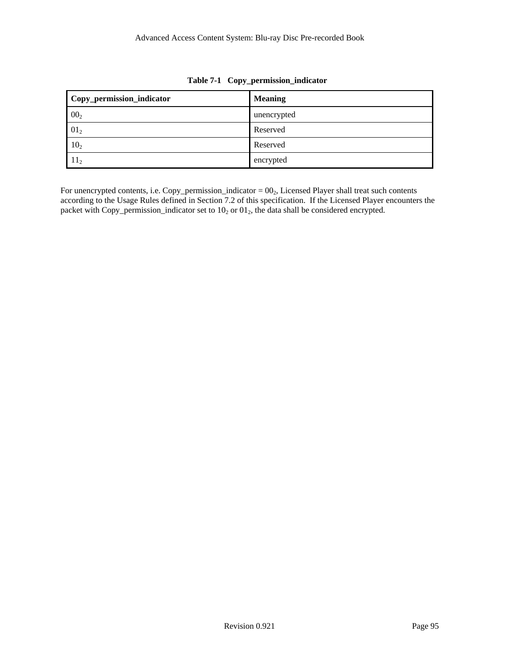| Copy_permission_indicator | <b>Meaning</b> |
|---------------------------|----------------|
| 00 <sub>2</sub>           | unencrypted    |
| $01_2$                    | Reserved       |
| $10_{2}$                  | Reserved       |
| 11 <sub>2</sub>           | encrypted      |

**Table 7-1 Copy\_permission\_indicator** 

For unencrypted contents, i.e. Copy\_permission\_indicator =  $00<sub>2</sub>$ , Licensed Player shall treat such contents according to the Usage Rules defined in Section 7.2 of this specification. If the Licensed Player encounters the packet with Copy\_permission\_indicator set to  $10<sub>2</sub>$  or  $01<sub>2</sub>$ , the data shall be considered encrypted.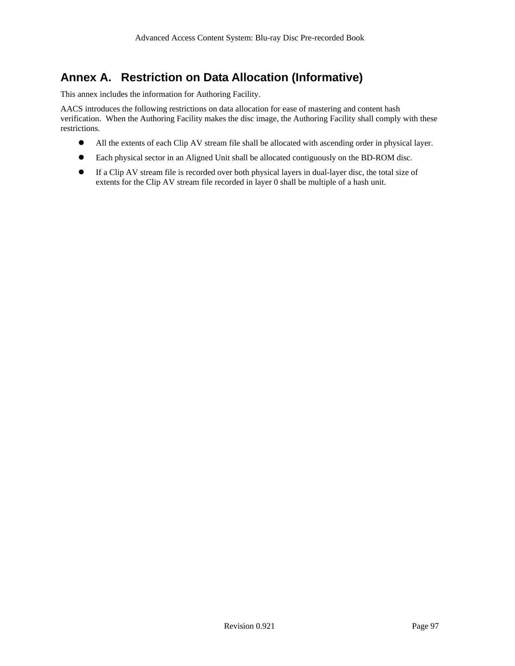# **Annex A. Restriction on Data Allocation (Informative)**

This annex includes the information for Authoring Facility.

AACS introduces the following restrictions on data allocation for ease of mastering and content hash verification. When the Authoring Facility makes the disc image, the Authoring Facility shall comply with these restrictions.

- All the extents of each Clip AV stream file shall be allocated with ascending order in physical layer.
- Each physical sector in an Aligned Unit shall be allocated contiguously on the BD-ROM disc.
- If a Clip AV stream file is recorded over both physical layers in dual-layer disc, the total size of extents for the Clip AV stream file recorded in layer 0 shall be multiple of a hash unit.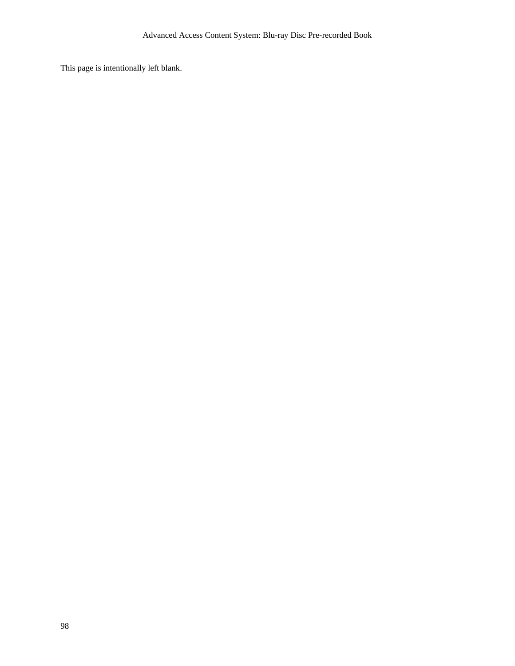This page is intentionally left blank.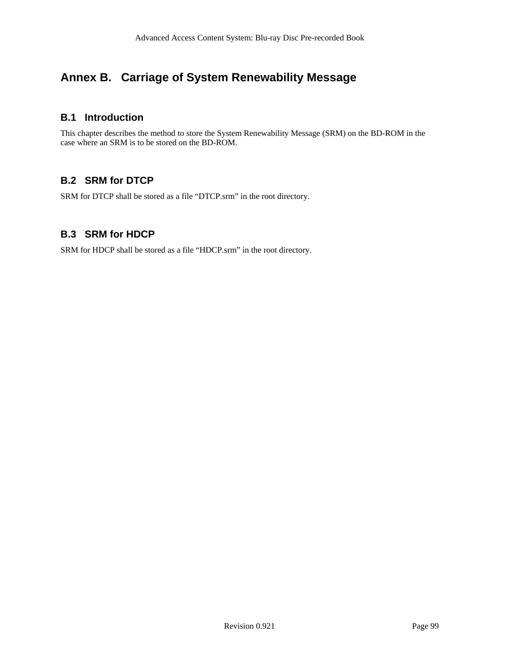# **Annex B. Carriage of System Renewability Message**

### **B.1 Introduction**

This chapter describes the method to store the System Renewability Message (SRM) on the BD-ROM in the case where an SRM is to be stored on the BD-ROM.

#### **B.2 SRM for DTCP**

SRM for DTCP shall be stored as a file "DTCP.srm" in the root directory.

#### **B.3 SRM for HDCP**

SRM for HDCP shall be stored as a file "HDCP.srm" in the root directory.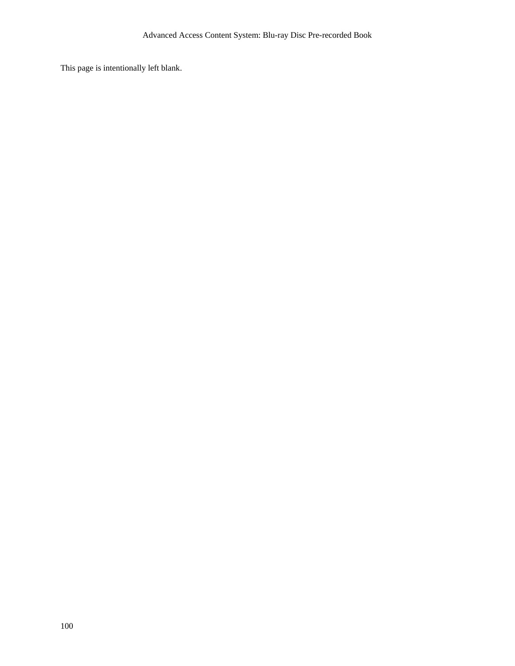This page is intentionally left blank.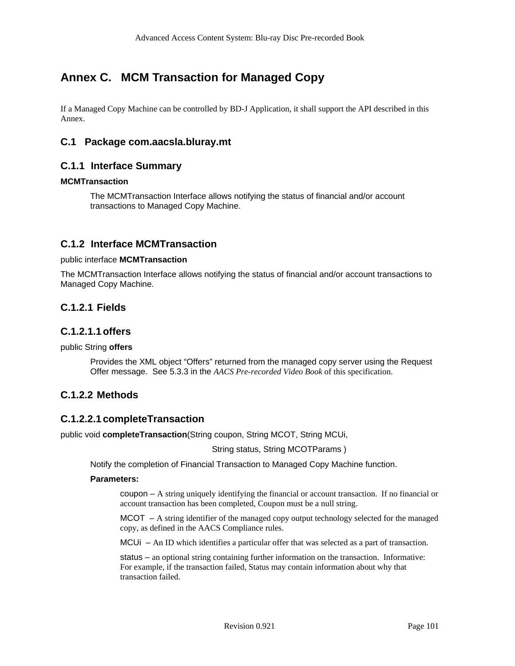# **Annex C. MCM Transaction for Managed Copy**

If a Managed Copy Machine can be controlled by BD-J Application, it shall support the API described in this Annex.

#### **C.1 Package com.aacsla.bluray.mt**

#### **C.1.1 Interface Summary**

#### **MCMTransaction**

The MCMTransaction Interface allows notifying the status of financial and/or account transactions to Managed Copy Machine.

#### **C.1.2 Interface MCMTransaction**

#### public interface **MCMTransaction**

The MCMTransaction Interface allows notifying the status of financial and/or account transactions to Managed Copy Machine.

#### **C.1.2.1 Fields**

#### **C.1.2.1.1 offers**

public String **offers**

Provides the XML object "Offers" returned from the managed copy server using the Request Offer message. See 5.3.3 in the *AACS Pre-recorded Video Book* of this specification.

#### **C.1.2.2 Methods**

#### **C.1.2.2.1 completeTransaction**

public void **completeTransaction**(String coupon, String MCOT, String MCUi,

String status, String MCOTParams )

Notify the completion of Financial Transaction to Managed Copy Machine function.

#### **Parameters:**

coupon – A string uniquely identifying the financial or account transaction. If no financial or account transaction has been completed, Coupon must be a null string.

MCOT – A string identifier of the managed copy output technology selected for the managed copy, as defined in the AACS Compliance rules.

MCUi – An ID which identifies a particular offer that was selected as a part of transaction.

status – an optional string containing further information on the transaction. Informative: For example, if the transaction failed, Status may contain information about why that transaction failed.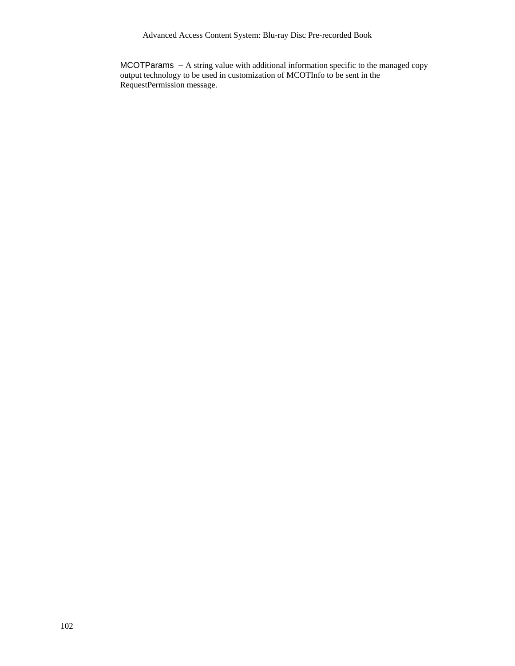Advanced Access Content System: Blu-ray Disc Pre-recorded Book

MCOTParams  $- A$  string value with additional information specific to the managed copy output technology to be used in customization of MCOTInfo to be sent in the RequestPermission message.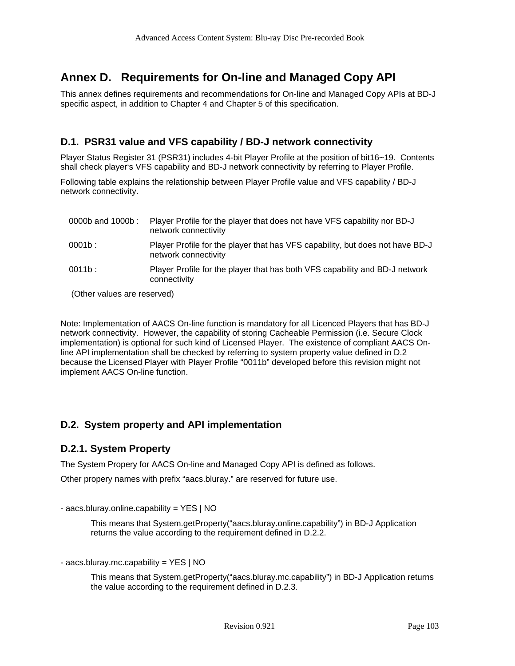## **Annex D. Requirements for On-line and Managed Copy API**

This annex defines requirements and recommendations for On-line and Managed Copy APIs at BD-J specific aspect, in addition to Chapter 4 and Chapter 5 of this specification.

#### **D.1. PSR31 value and VFS capability / BD-J network connectivity**

Player Status Register 31 (PSR31) includes 4-bit Player Profile at the position of bit16~19. Contents shall check player's VFS capability and BD-J network connectivity by referring to Player Profile.

Following table explains the relationship between Player Profile value and VFS capability / BD-J network connectivity.

| 0000b and 1000b : | Player Profile for the player that does not have VFS capability nor BD-J<br>network connectivity      |
|-------------------|-------------------------------------------------------------------------------------------------------|
| $0001b$ :         | Player Profile for the player that has VFS capability, but does not have BD-J<br>network connectivity |
| $0011b$ :         | Player Profile for the player that has both VFS capability and BD-J network<br>connectivity           |

(Other values are reserved)

Note: Implementation of AACS On-line function is mandatory for all Licenced Players that has BD-J network connectivity. However, the capability of storing Cacheable Permission (i.e. Secure Clock implementation) is optional for such kind of Licensed Player. The existence of compliant AACS Online API implementation shall be checked by referring to system property value defined in D.2 because the Licensed Player with Player Profile "0011b" developed before this revision might not implement AACS On-line function.

### **D.2. System property and API implementation**

#### **D.2.1. System Property**

The System Propery for AACS On-line and Managed Copy API is defined as follows.

Other propery names with prefix "aacs.bluray." are reserved for future use.

- aacs.bluray.online.capability = YES | NO

This means that System.getProperty("aacs.bluray.online.capability") in BD-J Application returns the value according to the requirement defined in D.2.2.

- aacs.bluray.mc.capability = YES | NO

This means that System.getProperty("aacs.bluray.mc.capability") in BD-J Application returns the value according to the requirement defined in D.2.3.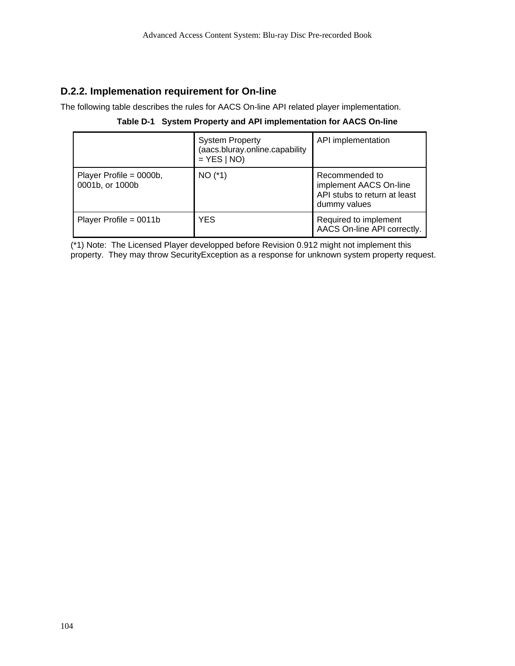## **D.2.2. Implemenation requirement for On-line**

The following table describes the rules for AACS On-line API related player implementation.

|  | Table D-1 System Property and API implementation for AACS On-line |
|--|-------------------------------------------------------------------|
|--|-------------------------------------------------------------------|

|                                            | <b>System Property</b><br>(aacs.bluray.online.capability<br>$=$ YES   NO) | API implementation                                                                       |
|--------------------------------------------|---------------------------------------------------------------------------|------------------------------------------------------------------------------------------|
| Player Profile = 0000b,<br>0001b, or 1000b | NO (*1)                                                                   | Recommended to<br>implement AACS On-line<br>API stubs to return at least<br>dummy values |
| Player Profile = 0011b                     | YES.                                                                      | Required to implement<br>AACS On-line API correctly.                                     |

(\*1) Note: The Licensed Player developped before Revision 0.912 might not implement this property. They may throw SecurityException as a response for unknown system property request.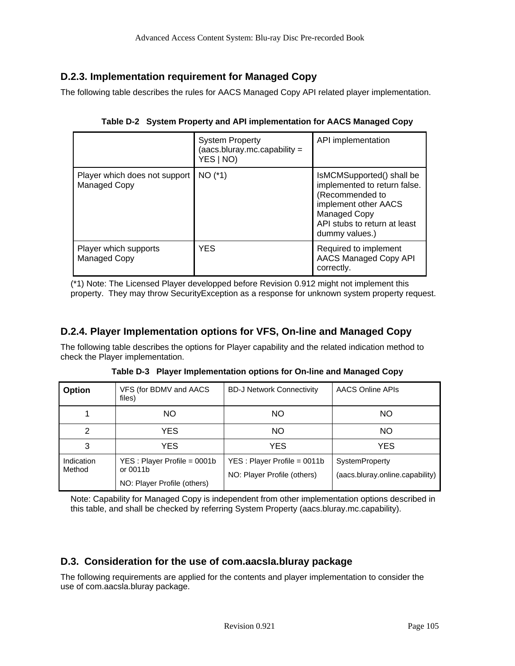## **D.2.3. Implementation requirement for Managed Copy**

The following table describes the rules for AACS Managed Copy API related player implementation.

|                                               | <b>System Property</b><br>(aacs.bluray.mc.capability =<br>YES   NO) | API implementation                                                                                                                                                     |
|-----------------------------------------------|---------------------------------------------------------------------|------------------------------------------------------------------------------------------------------------------------------------------------------------------------|
| Player which does not support<br>Managed Copy | NO('1)                                                              | IsMCMSupported() shall be<br>implemented to return false.<br>(Recommended to<br>implement other AACS<br>Managed Copy<br>API stubs to return at least<br>dummy values.) |
| Player which supports<br>Managed Copy         | <b>YES</b>                                                          | Required to implement<br><b>AACS Managed Copy API</b><br>correctly.                                                                                                    |

**Table D-2 System Property and API implementation for AACS Managed Copy** 

(\*1) Note: The Licensed Player developped before Revision 0.912 might not implement this property. They may throw SecurityException as a response for unknown system property request.

### **D.2.4. Player Implementation options for VFS, On-line and Managed Copy**

The following table describes the options for Player capability and the related indication method to check the Player implementation.

| Option               | VFS (for BDMV and AACS<br>files)        | <b>BD-J Network Connectivity</b> | AACS Online APIs                |
|----------------------|-----------------------------------------|----------------------------------|---------------------------------|
|                      | NO.                                     | NO.                              | <b>NO</b>                       |
| 2                    | YES.                                    | NO.                              | NO.                             |
| 3                    | YES                                     | YES                              | <b>YES</b>                      |
| Indication<br>Method | YES: Player Profile = 0001b<br>or 0011b | $YES: Player Profile = 0011b$    | SystemProperty                  |
|                      |                                         | NO: Player Profile (others)      | (aacs.bluray.online.capability) |
|                      | NO: Player Profile (others)             |                                  |                                 |

**Table D-3 Player Implementation options for On-line and Managed Copy** 

Note: Capability for Managed Copy is independent from other implementation options described in this table, and shall be checked by referring System Property (aacs.bluray.mc.capability).

### **D.3. Consideration for the use of com.aacsla.bluray package**

The following requirements are applied for the contents and player implementation to consider the use of com.aacsla.bluray package.